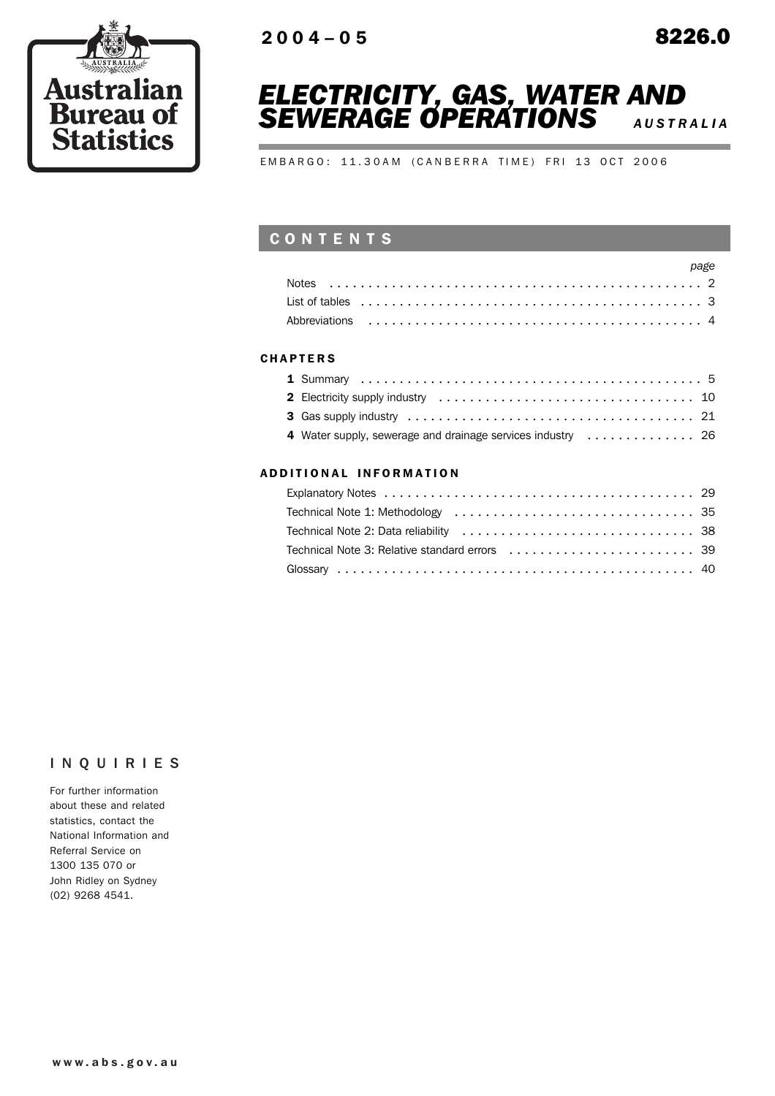



EMBARGO: 11.30AM (CANBERRA TIME) FRI 13 OCT 2006

# CONTENTS

| page |  |
|------|--|
|      |  |
|      |  |
|      |  |

### **CHAPTERS**

## ADD ITIONAL INFORMATION

# INQUIRIES

For further information about these and related statistics, contact the National Information and Referral Service on 1300 135 070 or John Ridley on Sydney (02) 9268 4541.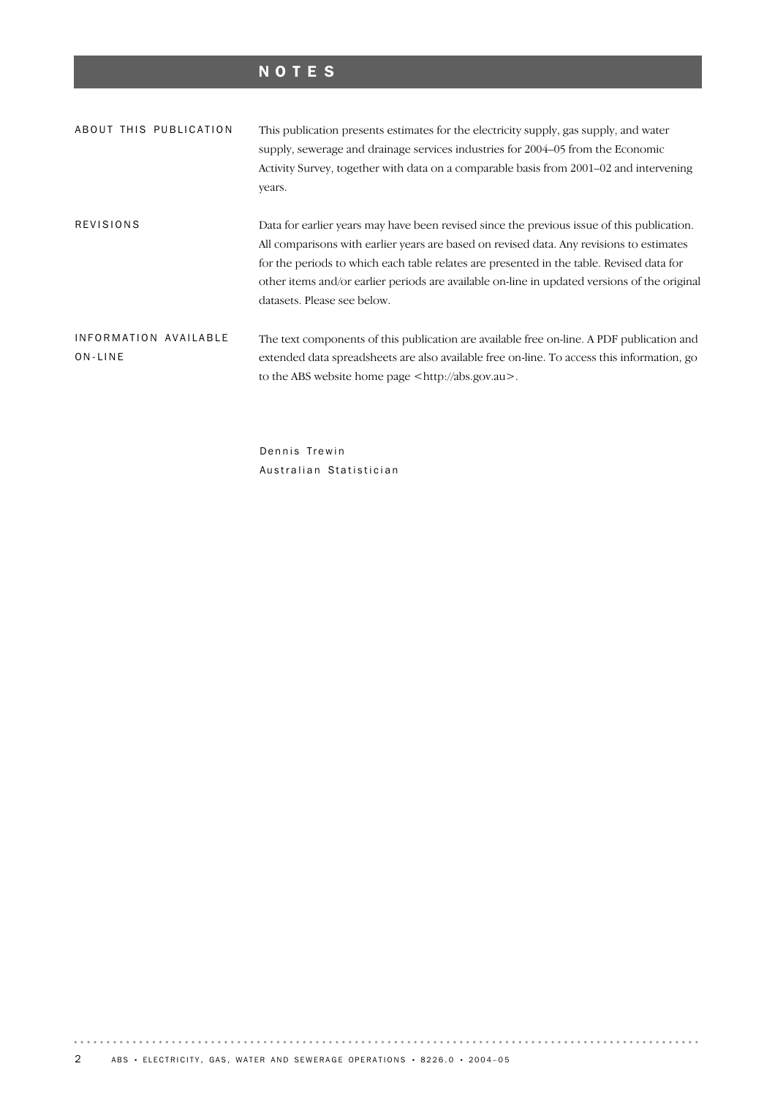# NOTES

| ABOUT THIS PUBLICATION           |  | This publication presents estimates for the electricity supply, gas supply, and water<br>supply, sewerage and drainage services industries for 2004–05 from the Economic                                                                                                                                                                                                                                          |  |  |  |  |
|----------------------------------|--|-------------------------------------------------------------------------------------------------------------------------------------------------------------------------------------------------------------------------------------------------------------------------------------------------------------------------------------------------------------------------------------------------------------------|--|--|--|--|
|                                  |  |                                                                                                                                                                                                                                                                                                                                                                                                                   |  |  |  |  |
|                                  |  | Activity Survey, together with data on a comparable basis from 2001–02 and intervening                                                                                                                                                                                                                                                                                                                            |  |  |  |  |
|                                  |  | years.                                                                                                                                                                                                                                                                                                                                                                                                            |  |  |  |  |
| <b>REVISIONS</b>                 |  | Data for earlier years may have been revised since the previous issue of this publication.<br>All comparisons with earlier years are based on revised data. Any revisions to estimates<br>for the periods to which each table relates are presented in the table. Revised data for<br>other items and/or earlier periods are available on-line in updated versions of the original<br>datasets. Please see below. |  |  |  |  |
| INFORMATION AVAILABLE<br>ON-LINE |  | The text components of this publication are available free on-line. A PDF publication and<br>extended data spreadsheets are also available free on-line. To access this information, go<br>to the ABS website home page $\langle \text{http://abs.gov.au>}\rangle$ .                                                                                                                                              |  |  |  |  |

Dennis Trewin Australian Statistician

 $\alpha$  ,  $\alpha$  ,  $\alpha$  ,  $\alpha$  ,  $\alpha$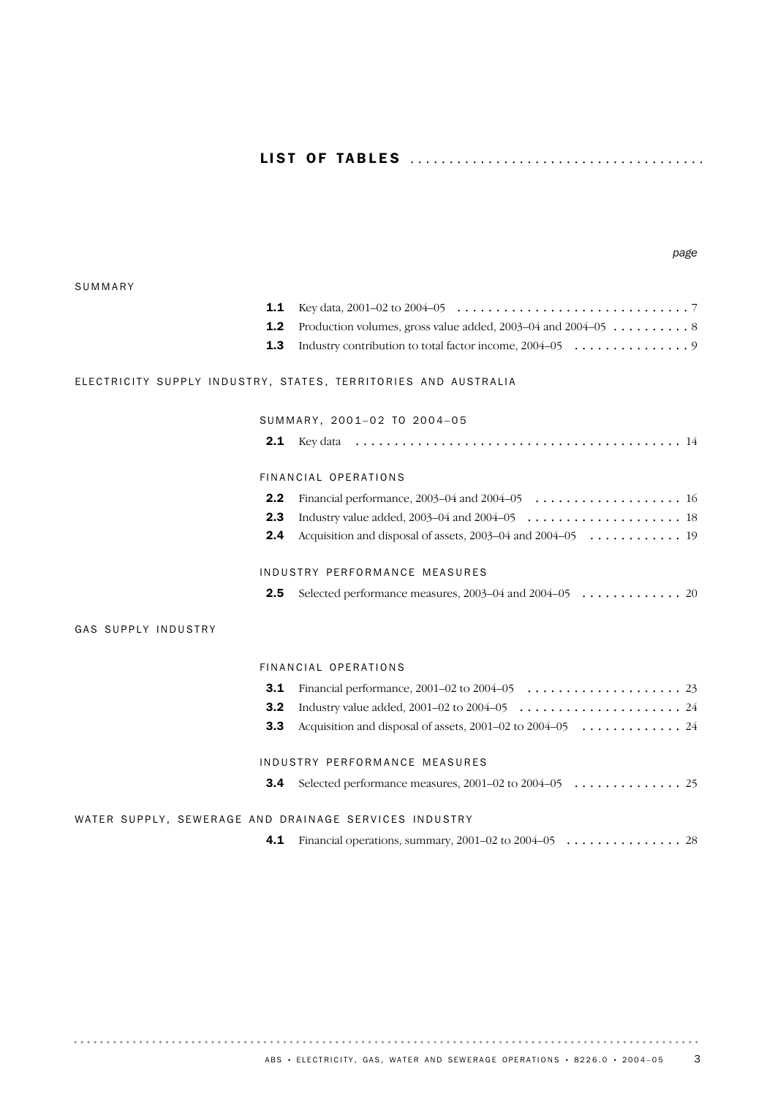# LI S T OF TA B L E S ..................................... .

### SUMMARY

| <b>1.2</b> Production volumes, gross value added, 2003–04 and 2004–05 $\dots \dots \dots$ |
|-------------------------------------------------------------------------------------------|
|                                                                                           |

*page*

## ELECTRICITY SUPPLY INDUSTRY, STATES, TERRITORIES AND AUSTRALIA

SUMMARY, 2001-02 TO 2004-05

| 2.1 | Kev d |  |
|-----|-------|--|
|-----|-------|--|

## FIN AN CIAL OPERATIONS

| <b>2.4</b> Acquisition and disposal of assets, 2003–04 and 2004–05 $\dots \dots \dots \dots$ |  |
|----------------------------------------------------------------------------------------------|--|

### INDUSTRY PERFORMANCE MEASURES

## GAS SUPPLY INDUSTRY

. . . . . . . . . . . . . . . . . .

### FIN AN CIAL OPERATIONS

| <b>3.1</b> Financial performance, 2001–02 to 2004–05 $\ldots \ldots \ldots \ldots \ldots \ldots$ |
|--------------------------------------------------------------------------------------------------|
|                                                                                                  |
| <b>3.3</b> Acquisition and disposal of assets, 2001–02 to 2004–05 $\dots \dots \dots \dots$      |
|                                                                                                  |
| INDUSTRY PERFORMANCE MEASURES                                                                    |
|                                                                                                  |

**3.4** Selected performance measures, 2001–02 to 2004–05 . . . . . . . . . . . . . . 25

## WATER SUPPLY, SEWERAGE AND DRAINAGE SERVICES INDUSTRY

**4.1** Financial operations, summary, 2001–02 to 2004–05 . . . . . . . . . . . . . . . 28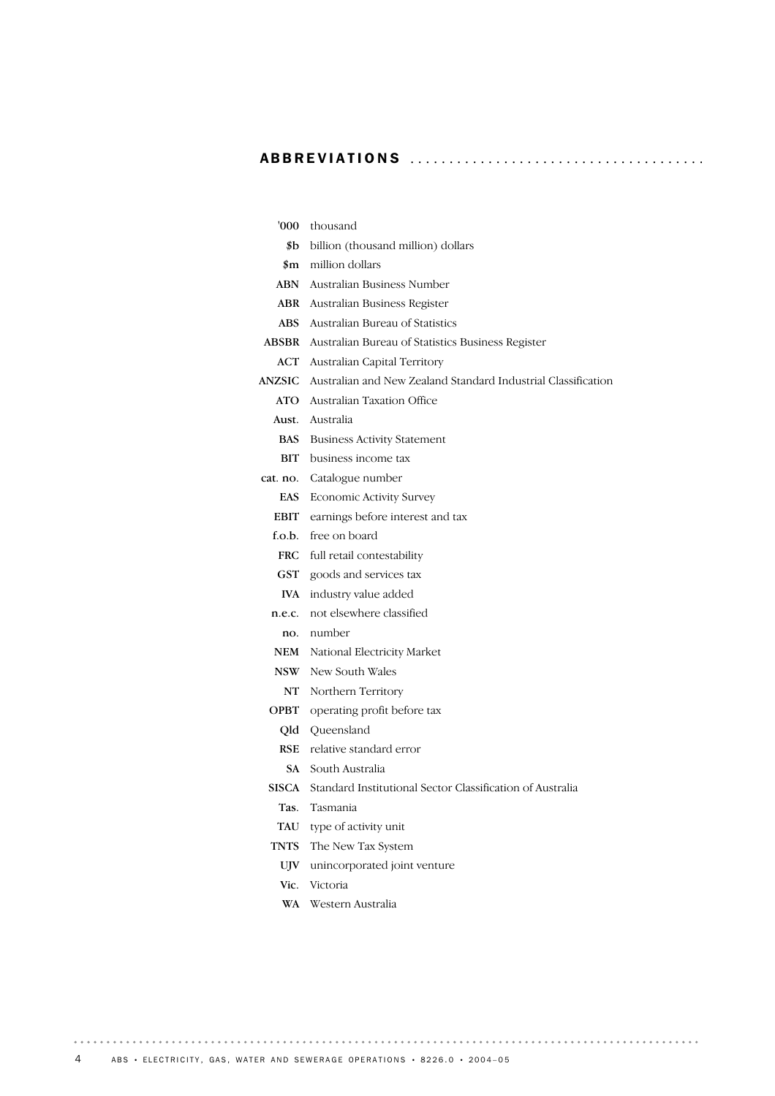# ABBREVIATIONS ..................................... .

| thousand                                                           |
|--------------------------------------------------------------------|
| billion (thousand million) dollars                                 |
| million dollars                                                    |
| <b>ABN</b> Australian Business Number                              |
| Australian Business Register                                       |
| Australian Bureau of Statistics                                    |
| Australian Bureau of Statistics Business Register                  |
| <b>ACT</b> Australian Capital Territory                            |
| Australian and New Zealand Standard Industrial Classification      |
| <b>ATO</b> Australian Taxation Office                              |
| <b>Aust.</b> Australia                                             |
| BAS<br><b>Business Activity Statement</b>                          |
| <b>BIT</b> business income tax                                     |
| cat. no. Catalogue number                                          |
| <b>Economic Activity Survey</b>                                    |
| EBIT earnings before interest and tax                              |
| f.o.b. free on board                                               |
| full retail contestability                                         |
| GST<br>goods and services tax                                      |
| industry value added                                               |
| not elsewhere classified<br>n.e.c.                                 |
| no. number                                                         |
| National Electricity Market                                        |
| New South Wales                                                    |
| Northern Territory                                                 |
| operating profit before tax                                        |
| Queensland                                                         |
| relative standard error                                            |
| SA -<br>South Australia                                            |
| Standard Institutional Sector Classification of Australia<br>SISCA |
| Tasmania                                                           |
| type of activity unit                                              |
| The New Tax System                                                 |
| unincorporated joint venture                                       |
| Victoria                                                           |
| Western Australia                                                  |
|                                                                    |

 $\alpha$  ,  $\alpha$  ,  $\alpha$  ,  $\alpha$  ,  $\alpha$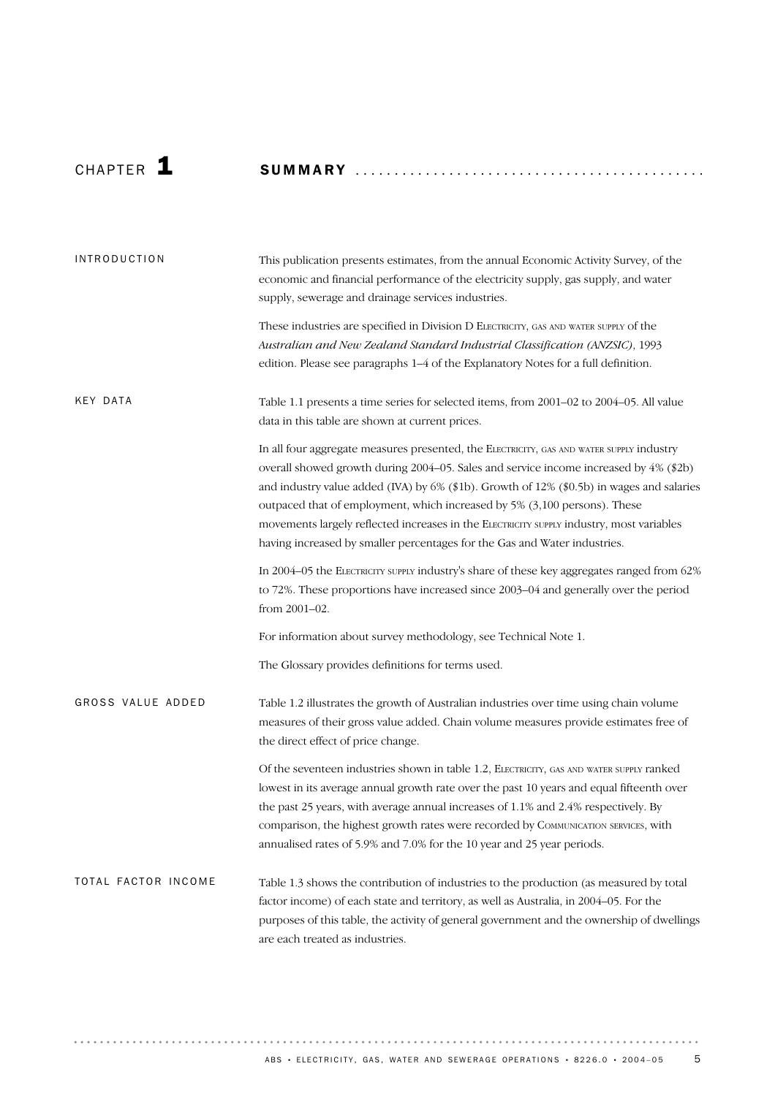# CHAP T E R 1 SUMMARY ............................................ . Table 1.1 presents a time series for selected items, from 2001–02 to 2004–05. All value data in this table are shown at current prices. In all four aggregate measures presented, the ELECTRICITY, GAS AND WATER SUPPLY industry overall showed growth during 2004–05. Sales and service income increased by 4% (\$2b) and industry value added (IVA) by 6% (\$1b). Growth of 12% (\$0.5b) in wages and salaries outpaced that of employment, which increased by 5% (3,100 persons). These movements largely reflected increases in the ELECTRICITY SUPPLY industry, most variables having increased by smaller percentages for the Gas and Water industries. KEY DATA This publication presents estimates, from the annual Economic Activity Survey, of the economic and financial performance of the electricity supply, gas supply, and water supply, sewerage and drainage services industries. These industries are specified in Division D ELECTRICITY, GAS AND WATER SUPPLY of the *Australian and New Zealand Standard Industrial Classification (ANZSIC)*, 1993 edition. Please see paragraphs 1–4 of the Explanatory Notes for a full definition. INTRODUCTION

In 2004–05 the ELECTRICITY SUPPLY industry's share of these key aggregates ranged from 62% to 72%. These proportions have increased since 2003–04 and generally over the period from 2001–02.

For information about survey methodology, see Technical Note 1.

The Glossary provides definitions for terms used.

Table 1.2 illustrates the growth of Australian industries over time using chain volume measures of their gross value added. Chain volume measures provide estimates free of the direct effect of price change. GROSS VALUE ADDED

> Of the seventeen industries shown in table 1.2, ELECTRICITY, GAS AND WATER SUPPLY ranked lowest in its average annual growth rate over the past 10 years and equal fifteenth over the past 25 years, with average annual increases of 1.1% and 2.4% respectively. By comparison, the highest growth rates were recorded by COMMUNICATION SERVICES, with annualised rates of 5.9% and 7.0% for the 10 year and 25 year periods.

Table 1.3 shows the contribution of industries to the production (as measured by total factor income) of each state and territory, as well as Australia, in 2004–05. For the purposes of this table, the activity of general government and the ownership of dwellings are each treated as industries. TOTAL FACTOR INCOME

. . . . . . . . . .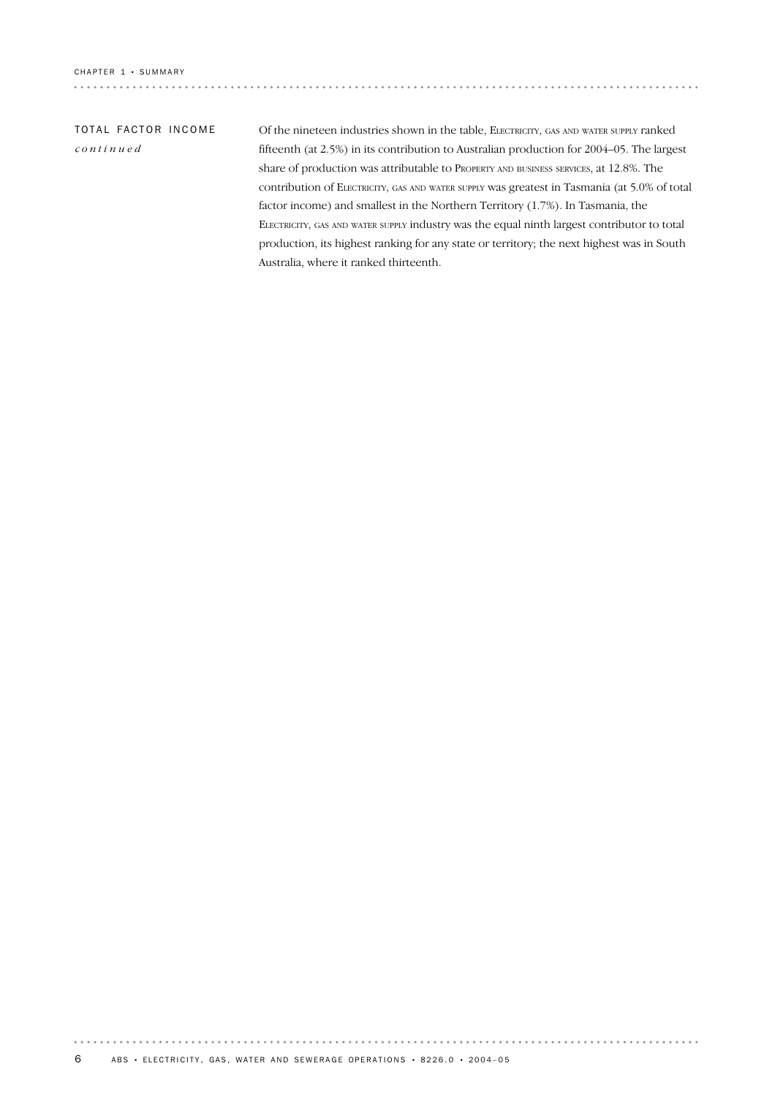# TOTAL FACTOR INCOME *continued*

Of the nineteen industries shown in the table, ELECTRICITY, GAS AND WATER SUPPLY ranked fifteenth (at 2.5%) in its contribution to Australian production for 2004–05. The largest share of production was attributable to PROPERTY AND BUSINESS SERVICES, at 12.8%. The contribution of ELECTRICITY, GAS AND WATER SUPPLY was greatest in Tasmania (at 5.0% of total factor income) and smallest in the Northern Territory (1.7%). In Tasmania, the ELECTRICITY, GAS AND WATER SUPPLY industry was the equal ninth largest contributor to total production, its highest ranking for any state or territory; the next highest was in South Australia, where it ranked thirteenth.

. . . . . . . . . . . . . . . . . .

 $0.0001$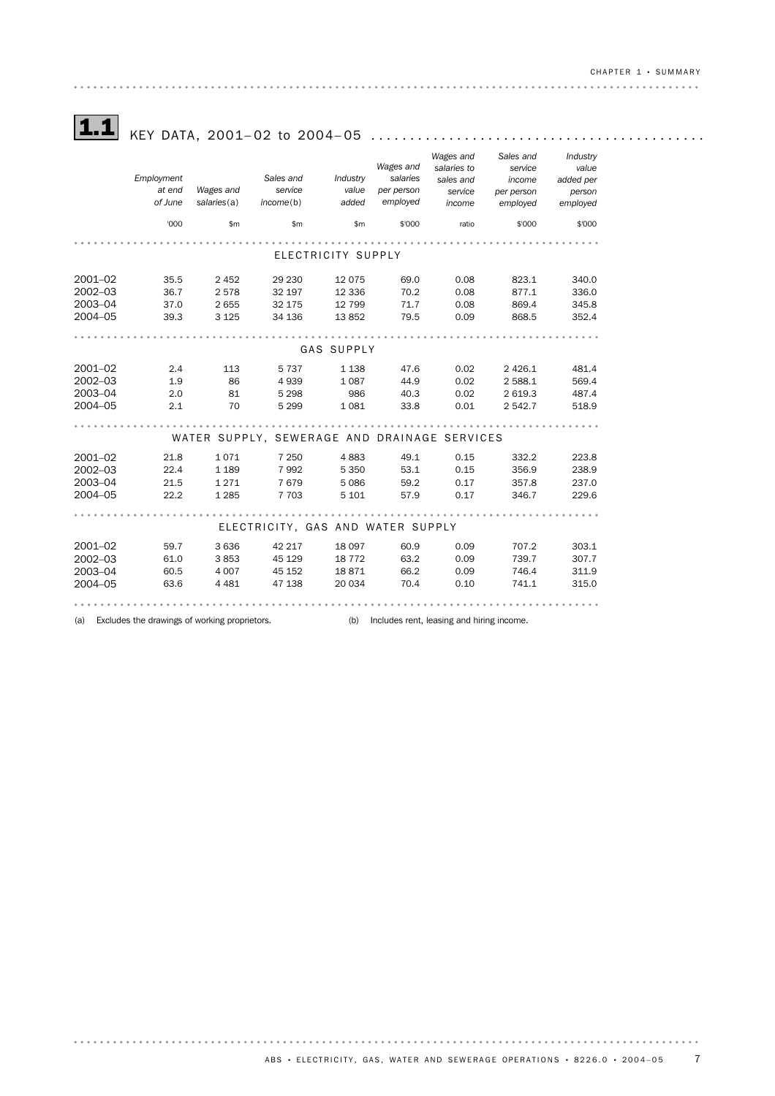# 1.1 KEY DATA, 2001– 02 to 2004– <sup>05</sup> ...........................................

|             |                                                                                                   |             |                                              |                    |                       | Wages and            | Sales and            | Industry            |
|-------------|---------------------------------------------------------------------------------------------------|-------------|----------------------------------------------|--------------------|-----------------------|----------------------|----------------------|---------------------|
|             | Employment                                                                                        |             | Sales and                                    | Industry           | Wages and<br>salaries | salaries to          | service              | value               |
|             | at end                                                                                            | Wages and   | service                                      | value              | per person            | sales and<br>service | income<br>per person | added per<br>person |
|             | of June                                                                                           | salaries(a) | income(b)                                    | added              | employed              | income               | employed             | employed            |
|             |                                                                                                   |             |                                              |                    |                       |                      |                      |                     |
|             | '000                                                                                              | \$m\$       | \$m\$                                        | \$m                | \$'000                | ratio                | \$'000               | \$'000              |
|             |                                                                                                   |             |                                              |                    |                       |                      |                      |                     |
|             |                                                                                                   |             |                                              | ELECTRICITY SUPPLY |                       |                      |                      |                     |
| 2001-02     | 35.5                                                                                              | 2 4 5 2     | 29 230                                       | 12 0 75            | 69.0                  | 0.08                 | 823.1                | 340.0               |
| 2002-03     | 36.7                                                                                              | 2578        | 32 197                                       | 12 3 36            | 70.2                  | 0.08                 | 877.1                | 336.0               |
| 2003-04     | 37.0                                                                                              | 2 6 5 5     | 32 175                                       | 12 799             | 71.7                  | 0.08                 | 869.4                | 345.8               |
| 2004-05     | 39.3                                                                                              | 3 1 2 5     | 34 136                                       | 13852              | 79.5                  | 0.09                 | 868.5                | 352.4               |
|             |                                                                                                   |             |                                              |                    |                       |                      |                      |                     |
|             |                                                                                                   |             |                                              | GAS SUPPLY         |                       |                      |                      |                     |
| 2001-02     | 2.4                                                                                               | 113         | 5 7 3 7                                      | 1 1 3 8            | 47.6                  | 0.02                 | 2 4 2 6.1            | 481.4               |
| 2002-03     | 1.9                                                                                               | 86          | 4939                                         | 1 0 8 7            | 44.9                  | 0.02                 | 2 5 8 8.1            | 569.4               |
| 2003-04     | 2.0                                                                                               | 81          | 5 2 9 8                                      | 986                | 40.3                  | 0.02                 | 2 6 1 9.3            | 487.4               |
| 2004-05     | 2.1                                                                                               | 70          | 5 2 9 9                                      | 1 0 8 1            | 33.8                  | 0.01                 | 2 542.7              | 518.9               |
|             |                                                                                                   |             |                                              |                    |                       |                      |                      |                     |
|             |                                                                                                   |             | WATER SUPPLY, SEWERAGE AND DRAINAGE SERVICES |                    |                       |                      |                      |                     |
| 2001-02     | 21.8                                                                                              | 1071        | 7 2 5 0                                      | 4883               | 49.1                  | 0.15                 | 332.2                | 223.8               |
| $2002 - 03$ | 22.4                                                                                              | 1 1 8 9     | 7992                                         | 5 3 5 0            | 53.1                  | 0.15                 | 356.9                | 238.9               |
| 2003-04     | 21.5                                                                                              | 1 2 7 1     | 7679                                         | 5 0 8 6            | 59.2                  | 0.17                 | 357.8                | 237.0               |
| 2004-05     | 22.2                                                                                              | 1 2 8 5     | 7 7 0 3                                      | 5 1 0 1            | 57.9                  | 0.17                 | 346.7                | 229.6               |
|             |                                                                                                   |             |                                              |                    |                       |                      |                      |                     |
|             |                                                                                                   |             | ELECTRICITY, GAS AND WATER SUPPLY            |                    |                       |                      |                      |                     |
| 2001-02     | 59.7                                                                                              | 3 6 3 6     | 42 217                                       | 18 097             | 60.9                  | 0.09                 | 707.2                | 303.1               |
| $2002 - 03$ | 61.0                                                                                              | 3853        | 45 129                                       | 18 772             | 63.2                  | 0.09                 | 739.7                | 307.7               |
| 2003-04     | 60.5                                                                                              | 4 0 0 7     | 45 152                                       | 18871              | 66.2                  | 0.09                 | 746.4                | 311.9               |
| 2004-05     | 63.6                                                                                              | 4 4 8 1     | 47 138                                       | 20 034             | 70.4                  | 0.10                 | 741.1                | 315.0               |
|             |                                                                                                   |             |                                              |                    |                       |                      |                      |                     |
| (a)         | Excludes the drawings of working proprietors.<br>Includes rent, leasing and hiring income.<br>(b) |             |                                              |                    |                       |                      |                      |                     |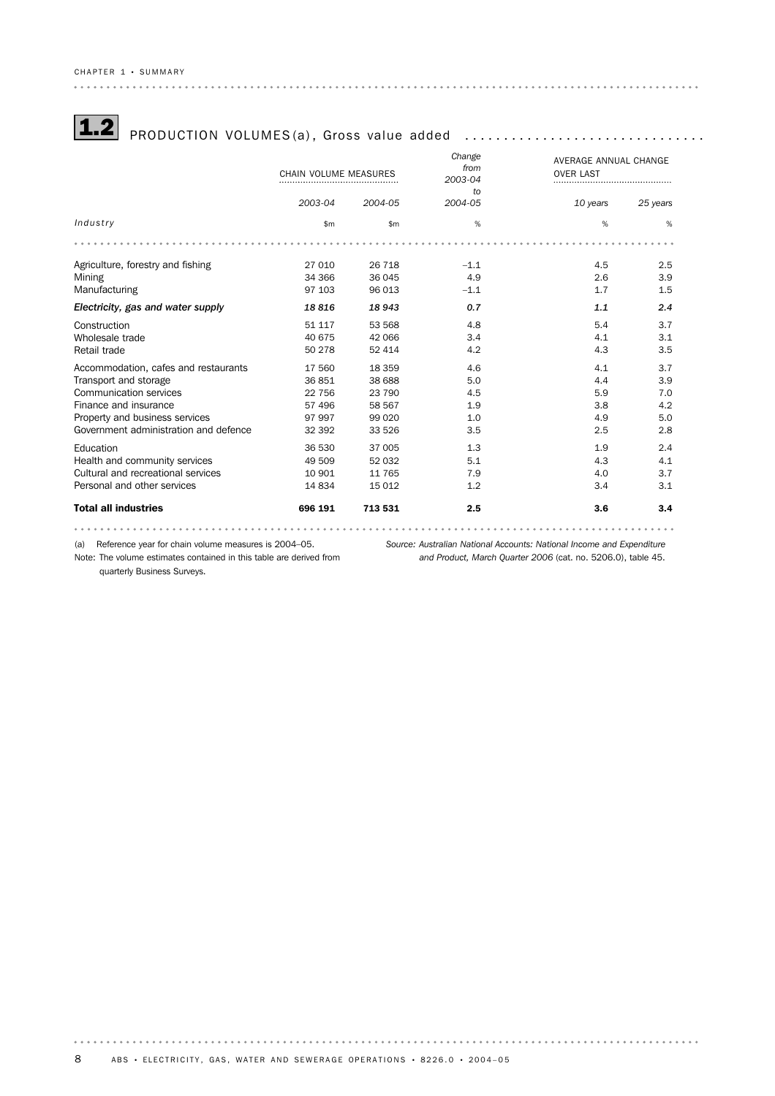# $\fbox{1.2}$  PRODUCTION VOLUMES(a), Gross value added  $\,\dots\,\dots\,\dots\,\dots\,\dots\,\dots\,\dots\,\dots\,\dots\,\dots\,\dots\,$

|                                       | CHAIN VOLUME MEASURES |              | Change<br>from<br>2003-04 | AVERAGE ANNUAL CHANGE<br><b>OVER LAST</b> |          |
|---------------------------------------|-----------------------|--------------|---------------------------|-------------------------------------------|----------|
|                                       |                       |              | to                        |                                           |          |
|                                       | 2003-04               | 2004-05      | 2004-05                   | 10 years                                  | 25 years |
| Industry                              | \$m                   | $\mathsf{m}$ | %                         | %                                         | %        |
|                                       |                       |              |                           |                                           |          |
| Agriculture, forestry and fishing     | 27 010                | 26 718       | $-1.1$                    | 4.5                                       | 2.5      |
| Mining                                | 34 366                | 36 045       | 4.9                       | 2.6                                       | 3.9      |
| Manufacturing                         | 97 103                | 96 013       | $-1.1$                    | 1.7                                       | 1.5      |
| Electricity, gas and water supply     | 18816                 | 18943        | 0.7                       | 1.1                                       | 2.4      |
| Construction                          | 51 117                | 53 568       | 4.8                       | 5.4                                       | 3.7      |
| Wholesale trade                       | 40 675                | 42 066       | 3.4                       | 4.1                                       | 3.1      |
| Retail trade                          | 50 278                | 52 414       | 4.2                       | 4.3                                       | 3.5      |
| Accommodation, cafes and restaurants  | 17 560                | 18 3 5 9     | 4.6                       | 4.1                                       | 3.7      |
| Transport and storage                 | 36851                 | 38 688       | 5.0                       | 4.4                                       | 3.9      |
| Communication services                | 22 756                | 23 790       | 4.5                       | 5.9                                       | 7.0      |
| Finance and insurance                 | 57 496                | 58 567       | 1.9                       | 3.8                                       | 4.2      |
| Property and business services        | 97 997                | 99 0 20      | 1.0                       | 4.9                                       | 5.0      |
| Government administration and defence | 32 392                | 33 526       | 3.5                       | 2.5                                       | 2.8      |
| Education                             | 36 530                | 37 005       | 1.3                       | 1.9                                       | 2.4      |
| Health and community services         | 49 509                | 52 032       | 5.1                       | 4.3                                       | 4.1      |
| Cultural and recreational services    | 10 901                | 11 765       | 7.9                       | 4.0                                       | 3.7      |
| Personal and other services           | 14834                 | 15 0 12      | 1.2                       | 3.4                                       | 3.1      |
| <b>Total all industries</b>           | 696 191               | 713 531      | 2.5                       | 3.6                                       | 3.4      |
|                                       |                       |              |                           |                                           |          |

(a) Reference year for chain volume measures is 2004–05.

Note: The volume estimates contained in this table are derived from

*Source: Australian National Accounts: National Income and Expenditure and Product, March Quarter 2006* (cat. no. 5206.0), table 45.

quarterly Business Surveys.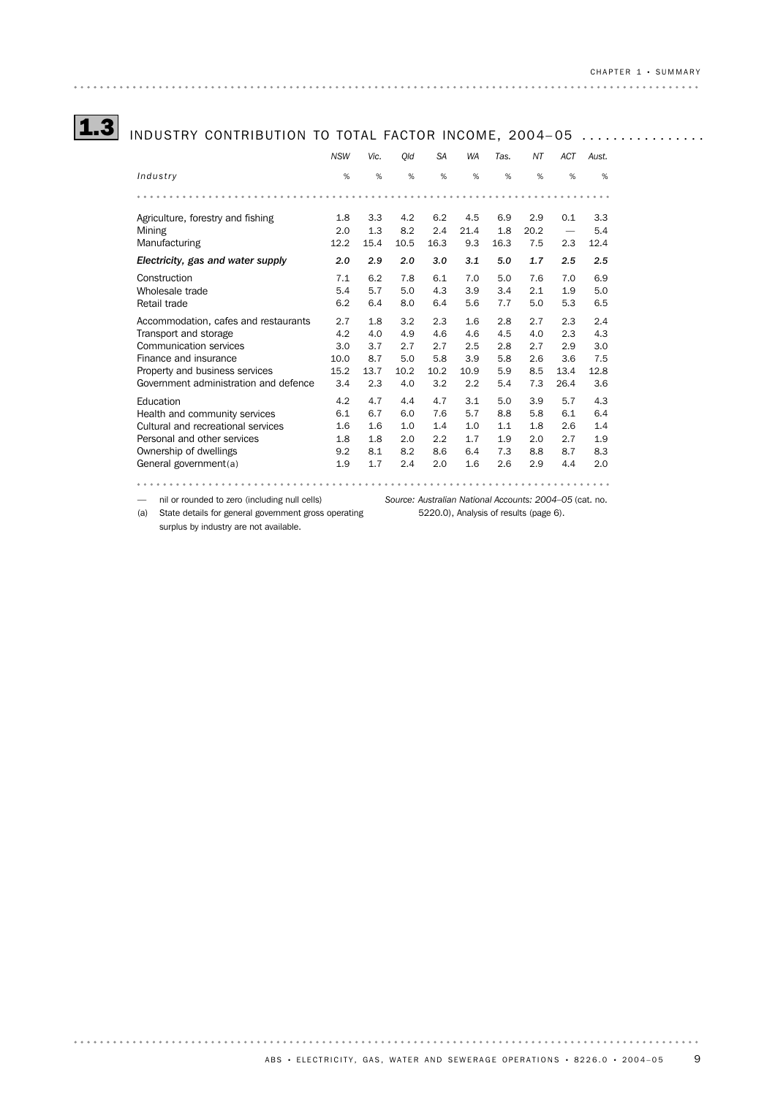# 1.3 INDUSTRY CONTRIBUTION TO TOTAL FACTOR INCOME, 2004–05 ................

|                                                              | <b>NSW</b>         | Vic.               | Old                | <b>SA</b>          | <b>WA</b>          | Tas.               | ΝT                 | <b>ACT</b> | Aust.              |
|--------------------------------------------------------------|--------------------|--------------------|--------------------|--------------------|--------------------|--------------------|--------------------|------------|--------------------|
| Industry                                                     | %                  | %                  | %                  | %                  | %                  | %                  | %                  | %          | %                  |
|                                                              |                    |                    |                    |                    |                    |                    |                    |            |                    |
| Agriculture, forestry and fishing<br>Mining<br>Manufacturing | 1.8<br>2.0<br>12.2 | 3.3<br>1.3<br>15.4 | 4.2<br>8.2<br>10.5 | 6.2<br>2.4<br>16.3 | 4.5<br>21.4<br>9.3 | 6.9<br>1.8<br>16.3 | 2.9<br>20.2<br>7.5 | 0.1<br>2.3 | 3.3<br>5.4<br>12.4 |
| Electricity, gas and water supply                            | 2.0                | 2.9                | 2.0                | 3.0                | 3.1                | 5.0                | 1.7                | 2.5        | 2.5                |
| Construction                                                 | 7.1                | 6.2                | 7.8                | 6.1                | 7.0                | 5.0                | 7.6                | 7.0        | 6.9                |
| Wholesale trade                                              | 5.4                | 5.7                | 5.0                | 4.3                | 3.9                | 3.4                | 2.1                | 1.9        | 5.0                |
| Retail trade                                                 | 6.2                | 6.4                | 8.0                | 6.4                | 5.6                | 7.7                | 5.0                | 5.3        | 6.5                |
| Accommodation, cafes and restaurants                         | 2.7                | 1.8                | 3.2                | 2.3                | 1.6                | 2.8                | 2.7                | 2.3        | 2.4                |
| Transport and storage                                        | 4.2                | 4.0                | 4.9                | 4.6                | 4.6                | 4.5                | 4.0                | 2.3        | 4.3                |
| Communication services                                       | 3.0                | 3.7                | 2.7                | 2.7                | 2.5                | 2.8                | 2.7                | 2.9        | 3.0                |
| Finance and insurance                                        | 10.0               | 8.7                | 5.0                | 5.8                | 3.9                | 5.8                | 2.6                | 3.6        | 7.5                |
| Property and business services                               | 15.2               | 13.7               | 10.2               | 10.2               | 10.9               | 5.9                | 8.5                | 13.4       | 12.8               |
| Government administration and defence                        | 3.4                | 2.3                | 4.0                | 3.2                | 2.2                | 5.4                | 7.3                | 26.4       | 3.6                |
| Education                                                    | 4.2                | 4.7                | 4.4                | 4.7                | 3.1                | 5.0                | 3.9                | 5.7        | 4.3                |
| Health and community services                                | 6.1                | 6.7                | 6.0                | 7.6                | 5.7                | 8.8                | 5.8                | 6.1        | 6.4                |
| Cultural and recreational services                           | 1.6                | 1.6                | 1.0                | 1.4                | 1.0                | 1.1                | 1.8                | 2.6        | 1.4                |
| Personal and other services                                  | 1.8                | 1.8                | 2.0                | 2.2                | 1.7                | 1.9                | 2.0                | 2.7        | 1.9                |
| Ownership of dwellings                                       | 9.2                | 8.1                | 8.2                | 8.6                | 6.4                | 7.3                | 8.8                | 8.7        | 8.3                |
| General government(a)                                        | 1.9                | 1.7                | 2.4                | 2.0                | 1.6                | 2.6                | 2.9                | 4.4        | 2.0                |
|                                                              |                    |                    |                    |                    |                    |                    |                    |            |                    |

(a) State details for general government gross operating surplus by industry are not available.

*Source: Australian National Accounts: 2004–05* (cat. no. — nil or rounded to zero (including null cells) 5220.0), Analysis of results (page 6).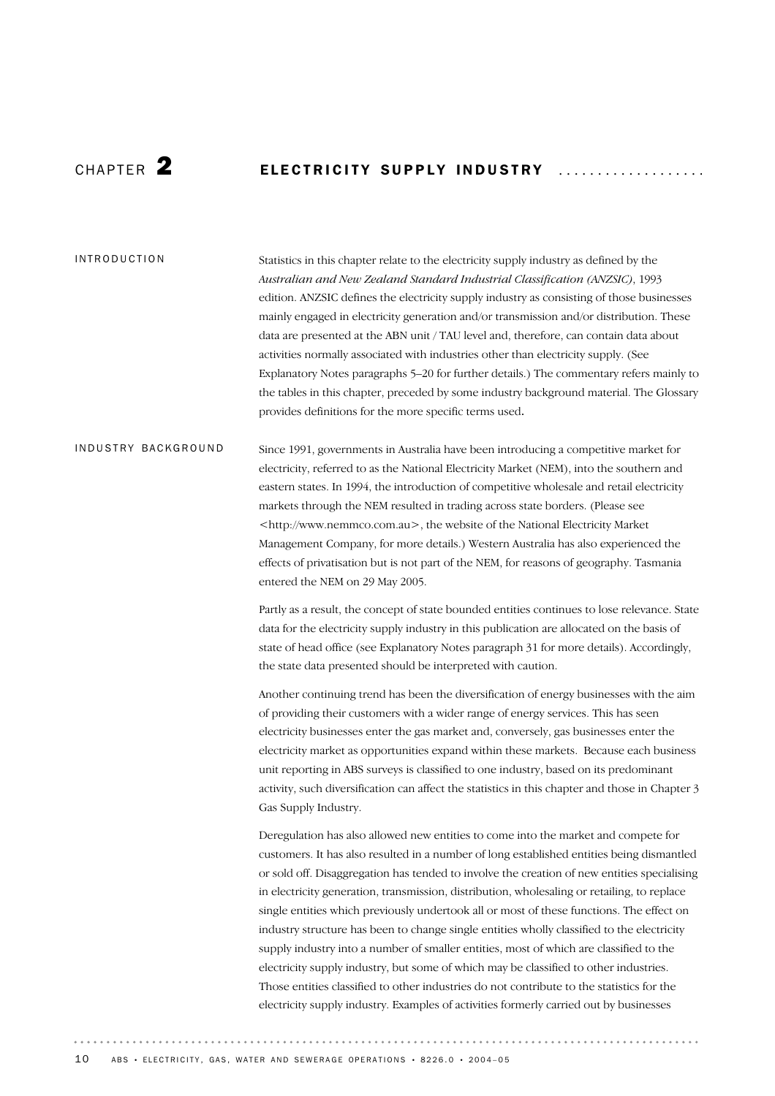# CHAPTER  $\bf 2$  **ELECTRICITY SUPPLY INDUSTRY**

#### INTRODUCTION

Statistics in this chapter relate to the electricity supply industry as defined by the *Australian and New Zealand Standard Industrial Classification (ANZSIC)*, 1993 edition. ANZSIC defines the electricity supply industry as consisting of those businesses mainly engaged in electricity generation and/or transmission and/or distribution. These data are presented at the ABN unit / TAU level and, therefore, can contain data about activities normally associated with industries other than electricity supply. (See Explanatory Notes paragraphs 5–20 for further details.) The commentary refers mainly to the tables in this chapter, preceded by some industry background material. The Glossary provides definitions for the more specific terms used.

# Since 1991, governments in Australia have been introducing a competitive market for electricity, referred to as the National Electricity Market (NEM), into the southern and eastern states. In 1994, the introduction of competitive wholesale and retail electricity markets through the NEM resulted in trading across state borders. (Please see <http://www.nemmco.com.au>, the website of the National Electricity Market Management Company, for more details.) Western Australia has also experienced the effects of privatisation but is not part of the NEM, for reasons of geography. Tasmania entered the NEM on 29 May 2005. INDUSTRY BACKGROUND

Partly as a result, the concept of state bounded entities continues to lose relevance. State data for the electricity supply industry in this publication are allocated on the basis of state of head office (see Explanatory Notes paragraph 31 for more details). Accordingly, the state data presented should be interpreted with caution.

Another continuing trend has been the diversification of energy businesses with the aim of providing their customers with a wider range of energy services. This has seen electricity businesses enter the gas market and, conversely, gas businesses enter the electricity market as opportunities expand within these markets. Because each business unit reporting in ABS surveys is classified to one industry, based on its predominant activity, such diversification can affect the statistics in this chapter and those in Chapter 3 Gas Supply Industry.

Deregulation has also allowed new entities to come into the market and compete for customers. It has also resulted in a number of long established entities being dismantled or sold off. Disaggregation has tended to involve the creation of new entities specialising in electricity generation, transmission, distribution, wholesaling or retailing, to replace single entities which previously undertook all or most of these functions. The effect on industry structure has been to change single entities wholly classified to the electricity supply industry into a number of smaller entities, most of which are classified to the electricity supply industry, but some of which may be classified to other industries. Those entities classified to other industries do not contribute to the statistics for the electricity supply industry. Examples of activities formerly carried out by businesses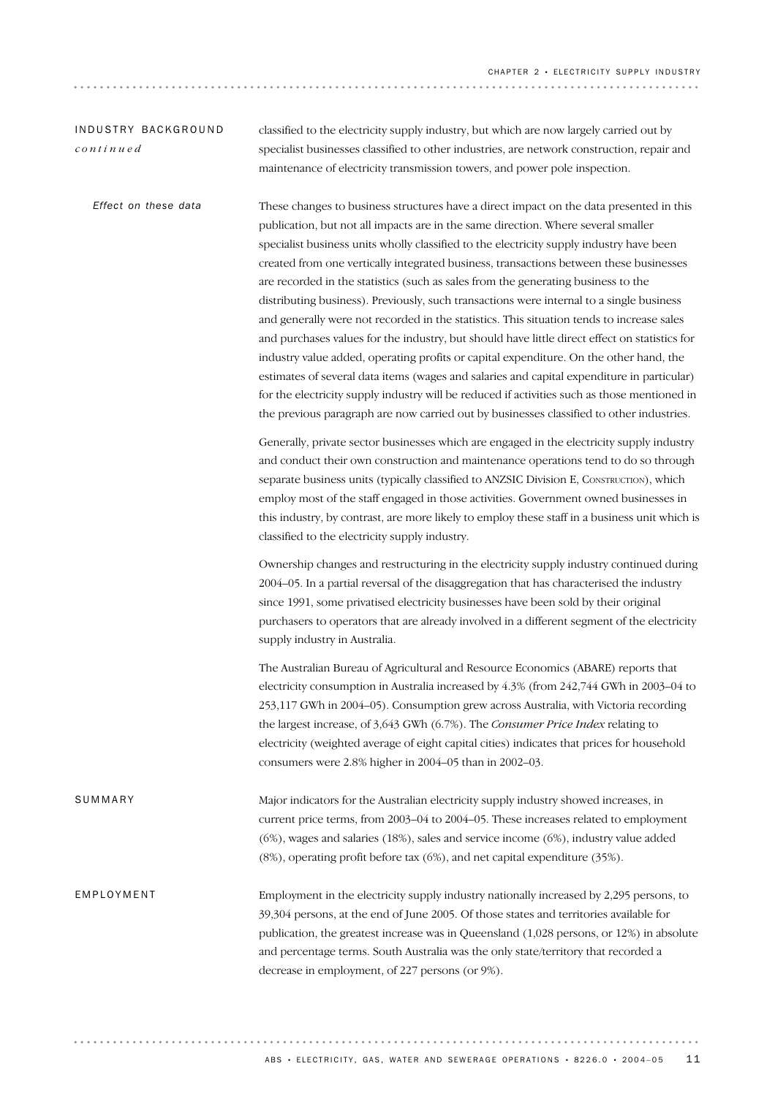| INDUSTRY BACKGROUND<br>continued | classified to the electricity supply industry, but which are now largely carried out by<br>specialist businesses classified to other industries, are network construction, repair and<br>maintenance of electricity transmission towers, and power pole inspection.                                                                                                                                                                                                                                                                                                                                                                                                                                                                                                                                                                                                                                                                                                                                                                                                                                                                   |
|----------------------------------|---------------------------------------------------------------------------------------------------------------------------------------------------------------------------------------------------------------------------------------------------------------------------------------------------------------------------------------------------------------------------------------------------------------------------------------------------------------------------------------------------------------------------------------------------------------------------------------------------------------------------------------------------------------------------------------------------------------------------------------------------------------------------------------------------------------------------------------------------------------------------------------------------------------------------------------------------------------------------------------------------------------------------------------------------------------------------------------------------------------------------------------|
| Effect on these data             | These changes to business structures have a direct impact on the data presented in this<br>publication, but not all impacts are in the same direction. Where several smaller<br>specialist business units wholly classified to the electricity supply industry have been<br>created from one vertically integrated business, transactions between these businesses<br>are recorded in the statistics (such as sales from the generating business to the<br>distributing business). Previously, such transactions were internal to a single business<br>and generally were not recorded in the statistics. This situation tends to increase sales<br>and purchases values for the industry, but should have little direct effect on statistics for<br>industry value added, operating profits or capital expenditure. On the other hand, the<br>estimates of several data items (wages and salaries and capital expenditure in particular)<br>for the electricity supply industry will be reduced if activities such as those mentioned in<br>the previous paragraph are now carried out by businesses classified to other industries. |
|                                  | Generally, private sector businesses which are engaged in the electricity supply industry<br>and conduct their own construction and maintenance operations tend to do so through<br>separate business units (typically classified to ANZSIC Division E, CONSTRUCTION), which<br>employ most of the staff engaged in those activities. Government owned businesses in<br>this industry, by contrast, are more likely to employ these staff in a business unit which is<br>classified to the electricity supply industry.                                                                                                                                                                                                                                                                                                                                                                                                                                                                                                                                                                                                               |
|                                  | Ownership changes and restructuring in the electricity supply industry continued during<br>2004-05. In a partial reversal of the disaggregation that has characterised the industry<br>since 1991, some privatised electricity businesses have been sold by their original<br>purchasers to operators that are already involved in a different segment of the electricity<br>supply industry in Australia.                                                                                                                                                                                                                                                                                                                                                                                                                                                                                                                                                                                                                                                                                                                            |
|                                  | The Australian Bureau of Agricultural and Resource Economics (ABARE) reports that<br>electricity consumption in Australia increased by 4.3% (from 242,744 GWh in 2003–04 to<br>253,117 GWh in 2004-05). Consumption grew across Australia, with Victoria recording<br>the largest increase, of 3,643 GWh (6.7%). The Consumer Price Index relating to<br>electricity (weighted average of eight capital cities) indicates that prices for household<br>consumers were 2.8% higher in 2004-05 than in 2002-03.                                                                                                                                                                                                                                                                                                                                                                                                                                                                                                                                                                                                                         |
| SUMMARY                          | Major indicators for the Australian electricity supply industry showed increases, in<br>current price terms, from 2003-04 to 2004-05. These increases related to employment<br>(6%), wages and salaries (18%), sales and service income (6%), industry value added<br>(8%), operating profit before tax (6%), and net capital expenditure (35%).                                                                                                                                                                                                                                                                                                                                                                                                                                                                                                                                                                                                                                                                                                                                                                                      |
| EMPLOYMENT                       | Employment in the electricity supply industry nationally increased by 2,295 persons, to<br>39,304 persons, at the end of June 2005. Of those states and territories available for<br>publication, the greatest increase was in Queensland (1,028 persons, or 12%) in absolute<br>and percentage terms. South Australia was the only state/territory that recorded a<br>decrease in employment, of 227 persons (or 9%).                                                                                                                                                                                                                                                                                                                                                                                                                                                                                                                                                                                                                                                                                                                |

 $A$ BS • ELECTRICITY, GAS, WATER AND SEWERAGE OPERATIONS • 8226.0 • 2004-05 11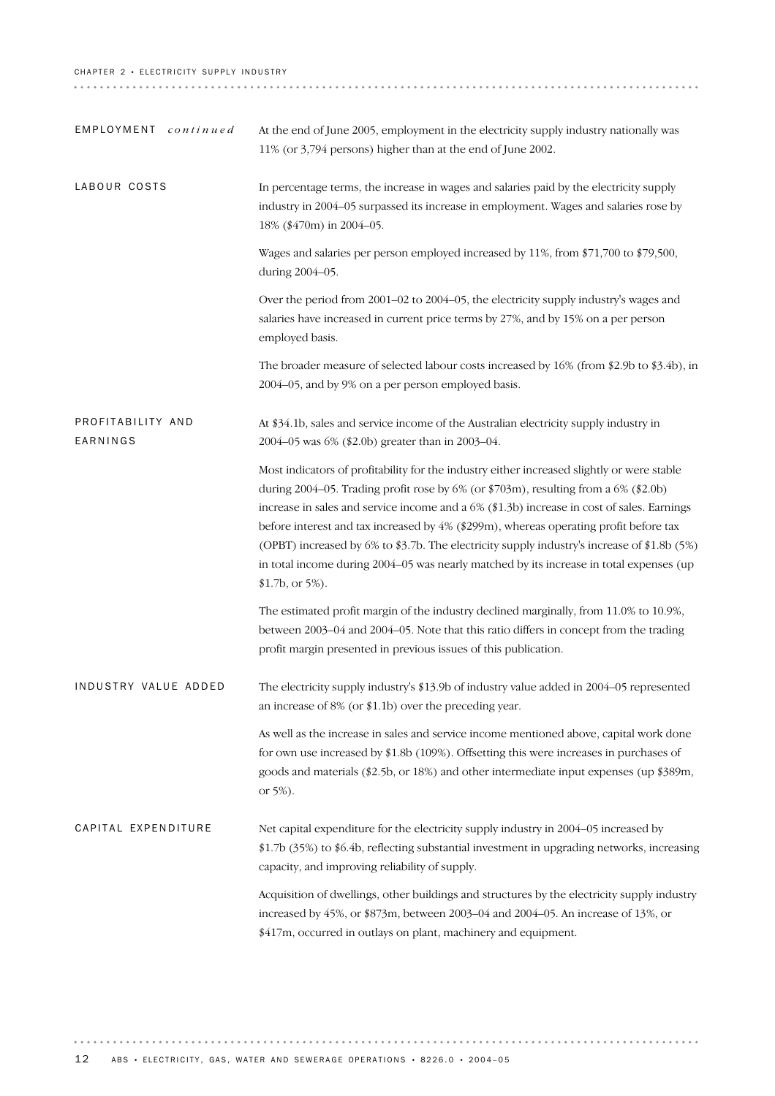#### CHAPTER 2 · ELECTRICITY SUPPLY INDUSTRY

| EMPLOYMENT continued          | At the end of June 2005, employment in the electricity supply industry nationally was<br>11% (or 3,794 persons) higher than at the end of June 2002.                                                                                                                                                                                                                                                                                                                                                                                                                                  |
|-------------------------------|---------------------------------------------------------------------------------------------------------------------------------------------------------------------------------------------------------------------------------------------------------------------------------------------------------------------------------------------------------------------------------------------------------------------------------------------------------------------------------------------------------------------------------------------------------------------------------------|
| LABOUR COSTS                  | In percentage terms, the increase in wages and salaries paid by the electricity supply<br>industry in 2004-05 surpassed its increase in employment. Wages and salaries rose by<br>18% (\$470m) in 2004-05.                                                                                                                                                                                                                                                                                                                                                                            |
|                               | Wages and salaries per person employed increased by 11%, from \$71,700 to \$79,500,<br>during 2004-05.                                                                                                                                                                                                                                                                                                                                                                                                                                                                                |
|                               | Over the period from 2001–02 to 2004–05, the electricity supply industry's wages and<br>salaries have increased in current price terms by 27%, and by 15% on a per person<br>employed basis.                                                                                                                                                                                                                                                                                                                                                                                          |
|                               | The broader measure of selected labour costs increased by 16% (from \$2.9b to \$3.4b), in<br>2004-05, and by 9% on a per person employed basis.                                                                                                                                                                                                                                                                                                                                                                                                                                       |
| PROFITABILITY AND<br>EARNINGS | At \$34.1b, sales and service income of the Australian electricity supply industry in<br>2004-05 was 6% (\$2.0b) greater than in 2003-04.                                                                                                                                                                                                                                                                                                                                                                                                                                             |
|                               | Most indicators of profitability for the industry either increased slightly or were stable<br>during 2004-05. Trading profit rose by 6% (or \$703m), resulting from a 6% (\$2.0b)<br>increase in sales and service income and a 6% (\$1.3b) increase in cost of sales. Earnings<br>before interest and tax increased by 4% (\$299m), whereas operating profit before tax<br>(OPBT) increased by 6% to \$3.7b. The electricity supply industry's increase of \$1.8b (5%)<br>in total income during 2004-05 was nearly matched by its increase in total expenses (up<br>\$1.7b, or 5%). |
|                               | The estimated profit margin of the industry declined marginally, from 11.0% to 10.9%,<br>between 2003–04 and 2004–05. Note that this ratio differs in concept from the trading<br>profit margin presented in previous issues of this publication.                                                                                                                                                                                                                                                                                                                                     |
| INDUSTRY VALUE ADDED          | The electricity supply industry's \$13.9b of industry value added in 2004–05 represented<br>an increase of 8% (or \$1.1b) over the preceding year.                                                                                                                                                                                                                                                                                                                                                                                                                                    |
|                               | As well as the increase in sales and service income mentioned above, capital work done<br>for own use increased by \$1.8b (109%). Offsetting this were increases in purchases of<br>goods and materials (\$2.5b, or 18%) and other intermediate input expenses (up \$389m,<br>or 5%).                                                                                                                                                                                                                                                                                                 |
| CAPITAL EXPENDITURE           | Net capital expenditure for the electricity supply industry in 2004–05 increased by<br>\$1.7b (35%) to \$6.4b, reflecting substantial investment in upgrading networks, increasing<br>capacity, and improving reliability of supply.                                                                                                                                                                                                                                                                                                                                                  |
|                               | Acquisition of dwellings, other buildings and structures by the electricity supply industry<br>increased by 45%, or \$873m, between 2003-04 and 2004-05. An increase of 13%, or<br>\$417m, occurred in outlays on plant, machinery and equipment.                                                                                                                                                                                                                                                                                                                                     |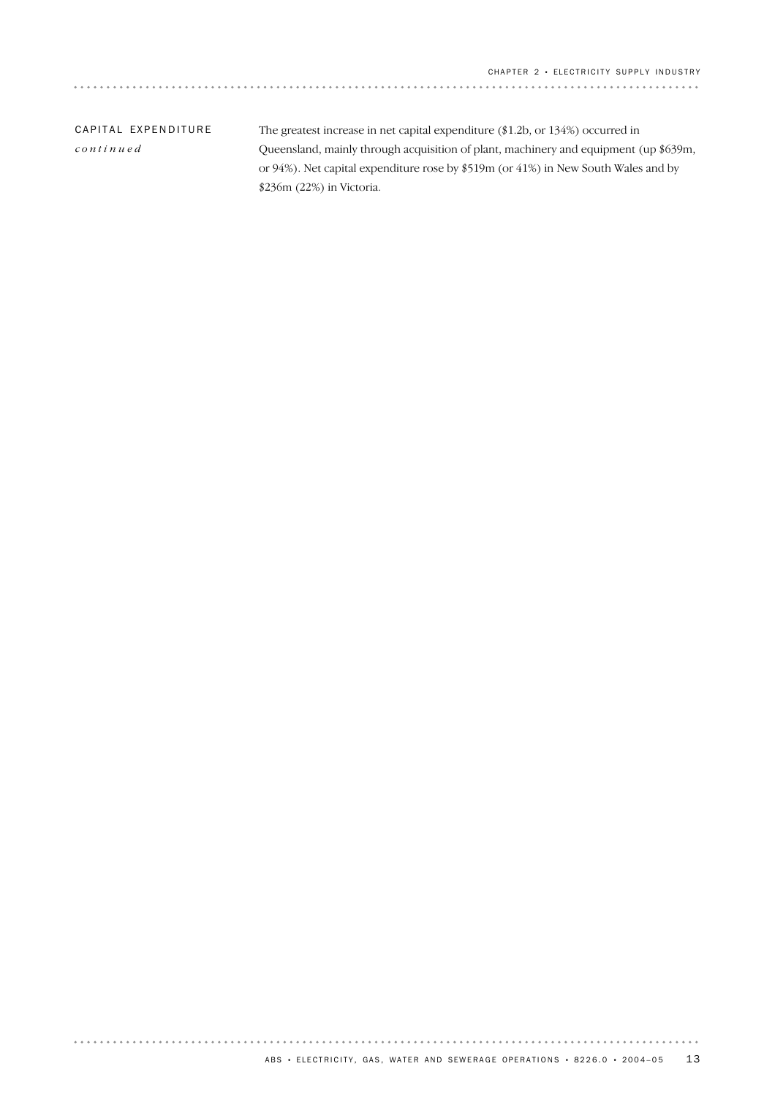| CAPITAL EXPENDITURE | The greatest increase in net capital expenditure $(\$1.2b,$ or $134\%)$ occurred in  |
|---------------------|--------------------------------------------------------------------------------------|
| continued           | Queensland, mainly through acquisition of plant, machinery and equipment (up \$639m, |
|                     | or 94%). Net capital expenditure rose by \$519m (or 41%) in New South Wales and by   |
|                     | $$236m (22%)$ in Victoria.                                                           |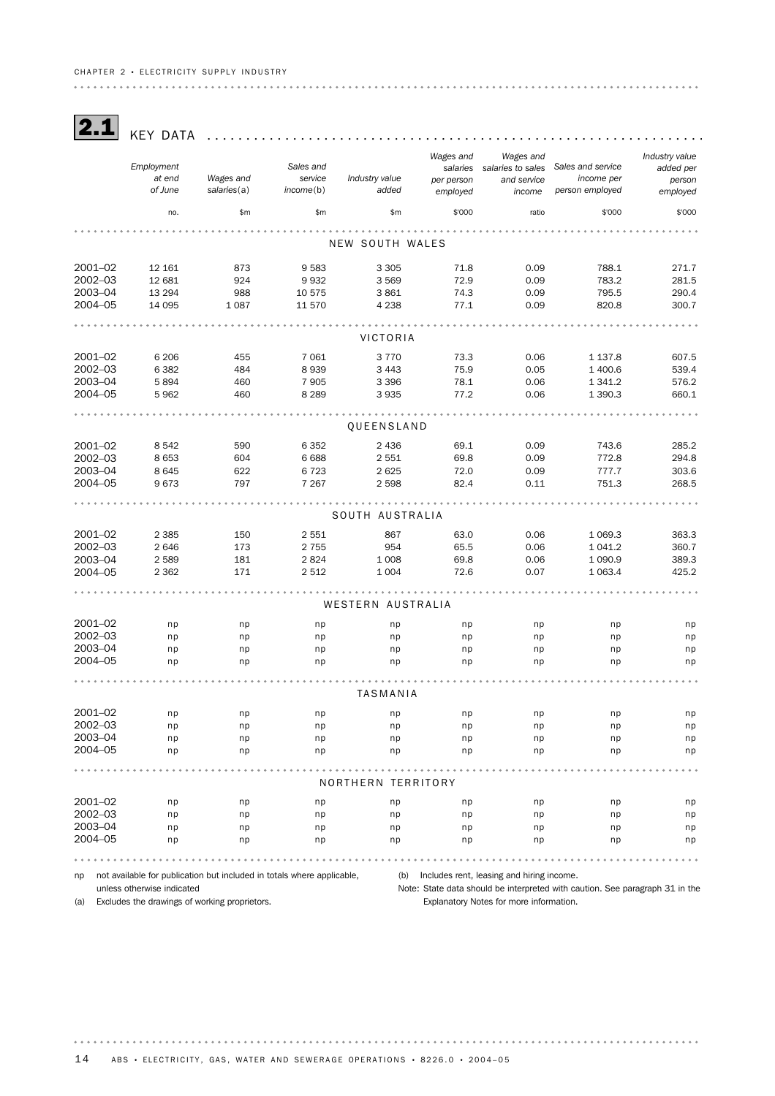#### CHAPTER 2 · ELECTRICITY SUPPLY INDUSTRY

2.1 KEY DATA ............................................................... . *Wages and Wages and Industry value Employment Sales and Sales and service salaries to sales salaries added per at end Wages and service Industry value income per and service person per person of June salaries*(a) *income*(b) *added person employed employed income employed* no. \$m \$m \$m \$'000 ratio \$'000 \$'000 . . . . . . . . . . . . . . . . . . . . . . . . . . . . . . . . . NEW SOUTH WALES 2001–02 12 161 873 9 583 3 305 71.8 0.09 788.1 271.7 2002–03 12 681 924 9 932 3 569 72.9 0.09 783.2 281.5 2003–04 13 294 988 10 575 3 861 74.3 0.09 795.5 290.4 2004–05 14 095 1 087 11 570 4 238 77.1 0.09 820.8 300.7 **\*\*\*\*\*\*\*\*\*\*\*** VICTORIA 2001–02 6 206 455 7 061 3 770 73.3 0.06 1 137.8 607.5 2002–03 6 382 484 8 939 3 443 75.9 0.05 1 400.6 539.4 2003–04 5 894 460 7 905 3 396 78.1 0.06 1 341.2 576.2 2004–05 5 962 460 8 289 3 935 77.2 0.06 1 390.3 660.1 QUEENSLAND 2001–02 8 542 590 6 352 2 436 69.1 0.09 743.6 285.2 2002–03 8 653 604 6 688 2 551 69.8 0.09 772.8 294.8 2003–04 8 645 622 6 723 2 625 72.0 0.09 777.7 303.6 2004–05 9 673 797 7 267 2 598 82.4 0.11 751.3 268.5 SOUTH AUSTRALIA 2001–02 2 385 150 2 551 867 63.0 0.06 1 069.3 363.3 2002–03 2 646 173 2 755 954 65.5 0.06 1 041.2 360.7 2003–04 2 589 181 2 824 1 008 69.8 0.06 1 090.9 389.3 2004–05 2 362 171 2 512 1 004 72.6 0.07 1 063.4 425.2 . . . . . . . . . . . . . . . . . . . . . . . WESTERN AUSTRALIA 2001–02 np np np np np np np np 2002–03 np np np np np np np np 2003–04 np np np np np np np np 2004–05 np np np np np np np np . . . . . . . . . . . . . . . . . . . . . . . . . . . .  $\frac{1}{2}$  $\cdots$ TASMANIA 2001–02 np np np np np np np np 2002–03 np np np np np np np np 2003–04 np np np np np np np np 2004–05 np np np np np np np np . . . . . . . . . . . . . . . . . NORTHERN TERRITORY 2001–02 np np np np np np np np 2002–03 np np np np np np np np 2003–04 np np np np np np np np 2004–05 np np np np np np np np 

np not available for publication but included in totals where applicable,

unless otherwise indicated

(b) Includes rent, leasing and hiring income.

(a) Excludes the drawings of working proprietors.

Note: State data should be interpreted with caution. See paragraph 31 in the Explanatory Notes for more information.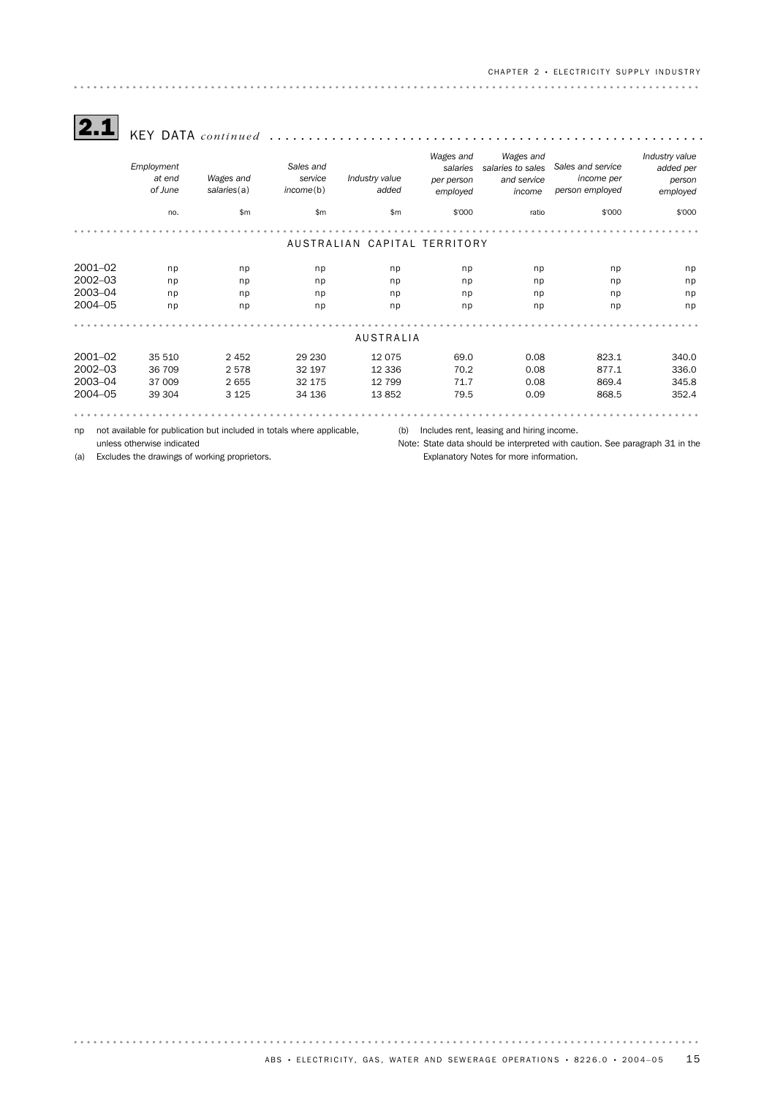CHAPTER 2 · ELECTRICITY SUPPLY INDUSTRY 

 $\boxed{\mathbf{2.1}}$  KEY DATA continued

|             | Employment<br>at end<br>of June | Wages and<br>salaries(a)                                               | Sales and<br>service<br>income(b) | Industry value<br>added      | Wages and<br>salaries<br>per person<br>employed | Wages and<br>salaries to sales<br>and service<br>income | Sales and service<br>income per<br>person employed | Industry value<br>added per<br>person<br>employed |
|-------------|---------------------------------|------------------------------------------------------------------------|-----------------------------------|------------------------------|-------------------------------------------------|---------------------------------------------------------|----------------------------------------------------|---------------------------------------------------|
|             | no.                             | \$m\$                                                                  | \$m\$                             | \$m                          | \$'000                                          | ratio                                                   | \$'000                                             | \$'000                                            |
|             |                                 |                                                                        |                                   | AUSTRALIAN CAPITAL TERRITORY |                                                 |                                                         |                                                    |                                                   |
|             |                                 |                                                                        |                                   |                              |                                                 |                                                         |                                                    |                                                   |
| $2001 - 02$ | np                              | np                                                                     | np                                | np                           | np                                              | np                                                      | np                                                 | np                                                |
| $2002 - 03$ | np                              | np                                                                     | np                                | np                           | np                                              | np                                                      | np                                                 | np                                                |
| 2003-04     | np                              | np                                                                     | np                                | np                           | np                                              | np                                                      | np                                                 | np                                                |
| 2004-05     | np                              | np                                                                     | np                                | np                           | np                                              | np                                                      | np                                                 | np                                                |
|             |                                 |                                                                        |                                   | <b>AUSTRALIA</b>             |                                                 |                                                         |                                                    |                                                   |
|             |                                 |                                                                        |                                   |                              |                                                 |                                                         |                                                    |                                                   |
| $2001 - 02$ | 35 510                          | 2 4 5 2                                                                | 29 230                            | 12 0 75                      | 69.0                                            | 0.08                                                    | 823.1                                              | 340.0                                             |
| $2002 - 03$ | 36 709                          | 2578                                                                   | 32 197                            | 12 3 36                      | 70.2                                            | 0.08                                                    | 877.1                                              | 336.0                                             |
| 2003-04     | 37 009                          | 2655                                                                   | 32 175                            | 12 799                       | 71.7                                            | 0.08                                                    | 869.4                                              | 345.8                                             |
| 2004-05     | 39 304                          | 3 1 2 5                                                                | 34 136                            | 13852                        | 79.5                                            | 0.09                                                    | 868.5                                              | 352.4                                             |
|             |                                 |                                                                        |                                   |                              |                                                 |                                                         |                                                    |                                                   |
| np          |                                 | not available for publication but included in totals where applicable, |                                   | (b)                          |                                                 | Includes rent, leasing and hiring income.               |                                                    |                                                   |

unless otherwise indicated

(a) Excludes the drawings of working proprietors.

Note: State data should be interpreted with caution. See paragraph 31 in the Explanatory Notes for more information.

. . . . . . .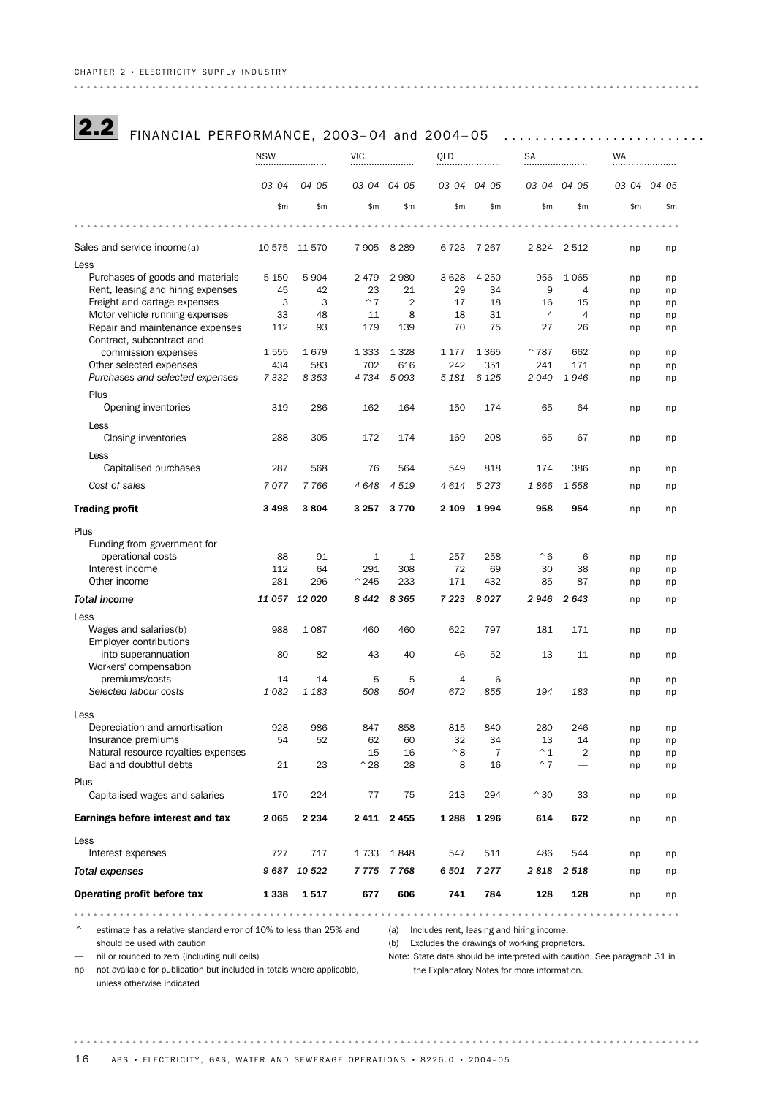| <b>2.2</b> FINANCIAL PERFORMANCE, 2003-04 and 2004-05 |  |
|-------------------------------------------------------|--|
|                                                       |  |

| $03 - 04$<br>03-04 04-05<br>03–04<br>$04 - 05$<br>03-04 04-05<br>03-04 04-05<br>$04 - 05$<br>\$m<br>\$m<br>\$m<br>\$m<br>\$m<br>\$m<br>\$m<br>\$m<br>\$m<br>\$m<br>Sales and service income(a)<br>10 575 11 570<br>7 9 0 5<br>8 2 8 9<br>7 2 6 7<br>2824<br>2 5 1 2<br>6 7 2 3<br>np<br>np<br>Less<br>Purchases of goods and materials<br>3 6 28<br>5 1 5 0<br>5 9 0 4<br>2 4 7 9<br>2 9 8 0<br>4 2 5 0<br>956<br>1 0 6 5<br>np<br>np<br>Rent, leasing and hiring expenses<br>45<br>42<br>23<br>21<br>29<br>34<br>9<br>4<br>np<br>np<br>$~^{\wedge}$ 7<br>Freight and cartage expenses<br>3<br>3<br>$\overline{2}$<br>17<br>18<br>16<br>15<br>np<br>np<br>Motor vehicle running expenses<br>33<br>48<br>8<br>18<br>31<br>4<br>$\overline{4}$<br>11<br>np<br>np<br>Repair and maintenance expenses<br>112<br>93<br>179<br>139<br>70<br>75<br>27<br>26<br>np<br>np<br>Contract, subcontract and<br>commission expenses<br>1555<br>1 3 3 3<br>1 3 2 8<br>1 1 7 7<br>1 3 6 5<br>$^{\sim}787$<br>662<br>1679<br>np<br>np<br>Other selected expenses<br>434<br>702<br>583<br>616<br>242<br>351<br>241<br>171<br>np<br>np<br>7 3 3 2<br>4 7 3 4<br>5 0 9 3<br>6 1 2 5<br>Purchases and selected expenses<br>8 3 5 3<br>5 1 8 1<br>2040<br>1946<br>np<br>np<br>Plus<br>319<br>286<br>162<br>164<br>150<br>174<br>65<br>64<br>Opening inventories<br>np<br>np<br>Less<br>67<br>288<br>305<br>172<br>174<br>169<br>208<br>65<br>Closing inventories<br>np<br>np<br>Less<br>287<br>568<br>76<br>564<br>549<br>818<br>174<br>386<br>Capitalised purchases<br>np<br>np<br>Cost of sales<br>7077<br>7766<br>4648<br>4 5 1 9<br>4 6 1 4<br>5 2 7 3<br>1866<br>1 5 5 8<br>np<br>np<br><b>Trading profit</b><br>3 4 9 8<br>3804<br>3 2 5 7<br>3770<br>2 1 0 9<br>1994<br>958<br>954<br>np<br>np<br>Plus<br>Funding from government for<br>operational costs<br>88<br>91<br>$\mathbf{1}$<br>257<br>258<br>$^{\wedge} 6$<br>6<br>1<br>np<br>np<br>Interest income<br>72<br>112<br>64<br>291<br>308<br>69<br>30<br>38<br>np<br>np<br>Other income<br>281<br>296<br>$^{\sim}$ 245<br>$-233$<br>171<br>432<br>85<br>87<br>np<br>np<br><b>Total income</b><br>11 057 12 020<br>8442<br>8 3 6 5<br>7 2 2 3<br>8027<br>2946<br>2643<br>np<br>np<br>Less<br>Wages and salaries(b)<br>988<br>1 0 8 7<br>460<br>460<br>622<br>797<br>181<br>171<br>np<br>np<br><b>Employer contributions</b><br>82<br>52<br>into superannuation<br>80<br>43<br>40<br>46<br>13<br>11<br>np<br>np<br>Workers' compensation<br>premiums/costs<br>14<br>14<br>5<br>5<br>4<br>6<br>np<br>np<br>Selected labour costs<br>1 0 8 2<br>1 1 8 3<br>672<br>508<br>504<br>855<br>194<br>183<br>np<br>np<br>Less<br>928<br>986<br>847<br>858<br>815<br>840<br>280<br>Depreciation and amortisation<br>246<br>np<br>np<br>Insurance premiums<br>52<br>32<br>13<br>54<br>62<br>60<br>34<br>14<br>np<br>np<br>Natural resource royalties expenses<br>$^{\wedge}8$<br>$\overline{2}$<br>16<br>$\overline{7}$<br>$^{\wedge}1$<br>15<br>np<br>np<br>Bad and doubtful debts<br>8<br>$^{\sim}$ 7<br>21<br>23<br>$^{\wedge}28$<br>28<br>16<br>np<br>-<br>np<br>Plus<br>$^{\wedge}30$<br>Capitalised wages and salaries<br>170<br>224<br>77<br>75<br>213<br>294<br>33<br>np<br>np<br>2 2 3 4<br>2 411 2 455<br>614<br>672<br>Earnings before interest and tax<br>2065<br>1 2 8 8<br>1 2 9 6<br>np<br>np<br>Less<br>717<br>511<br>Interest expenses<br>727<br>1733<br>1848<br>547<br>486<br>544<br>np<br>np<br><b>Total expenses</b><br>9 687 10 522<br>7775<br>7768<br>6 501<br>7 2 7 7<br>2818<br>2 5 1 8<br>np<br>np<br>Operating profit before tax<br>677<br>606<br>741<br>128<br>128<br>1338<br>1517<br>784<br>np<br>np<br>. | <b>NSW</b> |  | VIC. |  |  | QLD |  | <b>SA</b> |  |  |
|---------------------------------------------------------------------------------------------------------------------------------------------------------------------------------------------------------------------------------------------------------------------------------------------------------------------------------------------------------------------------------------------------------------------------------------------------------------------------------------------------------------------------------------------------------------------------------------------------------------------------------------------------------------------------------------------------------------------------------------------------------------------------------------------------------------------------------------------------------------------------------------------------------------------------------------------------------------------------------------------------------------------------------------------------------------------------------------------------------------------------------------------------------------------------------------------------------------------------------------------------------------------------------------------------------------------------------------------------------------------------------------------------------------------------------------------------------------------------------------------------------------------------------------------------------------------------------------------------------------------------------------------------------------------------------------------------------------------------------------------------------------------------------------------------------------------------------------------------------------------------------------------------------------------------------------------------------------------------------------------------------------------------------------------------------------------------------------------------------------------------------------------------------------------------------------------------------------------------------------------------------------------------------------------------------------------------------------------------------------------------------------------------------------------------------------------------------------------------------------------------------------------------------------------------------------------------------------------------------------------------------------------------------------------------------------------------------------------------------------------------------------------------------------------------------------------------------------------------------------------------------------------------------------------------------------------------------------------------------------------------------------------------------------------------------------------------------------------------------------------------------------------------------------------------------------------------------------------------------------------------------------------------------------------------------------------------------------------------------------------------------------------------------------------------------------------------------------------------------------------------------------------------------------------------------------------------------------------------------------------------------------------------------------|------------|--|------|--|--|-----|--|-----------|--|--|
|                                                                                                                                                                                                                                                                                                                                                                                                                                                                                                                                                                                                                                                                                                                                                                                                                                                                                                                                                                                                                                                                                                                                                                                                                                                                                                                                                                                                                                                                                                                                                                                                                                                                                                                                                                                                                                                                                                                                                                                                                                                                                                                                                                                                                                                                                                                                                                                                                                                                                                                                                                                                                                                                                                                                                                                                                                                                                                                                                                                                                                                                                                                                                                                                                                                                                                                                                                                                                                                                                                                                                                                                                                                               |            |  |      |  |  |     |  |           |  |  |
|                                                                                                                                                                                                                                                                                                                                                                                                                                                                                                                                                                                                                                                                                                                                                                                                                                                                                                                                                                                                                                                                                                                                                                                                                                                                                                                                                                                                                                                                                                                                                                                                                                                                                                                                                                                                                                                                                                                                                                                                                                                                                                                                                                                                                                                                                                                                                                                                                                                                                                                                                                                                                                                                                                                                                                                                                                                                                                                                                                                                                                                                                                                                                                                                                                                                                                                                                                                                                                                                                                                                                                                                                                                               |            |  |      |  |  |     |  |           |  |  |
|                                                                                                                                                                                                                                                                                                                                                                                                                                                                                                                                                                                                                                                                                                                                                                                                                                                                                                                                                                                                                                                                                                                                                                                                                                                                                                                                                                                                                                                                                                                                                                                                                                                                                                                                                                                                                                                                                                                                                                                                                                                                                                                                                                                                                                                                                                                                                                                                                                                                                                                                                                                                                                                                                                                                                                                                                                                                                                                                                                                                                                                                                                                                                                                                                                                                                                                                                                                                                                                                                                                                                                                                                                                               |            |  |      |  |  |     |  |           |  |  |
|                                                                                                                                                                                                                                                                                                                                                                                                                                                                                                                                                                                                                                                                                                                                                                                                                                                                                                                                                                                                                                                                                                                                                                                                                                                                                                                                                                                                                                                                                                                                                                                                                                                                                                                                                                                                                                                                                                                                                                                                                                                                                                                                                                                                                                                                                                                                                                                                                                                                                                                                                                                                                                                                                                                                                                                                                                                                                                                                                                                                                                                                                                                                                                                                                                                                                                                                                                                                                                                                                                                                                                                                                                                               |            |  |      |  |  |     |  |           |  |  |
|                                                                                                                                                                                                                                                                                                                                                                                                                                                                                                                                                                                                                                                                                                                                                                                                                                                                                                                                                                                                                                                                                                                                                                                                                                                                                                                                                                                                                                                                                                                                                                                                                                                                                                                                                                                                                                                                                                                                                                                                                                                                                                                                                                                                                                                                                                                                                                                                                                                                                                                                                                                                                                                                                                                                                                                                                                                                                                                                                                                                                                                                                                                                                                                                                                                                                                                                                                                                                                                                                                                                                                                                                                                               |            |  |      |  |  |     |  |           |  |  |
|                                                                                                                                                                                                                                                                                                                                                                                                                                                                                                                                                                                                                                                                                                                                                                                                                                                                                                                                                                                                                                                                                                                                                                                                                                                                                                                                                                                                                                                                                                                                                                                                                                                                                                                                                                                                                                                                                                                                                                                                                                                                                                                                                                                                                                                                                                                                                                                                                                                                                                                                                                                                                                                                                                                                                                                                                                                                                                                                                                                                                                                                                                                                                                                                                                                                                                                                                                                                                                                                                                                                                                                                                                                               |            |  |      |  |  |     |  |           |  |  |
|                                                                                                                                                                                                                                                                                                                                                                                                                                                                                                                                                                                                                                                                                                                                                                                                                                                                                                                                                                                                                                                                                                                                                                                                                                                                                                                                                                                                                                                                                                                                                                                                                                                                                                                                                                                                                                                                                                                                                                                                                                                                                                                                                                                                                                                                                                                                                                                                                                                                                                                                                                                                                                                                                                                                                                                                                                                                                                                                                                                                                                                                                                                                                                                                                                                                                                                                                                                                                                                                                                                                                                                                                                                               |            |  |      |  |  |     |  |           |  |  |
|                                                                                                                                                                                                                                                                                                                                                                                                                                                                                                                                                                                                                                                                                                                                                                                                                                                                                                                                                                                                                                                                                                                                                                                                                                                                                                                                                                                                                                                                                                                                                                                                                                                                                                                                                                                                                                                                                                                                                                                                                                                                                                                                                                                                                                                                                                                                                                                                                                                                                                                                                                                                                                                                                                                                                                                                                                                                                                                                                                                                                                                                                                                                                                                                                                                                                                                                                                                                                                                                                                                                                                                                                                                               |            |  |      |  |  |     |  |           |  |  |
|                                                                                                                                                                                                                                                                                                                                                                                                                                                                                                                                                                                                                                                                                                                                                                                                                                                                                                                                                                                                                                                                                                                                                                                                                                                                                                                                                                                                                                                                                                                                                                                                                                                                                                                                                                                                                                                                                                                                                                                                                                                                                                                                                                                                                                                                                                                                                                                                                                                                                                                                                                                                                                                                                                                                                                                                                                                                                                                                                                                                                                                                                                                                                                                                                                                                                                                                                                                                                                                                                                                                                                                                                                                               |            |  |      |  |  |     |  |           |  |  |
|                                                                                                                                                                                                                                                                                                                                                                                                                                                                                                                                                                                                                                                                                                                                                                                                                                                                                                                                                                                                                                                                                                                                                                                                                                                                                                                                                                                                                                                                                                                                                                                                                                                                                                                                                                                                                                                                                                                                                                                                                                                                                                                                                                                                                                                                                                                                                                                                                                                                                                                                                                                                                                                                                                                                                                                                                                                                                                                                                                                                                                                                                                                                                                                                                                                                                                                                                                                                                                                                                                                                                                                                                                                               |            |  |      |  |  |     |  |           |  |  |
|                                                                                                                                                                                                                                                                                                                                                                                                                                                                                                                                                                                                                                                                                                                                                                                                                                                                                                                                                                                                                                                                                                                                                                                                                                                                                                                                                                                                                                                                                                                                                                                                                                                                                                                                                                                                                                                                                                                                                                                                                                                                                                                                                                                                                                                                                                                                                                                                                                                                                                                                                                                                                                                                                                                                                                                                                                                                                                                                                                                                                                                                                                                                                                                                                                                                                                                                                                                                                                                                                                                                                                                                                                                               |            |  |      |  |  |     |  |           |  |  |
|                                                                                                                                                                                                                                                                                                                                                                                                                                                                                                                                                                                                                                                                                                                                                                                                                                                                                                                                                                                                                                                                                                                                                                                                                                                                                                                                                                                                                                                                                                                                                                                                                                                                                                                                                                                                                                                                                                                                                                                                                                                                                                                                                                                                                                                                                                                                                                                                                                                                                                                                                                                                                                                                                                                                                                                                                                                                                                                                                                                                                                                                                                                                                                                                                                                                                                                                                                                                                                                                                                                                                                                                                                                               |            |  |      |  |  |     |  |           |  |  |
|                                                                                                                                                                                                                                                                                                                                                                                                                                                                                                                                                                                                                                                                                                                                                                                                                                                                                                                                                                                                                                                                                                                                                                                                                                                                                                                                                                                                                                                                                                                                                                                                                                                                                                                                                                                                                                                                                                                                                                                                                                                                                                                                                                                                                                                                                                                                                                                                                                                                                                                                                                                                                                                                                                                                                                                                                                                                                                                                                                                                                                                                                                                                                                                                                                                                                                                                                                                                                                                                                                                                                                                                                                                               |            |  |      |  |  |     |  |           |  |  |
|                                                                                                                                                                                                                                                                                                                                                                                                                                                                                                                                                                                                                                                                                                                                                                                                                                                                                                                                                                                                                                                                                                                                                                                                                                                                                                                                                                                                                                                                                                                                                                                                                                                                                                                                                                                                                                                                                                                                                                                                                                                                                                                                                                                                                                                                                                                                                                                                                                                                                                                                                                                                                                                                                                                                                                                                                                                                                                                                                                                                                                                                                                                                                                                                                                                                                                                                                                                                                                                                                                                                                                                                                                                               |            |  |      |  |  |     |  |           |  |  |
|                                                                                                                                                                                                                                                                                                                                                                                                                                                                                                                                                                                                                                                                                                                                                                                                                                                                                                                                                                                                                                                                                                                                                                                                                                                                                                                                                                                                                                                                                                                                                                                                                                                                                                                                                                                                                                                                                                                                                                                                                                                                                                                                                                                                                                                                                                                                                                                                                                                                                                                                                                                                                                                                                                                                                                                                                                                                                                                                                                                                                                                                                                                                                                                                                                                                                                                                                                                                                                                                                                                                                                                                                                                               |            |  |      |  |  |     |  |           |  |  |
|                                                                                                                                                                                                                                                                                                                                                                                                                                                                                                                                                                                                                                                                                                                                                                                                                                                                                                                                                                                                                                                                                                                                                                                                                                                                                                                                                                                                                                                                                                                                                                                                                                                                                                                                                                                                                                                                                                                                                                                                                                                                                                                                                                                                                                                                                                                                                                                                                                                                                                                                                                                                                                                                                                                                                                                                                                                                                                                                                                                                                                                                                                                                                                                                                                                                                                                                                                                                                                                                                                                                                                                                                                                               |            |  |      |  |  |     |  |           |  |  |
|                                                                                                                                                                                                                                                                                                                                                                                                                                                                                                                                                                                                                                                                                                                                                                                                                                                                                                                                                                                                                                                                                                                                                                                                                                                                                                                                                                                                                                                                                                                                                                                                                                                                                                                                                                                                                                                                                                                                                                                                                                                                                                                                                                                                                                                                                                                                                                                                                                                                                                                                                                                                                                                                                                                                                                                                                                                                                                                                                                                                                                                                                                                                                                                                                                                                                                                                                                                                                                                                                                                                                                                                                                                               |            |  |      |  |  |     |  |           |  |  |
|                                                                                                                                                                                                                                                                                                                                                                                                                                                                                                                                                                                                                                                                                                                                                                                                                                                                                                                                                                                                                                                                                                                                                                                                                                                                                                                                                                                                                                                                                                                                                                                                                                                                                                                                                                                                                                                                                                                                                                                                                                                                                                                                                                                                                                                                                                                                                                                                                                                                                                                                                                                                                                                                                                                                                                                                                                                                                                                                                                                                                                                                                                                                                                                                                                                                                                                                                                                                                                                                                                                                                                                                                                                               |            |  |      |  |  |     |  |           |  |  |
|                                                                                                                                                                                                                                                                                                                                                                                                                                                                                                                                                                                                                                                                                                                                                                                                                                                                                                                                                                                                                                                                                                                                                                                                                                                                                                                                                                                                                                                                                                                                                                                                                                                                                                                                                                                                                                                                                                                                                                                                                                                                                                                                                                                                                                                                                                                                                                                                                                                                                                                                                                                                                                                                                                                                                                                                                                                                                                                                                                                                                                                                                                                                                                                                                                                                                                                                                                                                                                                                                                                                                                                                                                                               |            |  |      |  |  |     |  |           |  |  |
|                                                                                                                                                                                                                                                                                                                                                                                                                                                                                                                                                                                                                                                                                                                                                                                                                                                                                                                                                                                                                                                                                                                                                                                                                                                                                                                                                                                                                                                                                                                                                                                                                                                                                                                                                                                                                                                                                                                                                                                                                                                                                                                                                                                                                                                                                                                                                                                                                                                                                                                                                                                                                                                                                                                                                                                                                                                                                                                                                                                                                                                                                                                                                                                                                                                                                                                                                                                                                                                                                                                                                                                                                                                               |            |  |      |  |  |     |  |           |  |  |
|                                                                                                                                                                                                                                                                                                                                                                                                                                                                                                                                                                                                                                                                                                                                                                                                                                                                                                                                                                                                                                                                                                                                                                                                                                                                                                                                                                                                                                                                                                                                                                                                                                                                                                                                                                                                                                                                                                                                                                                                                                                                                                                                                                                                                                                                                                                                                                                                                                                                                                                                                                                                                                                                                                                                                                                                                                                                                                                                                                                                                                                                                                                                                                                                                                                                                                                                                                                                                                                                                                                                                                                                                                                               |            |  |      |  |  |     |  |           |  |  |
|                                                                                                                                                                                                                                                                                                                                                                                                                                                                                                                                                                                                                                                                                                                                                                                                                                                                                                                                                                                                                                                                                                                                                                                                                                                                                                                                                                                                                                                                                                                                                                                                                                                                                                                                                                                                                                                                                                                                                                                                                                                                                                                                                                                                                                                                                                                                                                                                                                                                                                                                                                                                                                                                                                                                                                                                                                                                                                                                                                                                                                                                                                                                                                                                                                                                                                                                                                                                                                                                                                                                                                                                                                                               |            |  |      |  |  |     |  |           |  |  |
|                                                                                                                                                                                                                                                                                                                                                                                                                                                                                                                                                                                                                                                                                                                                                                                                                                                                                                                                                                                                                                                                                                                                                                                                                                                                                                                                                                                                                                                                                                                                                                                                                                                                                                                                                                                                                                                                                                                                                                                                                                                                                                                                                                                                                                                                                                                                                                                                                                                                                                                                                                                                                                                                                                                                                                                                                                                                                                                                                                                                                                                                                                                                                                                                                                                                                                                                                                                                                                                                                                                                                                                                                                                               |            |  |      |  |  |     |  |           |  |  |
|                                                                                                                                                                                                                                                                                                                                                                                                                                                                                                                                                                                                                                                                                                                                                                                                                                                                                                                                                                                                                                                                                                                                                                                                                                                                                                                                                                                                                                                                                                                                                                                                                                                                                                                                                                                                                                                                                                                                                                                                                                                                                                                                                                                                                                                                                                                                                                                                                                                                                                                                                                                                                                                                                                                                                                                                                                                                                                                                                                                                                                                                                                                                                                                                                                                                                                                                                                                                                                                                                                                                                                                                                                                               |            |  |      |  |  |     |  |           |  |  |
|                                                                                                                                                                                                                                                                                                                                                                                                                                                                                                                                                                                                                                                                                                                                                                                                                                                                                                                                                                                                                                                                                                                                                                                                                                                                                                                                                                                                                                                                                                                                                                                                                                                                                                                                                                                                                                                                                                                                                                                                                                                                                                                                                                                                                                                                                                                                                                                                                                                                                                                                                                                                                                                                                                                                                                                                                                                                                                                                                                                                                                                                                                                                                                                                                                                                                                                                                                                                                                                                                                                                                                                                                                                               |            |  |      |  |  |     |  |           |  |  |
|                                                                                                                                                                                                                                                                                                                                                                                                                                                                                                                                                                                                                                                                                                                                                                                                                                                                                                                                                                                                                                                                                                                                                                                                                                                                                                                                                                                                                                                                                                                                                                                                                                                                                                                                                                                                                                                                                                                                                                                                                                                                                                                                                                                                                                                                                                                                                                                                                                                                                                                                                                                                                                                                                                                                                                                                                                                                                                                                                                                                                                                                                                                                                                                                                                                                                                                                                                                                                                                                                                                                                                                                                                                               |            |  |      |  |  |     |  |           |  |  |
|                                                                                                                                                                                                                                                                                                                                                                                                                                                                                                                                                                                                                                                                                                                                                                                                                                                                                                                                                                                                                                                                                                                                                                                                                                                                                                                                                                                                                                                                                                                                                                                                                                                                                                                                                                                                                                                                                                                                                                                                                                                                                                                                                                                                                                                                                                                                                                                                                                                                                                                                                                                                                                                                                                                                                                                                                                                                                                                                                                                                                                                                                                                                                                                                                                                                                                                                                                                                                                                                                                                                                                                                                                                               |            |  |      |  |  |     |  |           |  |  |
|                                                                                                                                                                                                                                                                                                                                                                                                                                                                                                                                                                                                                                                                                                                                                                                                                                                                                                                                                                                                                                                                                                                                                                                                                                                                                                                                                                                                                                                                                                                                                                                                                                                                                                                                                                                                                                                                                                                                                                                                                                                                                                                                                                                                                                                                                                                                                                                                                                                                                                                                                                                                                                                                                                                                                                                                                                                                                                                                                                                                                                                                                                                                                                                                                                                                                                                                                                                                                                                                                                                                                                                                                                                               |            |  |      |  |  |     |  |           |  |  |
|                                                                                                                                                                                                                                                                                                                                                                                                                                                                                                                                                                                                                                                                                                                                                                                                                                                                                                                                                                                                                                                                                                                                                                                                                                                                                                                                                                                                                                                                                                                                                                                                                                                                                                                                                                                                                                                                                                                                                                                                                                                                                                                                                                                                                                                                                                                                                                                                                                                                                                                                                                                                                                                                                                                                                                                                                                                                                                                                                                                                                                                                                                                                                                                                                                                                                                                                                                                                                                                                                                                                                                                                                                                               |            |  |      |  |  |     |  |           |  |  |
|                                                                                                                                                                                                                                                                                                                                                                                                                                                                                                                                                                                                                                                                                                                                                                                                                                                                                                                                                                                                                                                                                                                                                                                                                                                                                                                                                                                                                                                                                                                                                                                                                                                                                                                                                                                                                                                                                                                                                                                                                                                                                                                                                                                                                                                                                                                                                                                                                                                                                                                                                                                                                                                                                                                                                                                                                                                                                                                                                                                                                                                                                                                                                                                                                                                                                                                                                                                                                                                                                                                                                                                                                                                               |            |  |      |  |  |     |  |           |  |  |
|                                                                                                                                                                                                                                                                                                                                                                                                                                                                                                                                                                                                                                                                                                                                                                                                                                                                                                                                                                                                                                                                                                                                                                                                                                                                                                                                                                                                                                                                                                                                                                                                                                                                                                                                                                                                                                                                                                                                                                                                                                                                                                                                                                                                                                                                                                                                                                                                                                                                                                                                                                                                                                                                                                                                                                                                                                                                                                                                                                                                                                                                                                                                                                                                                                                                                                                                                                                                                                                                                                                                                                                                                                                               |            |  |      |  |  |     |  |           |  |  |
|                                                                                                                                                                                                                                                                                                                                                                                                                                                                                                                                                                                                                                                                                                                                                                                                                                                                                                                                                                                                                                                                                                                                                                                                                                                                                                                                                                                                                                                                                                                                                                                                                                                                                                                                                                                                                                                                                                                                                                                                                                                                                                                                                                                                                                                                                                                                                                                                                                                                                                                                                                                                                                                                                                                                                                                                                                                                                                                                                                                                                                                                                                                                                                                                                                                                                                                                                                                                                                                                                                                                                                                                                                                               |            |  |      |  |  |     |  |           |  |  |
|                                                                                                                                                                                                                                                                                                                                                                                                                                                                                                                                                                                                                                                                                                                                                                                                                                                                                                                                                                                                                                                                                                                                                                                                                                                                                                                                                                                                                                                                                                                                                                                                                                                                                                                                                                                                                                                                                                                                                                                                                                                                                                                                                                                                                                                                                                                                                                                                                                                                                                                                                                                                                                                                                                                                                                                                                                                                                                                                                                                                                                                                                                                                                                                                                                                                                                                                                                                                                                                                                                                                                                                                                                                               |            |  |      |  |  |     |  |           |  |  |
|                                                                                                                                                                                                                                                                                                                                                                                                                                                                                                                                                                                                                                                                                                                                                                                                                                                                                                                                                                                                                                                                                                                                                                                                                                                                                                                                                                                                                                                                                                                                                                                                                                                                                                                                                                                                                                                                                                                                                                                                                                                                                                                                                                                                                                                                                                                                                                                                                                                                                                                                                                                                                                                                                                                                                                                                                                                                                                                                                                                                                                                                                                                                                                                                                                                                                                                                                                                                                                                                                                                                                                                                                                                               |            |  |      |  |  |     |  |           |  |  |
|                                                                                                                                                                                                                                                                                                                                                                                                                                                                                                                                                                                                                                                                                                                                                                                                                                                                                                                                                                                                                                                                                                                                                                                                                                                                                                                                                                                                                                                                                                                                                                                                                                                                                                                                                                                                                                                                                                                                                                                                                                                                                                                                                                                                                                                                                                                                                                                                                                                                                                                                                                                                                                                                                                                                                                                                                                                                                                                                                                                                                                                                                                                                                                                                                                                                                                                                                                                                                                                                                                                                                                                                                                                               |            |  |      |  |  |     |  |           |  |  |
|                                                                                                                                                                                                                                                                                                                                                                                                                                                                                                                                                                                                                                                                                                                                                                                                                                                                                                                                                                                                                                                                                                                                                                                                                                                                                                                                                                                                                                                                                                                                                                                                                                                                                                                                                                                                                                                                                                                                                                                                                                                                                                                                                                                                                                                                                                                                                                                                                                                                                                                                                                                                                                                                                                                                                                                                                                                                                                                                                                                                                                                                                                                                                                                                                                                                                                                                                                                                                                                                                                                                                                                                                                                               |            |  |      |  |  |     |  |           |  |  |
|                                                                                                                                                                                                                                                                                                                                                                                                                                                                                                                                                                                                                                                                                                                                                                                                                                                                                                                                                                                                                                                                                                                                                                                                                                                                                                                                                                                                                                                                                                                                                                                                                                                                                                                                                                                                                                                                                                                                                                                                                                                                                                                                                                                                                                                                                                                                                                                                                                                                                                                                                                                                                                                                                                                                                                                                                                                                                                                                                                                                                                                                                                                                                                                                                                                                                                                                                                                                                                                                                                                                                                                                                                                               |            |  |      |  |  |     |  |           |  |  |
|                                                                                                                                                                                                                                                                                                                                                                                                                                                                                                                                                                                                                                                                                                                                                                                                                                                                                                                                                                                                                                                                                                                                                                                                                                                                                                                                                                                                                                                                                                                                                                                                                                                                                                                                                                                                                                                                                                                                                                                                                                                                                                                                                                                                                                                                                                                                                                                                                                                                                                                                                                                                                                                                                                                                                                                                                                                                                                                                                                                                                                                                                                                                                                                                                                                                                                                                                                                                                                                                                                                                                                                                                                                               |            |  |      |  |  |     |  |           |  |  |
|                                                                                                                                                                                                                                                                                                                                                                                                                                                                                                                                                                                                                                                                                                                                                                                                                                                                                                                                                                                                                                                                                                                                                                                                                                                                                                                                                                                                                                                                                                                                                                                                                                                                                                                                                                                                                                                                                                                                                                                                                                                                                                                                                                                                                                                                                                                                                                                                                                                                                                                                                                                                                                                                                                                                                                                                                                                                                                                                                                                                                                                                                                                                                                                                                                                                                                                                                                                                                                                                                                                                                                                                                                                               |            |  |      |  |  |     |  |           |  |  |
|                                                                                                                                                                                                                                                                                                                                                                                                                                                                                                                                                                                                                                                                                                                                                                                                                                                                                                                                                                                                                                                                                                                                                                                                                                                                                                                                                                                                                                                                                                                                                                                                                                                                                                                                                                                                                                                                                                                                                                                                                                                                                                                                                                                                                                                                                                                                                                                                                                                                                                                                                                                                                                                                                                                                                                                                                                                                                                                                                                                                                                                                                                                                                                                                                                                                                                                                                                                                                                                                                                                                                                                                                                                               |            |  |      |  |  |     |  |           |  |  |
|                                                                                                                                                                                                                                                                                                                                                                                                                                                                                                                                                                                                                                                                                                                                                                                                                                                                                                                                                                                                                                                                                                                                                                                                                                                                                                                                                                                                                                                                                                                                                                                                                                                                                                                                                                                                                                                                                                                                                                                                                                                                                                                                                                                                                                                                                                                                                                                                                                                                                                                                                                                                                                                                                                                                                                                                                                                                                                                                                                                                                                                                                                                                                                                                                                                                                                                                                                                                                                                                                                                                                                                                                                                               |            |  |      |  |  |     |  |           |  |  |
|                                                                                                                                                                                                                                                                                                                                                                                                                                                                                                                                                                                                                                                                                                                                                                                                                                                                                                                                                                                                                                                                                                                                                                                                                                                                                                                                                                                                                                                                                                                                                                                                                                                                                                                                                                                                                                                                                                                                                                                                                                                                                                                                                                                                                                                                                                                                                                                                                                                                                                                                                                                                                                                                                                                                                                                                                                                                                                                                                                                                                                                                                                                                                                                                                                                                                                                                                                                                                                                                                                                                                                                                                                                               |            |  |      |  |  |     |  |           |  |  |
|                                                                                                                                                                                                                                                                                                                                                                                                                                                                                                                                                                                                                                                                                                                                                                                                                                                                                                                                                                                                                                                                                                                                                                                                                                                                                                                                                                                                                                                                                                                                                                                                                                                                                                                                                                                                                                                                                                                                                                                                                                                                                                                                                                                                                                                                                                                                                                                                                                                                                                                                                                                                                                                                                                                                                                                                                                                                                                                                                                                                                                                                                                                                                                                                                                                                                                                                                                                                                                                                                                                                                                                                                                                               |            |  |      |  |  |     |  |           |  |  |
|                                                                                                                                                                                                                                                                                                                                                                                                                                                                                                                                                                                                                                                                                                                                                                                                                                                                                                                                                                                                                                                                                                                                                                                                                                                                                                                                                                                                                                                                                                                                                                                                                                                                                                                                                                                                                                                                                                                                                                                                                                                                                                                                                                                                                                                                                                                                                                                                                                                                                                                                                                                                                                                                                                                                                                                                                                                                                                                                                                                                                                                                                                                                                                                                                                                                                                                                                                                                                                                                                                                                                                                                                                                               |            |  |      |  |  |     |  |           |  |  |
|                                                                                                                                                                                                                                                                                                                                                                                                                                                                                                                                                                                                                                                                                                                                                                                                                                                                                                                                                                                                                                                                                                                                                                                                                                                                                                                                                                                                                                                                                                                                                                                                                                                                                                                                                                                                                                                                                                                                                                                                                                                                                                                                                                                                                                                                                                                                                                                                                                                                                                                                                                                                                                                                                                                                                                                                                                                                                                                                                                                                                                                                                                                                                                                                                                                                                                                                                                                                                                                                                                                                                                                                                                                               |            |  |      |  |  |     |  |           |  |  |
|                                                                                                                                                                                                                                                                                                                                                                                                                                                                                                                                                                                                                                                                                                                                                                                                                                                                                                                                                                                                                                                                                                                                                                                                                                                                                                                                                                                                                                                                                                                                                                                                                                                                                                                                                                                                                                                                                                                                                                                                                                                                                                                                                                                                                                                                                                                                                                                                                                                                                                                                                                                                                                                                                                                                                                                                                                                                                                                                                                                                                                                                                                                                                                                                                                                                                                                                                                                                                                                                                                                                                                                                                                                               |            |  |      |  |  |     |  |           |  |  |
|                                                                                                                                                                                                                                                                                                                                                                                                                                                                                                                                                                                                                                                                                                                                                                                                                                                                                                                                                                                                                                                                                                                                                                                                                                                                                                                                                                                                                                                                                                                                                                                                                                                                                                                                                                                                                                                                                                                                                                                                                                                                                                                                                                                                                                                                                                                                                                                                                                                                                                                                                                                                                                                                                                                                                                                                                                                                                                                                                                                                                                                                                                                                                                                                                                                                                                                                                                                                                                                                                                                                                                                                                                                               |            |  |      |  |  |     |  |           |  |  |
|                                                                                                                                                                                                                                                                                                                                                                                                                                                                                                                                                                                                                                                                                                                                                                                                                                                                                                                                                                                                                                                                                                                                                                                                                                                                                                                                                                                                                                                                                                                                                                                                                                                                                                                                                                                                                                                                                                                                                                                                                                                                                                                                                                                                                                                                                                                                                                                                                                                                                                                                                                                                                                                                                                                                                                                                                                                                                                                                                                                                                                                                                                                                                                                                                                                                                                                                                                                                                                                                                                                                                                                                                                                               |            |  |      |  |  |     |  |           |  |  |
|                                                                                                                                                                                                                                                                                                                                                                                                                                                                                                                                                                                                                                                                                                                                                                                                                                                                                                                                                                                                                                                                                                                                                                                                                                                                                                                                                                                                                                                                                                                                                                                                                                                                                                                                                                                                                                                                                                                                                                                                                                                                                                                                                                                                                                                                                                                                                                                                                                                                                                                                                                                                                                                                                                                                                                                                                                                                                                                                                                                                                                                                                                                                                                                                                                                                                                                                                                                                                                                                                                                                                                                                                                                               |            |  |      |  |  |     |  |           |  |  |
|                                                                                                                                                                                                                                                                                                                                                                                                                                                                                                                                                                                                                                                                                                                                                                                                                                                                                                                                                                                                                                                                                                                                                                                                                                                                                                                                                                                                                                                                                                                                                                                                                                                                                                                                                                                                                                                                                                                                                                                                                                                                                                                                                                                                                                                                                                                                                                                                                                                                                                                                                                                                                                                                                                                                                                                                                                                                                                                                                                                                                                                                                                                                                                                                                                                                                                                                                                                                                                                                                                                                                                                                                                                               |            |  |      |  |  |     |  |           |  |  |
|                                                                                                                                                                                                                                                                                                                                                                                                                                                                                                                                                                                                                                                                                                                                                                                                                                                                                                                                                                                                                                                                                                                                                                                                                                                                                                                                                                                                                                                                                                                                                                                                                                                                                                                                                                                                                                                                                                                                                                                                                                                                                                                                                                                                                                                                                                                                                                                                                                                                                                                                                                                                                                                                                                                                                                                                                                                                                                                                                                                                                                                                                                                                                                                                                                                                                                                                                                                                                                                                                                                                                                                                                                                               |            |  |      |  |  |     |  |           |  |  |
|                                                                                                                                                                                                                                                                                                                                                                                                                                                                                                                                                                                                                                                                                                                                                                                                                                                                                                                                                                                                                                                                                                                                                                                                                                                                                                                                                                                                                                                                                                                                                                                                                                                                                                                                                                                                                                                                                                                                                                                                                                                                                                                                                                                                                                                                                                                                                                                                                                                                                                                                                                                                                                                                                                                                                                                                                                                                                                                                                                                                                                                                                                                                                                                                                                                                                                                                                                                                                                                                                                                                                                                                                                                               |            |  |      |  |  |     |  |           |  |  |
|                                                                                                                                                                                                                                                                                                                                                                                                                                                                                                                                                                                                                                                                                                                                                                                                                                                                                                                                                                                                                                                                                                                                                                                                                                                                                                                                                                                                                                                                                                                                                                                                                                                                                                                                                                                                                                                                                                                                                                                                                                                                                                                                                                                                                                                                                                                                                                                                                                                                                                                                                                                                                                                                                                                                                                                                                                                                                                                                                                                                                                                                                                                                                                                                                                                                                                                                                                                                                                                                                                                                                                                                                                                               |            |  |      |  |  |     |  |           |  |  |

<sup>^</sup> estimate has a relative standard error of 10% to less than 25% and (a) Includes rent, leasing and hiring income.

np not available for publication but included in totals where applicable,

should be used with caution

unless otherwise indicated

(b) Excludes the drawings of working proprietors.

— nil or rounded to zero (including null cells)

Note: State data should be interpreted with caution. See paragraph 31 in the Explanatory Notes for more information.

. . . . . . . . . . . . . . . . . . .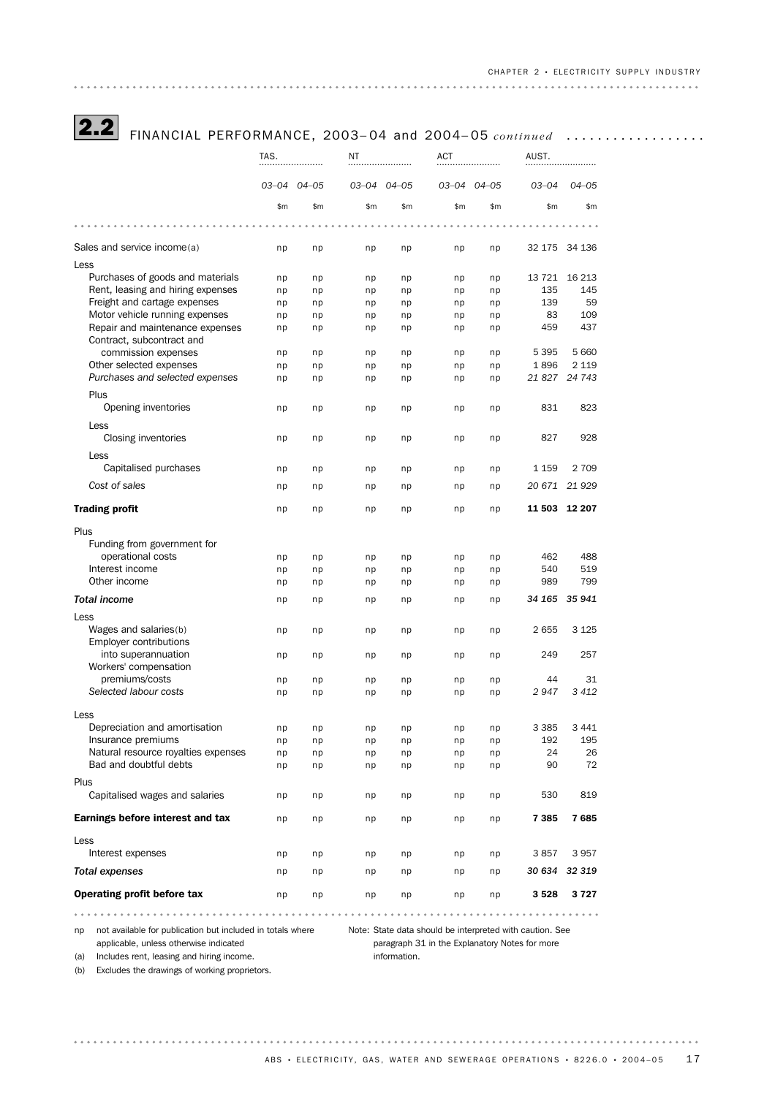2.2 FINANCIAL PERFORMANCE, 2003– 04 and 2004– <sup>05</sup> *continued* ..................

|                                     | TAS. |             | ΝT  |             | ACT   |             | AUST.     |               |
|-------------------------------------|------|-------------|-----|-------------|-------|-------------|-----------|---------------|
|                                     |      |             |     |             |       |             |           |               |
|                                     |      | 03-04 04-05 |     | 03-04 04-05 |       | 03-04 04-05 | $03 - 04$ | $04 - 05$     |
|                                     | \$m  | \$m         | \$m | \$m\$       | \$m\$ | \$m\$       | \$m       | \$m           |
|                                     |      |             |     |             |       |             |           |               |
| Sales and service income(a)         | np   | np          | np  | np          | np    | np          |           | 32 175 34 136 |
| Less                                |      |             |     |             |       |             |           |               |
| Purchases of goods and materials    | np   | np          | np  | np          | np    | np          | 13 7 21   | 16 213        |
| Rent, leasing and hiring expenses   | np   | np          | np  | np          | np    | np          | 135       | 145           |
| Freight and cartage expenses        | np   | np          | np  | np          | np    | np          | 139       | 59            |
| Motor vehicle running expenses      | np   | np          | np  | np          | np    | np          | 83        | 109           |
| Repair and maintenance expenses     | np   | np          | np  | np          | np    | np          | 459       | 437           |
| Contract, subcontract and           |      |             |     |             |       |             |           |               |
| commission expenses                 | np   | np          | np  | np          | np    | np          | 5 3 9 5   | 5 6 6 0       |
| Other selected expenses             | np   | np          | np  | np          | np    | np          | 1896      | 2 1 1 9       |
| Purchases and selected expenses     | np   | np          | np  | np          | np    | np          | 21 827    | 24 743        |
| Plus                                |      |             |     |             |       |             |           |               |
| Opening inventories                 | np   | np          | np  | np          | np    | np          | 831       | 823           |
|                                     |      |             |     |             |       |             |           |               |
| Less                                |      |             |     |             |       |             |           |               |
| Closing inventories                 | np   | np          | np  | np          | np    | np          | 827       | 928           |
| Less                                |      |             |     |             |       |             |           |               |
| Capitalised purchases               | np   | np          | np  | np          | np    | np          | 1 159     | 2 7 0 9       |
| Cost of sales                       | np   | np          | np  | np          | np    | np          | 20 671    | 21 9 29       |
|                                     |      |             |     |             |       |             |           |               |
| <b>Trading profit</b>               | np   | np          | np  | np          | np    | np          |           | 11 503 12 207 |
| Plus                                |      |             |     |             |       |             |           |               |
| Funding from government for         |      |             |     |             |       |             |           |               |
| operational costs                   | np   | np          |     |             |       | np          | 462       | 488           |
| Interest income                     |      |             | np  | np          | np    |             | 540       | 519           |
| Other income                        | np   | np          | np  | np          | np    | np          | 989       | 799           |
|                                     | np   | np          | np  | np          | np    | np          |           |               |
| <b>Total income</b>                 | np   | np          | np  | np          | np    | np          |           | 34 165 35 941 |
| Less                                |      |             |     |             |       |             |           |               |
| Wages and salaries(b)               | np   | np          | np  | np          | np    | np          | 2655      | 3 1 2 5       |
| <b>Employer contributions</b>       |      |             |     |             |       |             |           |               |
| into superannuation                 | np   | np          | np  | np          | np    | np          | 249       | 257           |
| Workers' compensation               |      |             |     |             |       |             |           |               |
| premiums/costs                      | np   | np          | np  | np          | np    | np          | 44        | 31            |
| Selected labour costs               | np   | np          | np  | np          | np    | np          | 2947      | 3412          |
|                                     |      |             |     |             |       |             |           |               |
| Less                                |      |             |     |             |       |             |           |               |
| Depreciation and amortisation       | np   | np          | np  | np          | np    | np          | 3 3 8 5   | 3 4 4 1       |
| Insurance premiums                  | np   | np          | np  | np          | np    | np          | 192       | 195           |
| Natural resource royalties expenses | np   | np          | np  | np          | np    | np          | 24        | 26            |
| Bad and doubtful debts              | np   | np          | np  | np          | np    | np          | 90        | 72            |
| Plus                                |      |             |     |             |       |             |           |               |
| Capitalised wages and salaries      |      |             |     |             |       |             | 530       | 819           |
|                                     | np   | np          | np  | np          | np    | np          |           |               |
| Earnings before interest and tax    | np   | np          | np  | np          | np    | np          | 7 3 8 5   | 7685          |
|                                     |      |             |     |             |       |             |           |               |
| Less                                |      |             |     |             |       |             |           |               |
| Interest expenses                   | np   | np          | np  | np          | np    | np          | 3857      | 3957          |
| <b>Total expenses</b>               | np   | np          | np  | np          | np    | np          | 30 634    | 32 319        |
| Operating profit before tax         | np   | np          | np  | np          | np    | np          | 3 5 28    | 3727          |

applicable, unless otherwise indicated

np not available for publication but included in totals where Note: State data should be interpreted with caution. See

(a) Includes rent, leasing and hiring income.

paragraph 31 in the Explanatory Notes for more information.

(b) Excludes the drawings of working proprietors.

ABS • ELECTRICITY, GAS, WATER AND SEWERAGE OPERATIONS • 8226.0 • 2004-05 17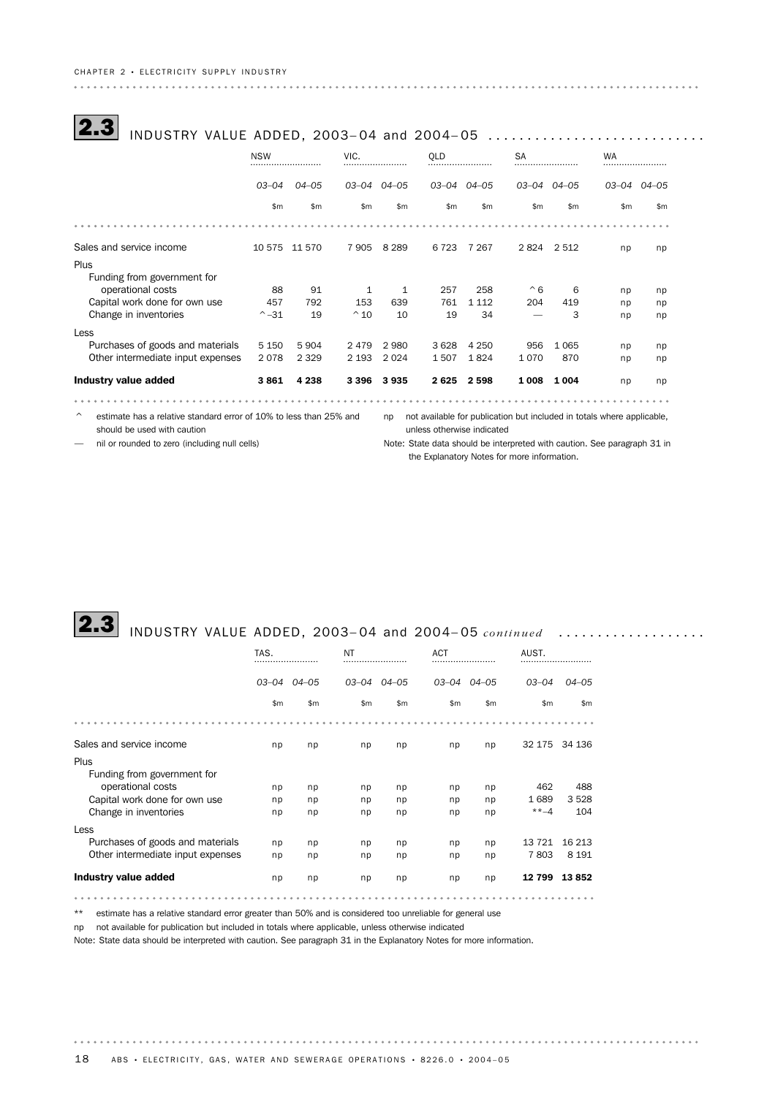| INDUSTRY VALUE ADDED, 2003-04 and 2004-05 |                 |           |               |               |             |         |                     |               |               |               |  |
|-------------------------------------------|-----------------|-----------|---------------|---------------|-------------|---------|---------------------|---------------|---------------|---------------|--|
|                                           | <b>NSW</b><br>  |           | VIC.<br>      |               | <b>OLD</b>  |         |                     | <b>SA</b><br> |               |               |  |
|                                           | $03 - 04$       | $04 - 05$ | 03-04 04-05   |               | 03-04 04-05 |         | $03 - 04$ $04 - 05$ |               | 03–04         | $04 - 05$     |  |
|                                           | \$m\$           | \$m\$     | \$m           | $\mathsf{Sm}$ | \$m         | \$m     | $\mathsf{Sm}$       | \$m           | $\mathsf{Sm}$ | $\mathsf{Sm}$ |  |
|                                           |                 |           |               |               |             |         |                     |               |               |               |  |
| Sales and service income                  | 10 575          | 11 570    | 7905          | 8 2 8 9       | 6 7 2 3     | 7 267   | 2824 2512           |               | np            | np            |  |
| Plus                                      |                 |           |               |               |             |         |                     |               |               |               |  |
| Funding from government for               |                 |           |               |               |             |         |                     |               |               |               |  |
| operational costs                         | 88              | 91        | 1             | 1             | 257         | 258     | $^{\wedge}6$        | 6             | np            | np            |  |
| Capital work done for own use             | 457             | 792       | 153           | 639           | 761         | 1 1 1 2 | 204                 | 419           | np            | np            |  |
| Change in inventories                     | $^{\wedge} -31$ | 19        | $^{\wedge}10$ | 10            | 19          | 34      |                     | 3             | np            | np            |  |
| Less                                      |                 |           |               |               |             |         |                     |               |               |               |  |
| Purchases of goods and materials          | 5 1 5 0         | 5 9 0 4   | 2479          | 2980          | 3 6 2 8     | 4 2 5 0 | 956                 | 1 0 6 5       | np            | np            |  |
| Other intermediate input expenses         | 2078            | 2 3 2 9   | 2 1 9 3       | 2024          | 1507        | 1824    | 1070                | 870           | np            | np            |  |
| Industry value added                      | 3861            | 4 2 3 8   | 3 3 9 6       | 3935          | 2625        | 2 5 9 8 | 1 008               | 1 0 0 4       | np            | np            |  |

 $\degree$  estimate has a relative standard error of 10% to less than 25% and prot available for publication but included in totals where applicable, should be used with caution

unless otherwise indicated

— nil or rounded to zero (including null cells)

Note: State data should be interpreted with caution. See paragraph 31 in the Explanatory Notes for more information.

. . . . . .

# **2.3** INDUSTRY VALUE ADDED, 2003-04 and 2004-05 *continued* ...................

|                                     | TAS.<br> |                     | NT    |           |               | <b>ACT</b>          |           |               |  |
|-------------------------------------|----------|---------------------|-------|-----------|---------------|---------------------|-----------|---------------|--|
|                                     |          | $03 - 04$ $04 - 05$ | 03–04 | $04 - 05$ |               | $03 - 04$ $04 - 05$ | $03 - 04$ | $04 - 05$     |  |
|                                     | \$m      | \$m                 | \$m   | \$m\$     | $\mathsf{Sm}$ | \$m                 | \$m\$     | $\mathsf{Sm}$ |  |
|                                     |          |                     |       |           |               |                     |           |               |  |
| Sales and service income            | np       | np                  | np    | np        | np            | np                  | 32 175    | 34 136        |  |
| Plus<br>Funding from government for |          |                     |       |           |               |                     |           |               |  |
| operational costs                   | np       | np                  | np    | np        | np            | np                  | 462       | 488           |  |
| Capital work done for own use       | np       | np                  | np    | np        | np            | np                  | 1689      | 3 5 28        |  |
| Change in inventories               | np       | np                  | np    | np        | np            | np                  | $***-4$   | 104           |  |
| Less                                |          |                     |       |           |               |                     |           |               |  |
| Purchases of goods and materials    | np       | np                  | np    | np        | np            | np                  | 13 721    | 16 213        |  |
| Other intermediate input expenses   | np       | np                  | np    | np        | np            | np                  | 7803      | 8 1 9 1       |  |
| Industry value added                | np       | np                  | np    | np        | np            | np                  | 12799     | 13852         |  |
|                                     |          |                     |       |           |               |                     |           |               |  |

\*\* estimate has a relative standard error greater than 50% and is considered too unreliable for general use

np not available for publication but included in totals where applicable, unless otherwise indicated

Note: State data should be interpreted with caution. See paragraph 31 in the Explanatory Notes for more information.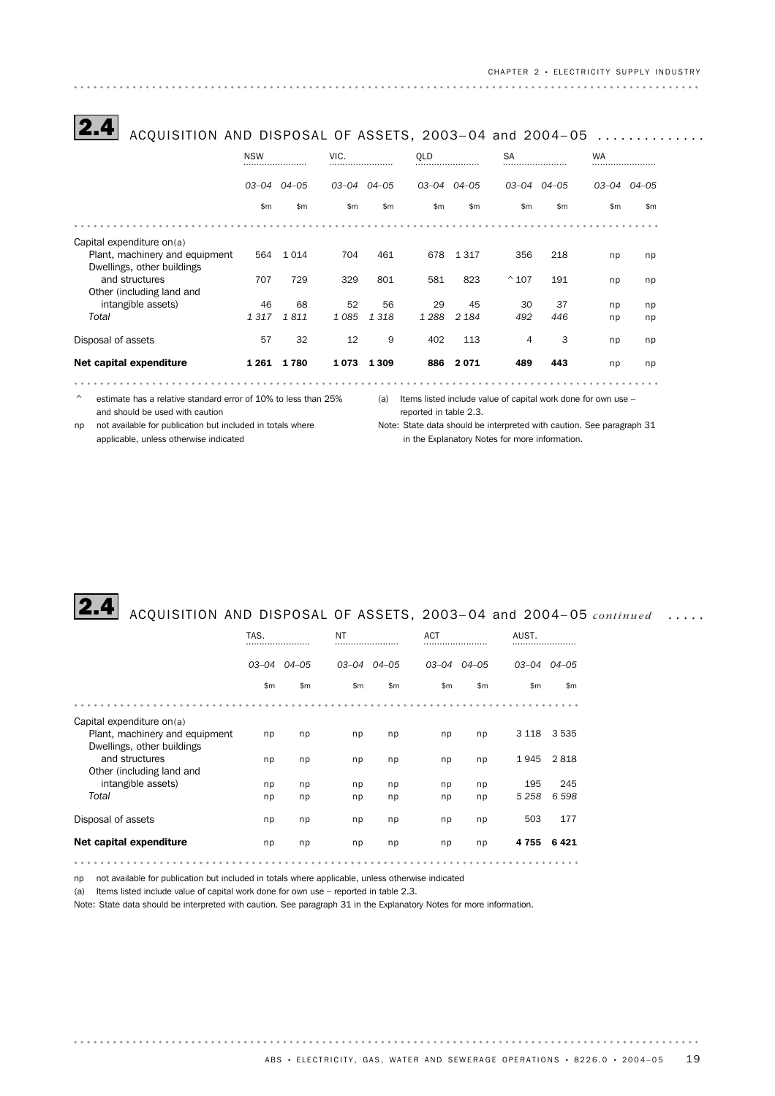| ACQUISITION AND DISPOSAL OF ASSETS, 2003-04 and 2004-05 |                |               |             |         |                |               |                |               |               |       |
|---------------------------------------------------------|----------------|---------------|-------------|---------|----------------|---------------|----------------|---------------|---------------|-------|
|                                                         | <b>NSW</b><br> |               | VIC.<br>    |         | <b>OLD</b><br> |               | <b>SA</b><br>  |               | <b>WA</b><br> |       |
|                                                         | 03–04          | $04 - 05$     | 03-04 04-05 |         | 03–04          | 04-05         |                | 03-04 04-05   | 03–04         | 04-05 |
|                                                         | $\mathsf{Sm}$  | $\mathsf{Sm}$ | \$m\$       | \$m\$   | $\mathsf{Sm}$  | $\mathsf{Sm}$ | \$m            | $\mathsf{Sm}$ | \$m           | \$m   |
|                                                         |                |               |             |         |                |               |                |               |               |       |
| Capital expenditure on(a)                               |                |               |             |         |                |               |                |               |               |       |
| Plant, machinery and equipment                          | 564            | 1014          | 704         | 461     | 678            | 1 3 1 7       | 356            | 218           | np            | np    |
| Dwellings, other buildings                              |                |               |             |         |                |               |                |               |               |       |
| and structures                                          | 707            | 729           | 329         | 801     | 581            | 823           | $^{\wedge}107$ | 191           | np            | np    |
| Other (including land and                               |                |               |             |         |                |               |                |               |               |       |
| intangible assets)                                      | 46             | 68            | 52          | 56      | 29             | 45            | 30             | 37            | np            | np    |
| Total                                                   | 1317           | 1811          | 1085        | 1 3 1 8 | 1 2 8 8        | 2 1 8 4       | 492            | 446           | np            | np    |
| Disposal of assets                                      | 57             | 32            | 12          | 9       | 402            | 113           | 4              | 3             | np            | np    |
| Net capital expenditure                                 | 1 261          | 1780          | 1 0 7 3     | 1 3 0 9 | 886            | 2071          | 489            | 443           | np            | np    |
|                                                         |                |               |             |         |                |               |                |               |               |       |

 $\degree$  estimate has a relative standard error of 10% to less than 25% (a) Items listed include value of capital work done for own use – and should be used with caution

reported in table 2.3.

applicable, unless otherwise indicated

np not available for publication but included in totals where Note: State data should be interpreted with caution. See paragraph 31 in the Explanatory Notes for more information.

# 2.4 ACQUISITION AND DISPOSAL OF ASSETS, 2003– 04 and 2004– <sup>05</sup> *continued* .....

|                                                                                                                                                                         | TAS.<br>             |                      | NT                   |                      |                      |                      | AUST.                             |                                   |
|-------------------------------------------------------------------------------------------------------------------------------------------------------------------------|----------------------|----------------------|----------------------|----------------------|----------------------|----------------------|-----------------------------------|-----------------------------------|
|                                                                                                                                                                         | 03-04                | $04 - 05$            | $03 - 04$            | 04–05                |                      | $03 - 04$ $04 - 05$  |                                   | $03 - 04$ $04 - 05$               |
|                                                                                                                                                                         | \$m\$                | \$m\$                | \$m                  | \$m\$                | \$m\$                | \$m                  | \$m\$                             | \$m                               |
|                                                                                                                                                                         |                      |                      |                      |                      |                      |                      |                                   |                                   |
| Capital expenditure on(a)<br>Plant, machinery and equipment<br>Dwellings, other buildings<br>and structures<br>Other (including land and<br>intangible assets)<br>Total | np<br>np<br>np<br>np | np<br>np<br>np<br>np | np<br>np<br>np<br>np | np<br>np<br>np<br>np | np<br>np<br>np<br>np | np<br>np<br>np<br>np | 3 1 1 8<br>1945<br>195<br>5 2 5 8 | 3 5 3 5<br>2818<br>245<br>6 5 9 8 |
| Disposal of assets                                                                                                                                                      | np                   | np                   | np                   | np                   | np                   | np                   | 503                               | 177                               |
| Net capital expenditure                                                                                                                                                 | np                   | np                   | np                   | np                   | np                   | np                   | 4755                              | 6421                              |

np not available for publication but included in totals where applicable, unless otherwise indicated

(a) Items listed include value of capital work done for own use – reported in table 2.3.

. . . . . . . . . . . . . . . . . .

Note: State data should be interpreted with caution. See paragraph 31 in the Explanatory Notes for more information.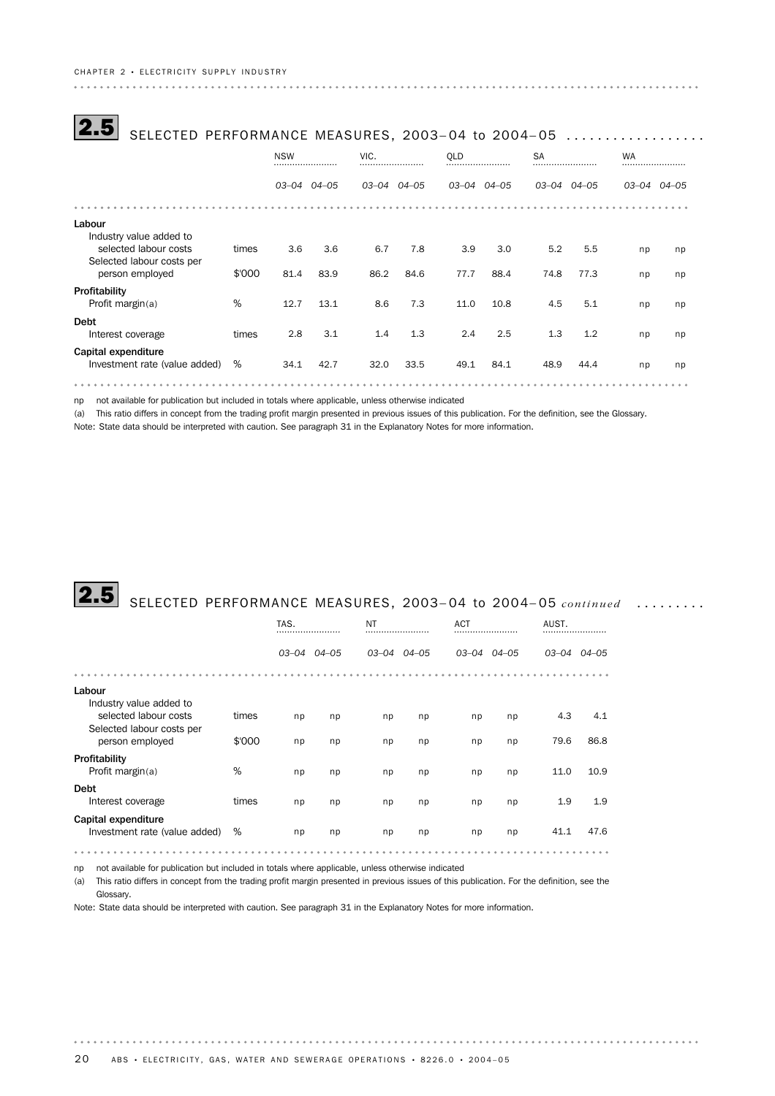| SELECTED PERFORMANCE MEASURES, 2003-04 to 2004-05          |        |                |                     |             |      |                     |      |               |       |               |       |
|------------------------------------------------------------|--------|----------------|---------------------|-------------|------|---------------------|------|---------------|-------|---------------|-------|
|                                                            |        | <b>NSW</b><br> |                     | VIC.<br>    |      | <b>OLD</b>          |      | <b>SA</b><br> |       | <b>WA</b><br> |       |
|                                                            |        |                | $03 - 04$ $04 - 05$ | 03-04 04-05 |      | $03 - 04$ $04 - 05$ |      | 03–04         | 04–05 | 03–04         | 04–05 |
|                                                            |        |                |                     |             |      |                     |      |               |       |               |       |
| Labour<br>Industry value added to<br>selected labour costs | times  | 3.6            | 3.6                 | 6.7         | 7.8  | 3.9                 | 3.0  | 5.2           | 5.5   | np            | np    |
| Selected labour costs per<br>person employed               | \$'000 | 81.4           | 83.9                | 86.2        | 84.6 | 77.7                | 88.4 | 74.8          | 77.3  | np            | np    |
| Profitability<br>Profit margin(a)                          | %      | 12.7           | 13.1                | 8.6         | 7.3  | 11.0                | 10.8 | 4.5           | 5.1   | np            | np    |
| <b>Debt</b><br>Interest coverage                           | times  | 2.8            | 3.1                 | 1.4         | 1.3  | 2.4                 | 2.5  | 1.3           | 1.2   | np            | np    |
| Capital expenditure<br>Investment rate (value added)       | %      | 34.1           | 42.7                | 32.0        | 33.5 | 49.1                | 84.1 | 48.9          | 44.4  | np            | np    |
|                                                            |        |                |                     |             |      |                     |      |               |       |               |       |

np not available for publication but included in totals where applicable, unless otherwise indicated

(a) This ratio differs in concept from the trading profit margin presented in previous issues of this publication. For the definition, see the Glossary.

Note: State data should be interpreted with caution. See paragraph 31 in the Explanatory Notes for more information.

# **2.5** SELECTED PERFORMANCE MEASURES, 2003-04 to 2004-05 *continued* .........

|                                                      |        | TAS.<br>    |    | NT<br>      |    | <b>ACT</b><br> |             | AUST.<br>   |      |
|------------------------------------------------------|--------|-------------|----|-------------|----|----------------|-------------|-------------|------|
|                                                      |        | 03-04 04-05 |    | 03-04 04-05 |    |                | 03-04 04-05 | 03-04 04-05 |      |
|                                                      |        |             |    |             |    |                |             |             |      |
| Labour<br>Industry value added to                    |        |             |    |             |    |                |             |             |      |
| selected labour costs<br>Selected labour costs per   | times  | np          | np | np          | np | np             | np          | 4.3         | 4.1  |
| person employed                                      | \$'000 | np          | np | np          | np | np             | np          | 79.6        | 86.8 |
| Profitability<br>Profit margin(a)                    | %      | np          | np | np          | np | np             | np          | 11.0        | 10.9 |
| <b>Debt</b><br>Interest coverage                     | times  | np          | np | np          | np | np             | np          | 1.9         | 1.9  |
| Capital expenditure<br>Investment rate (value added) | %      | np          | np | np          | np | np             | np          | 41.1        | 47.6 |
|                                                      |        |             |    |             |    |                |             |             |      |

np not available for publication but included in totals where applicable, unless otherwise indicated

(a) This ratio differs in concept from the trading profit margin presented in previous issues of this publication. For the definition, see the Glossary.

Note: State data should be interpreted with caution. See paragraph 31 in the Explanatory Notes for more information.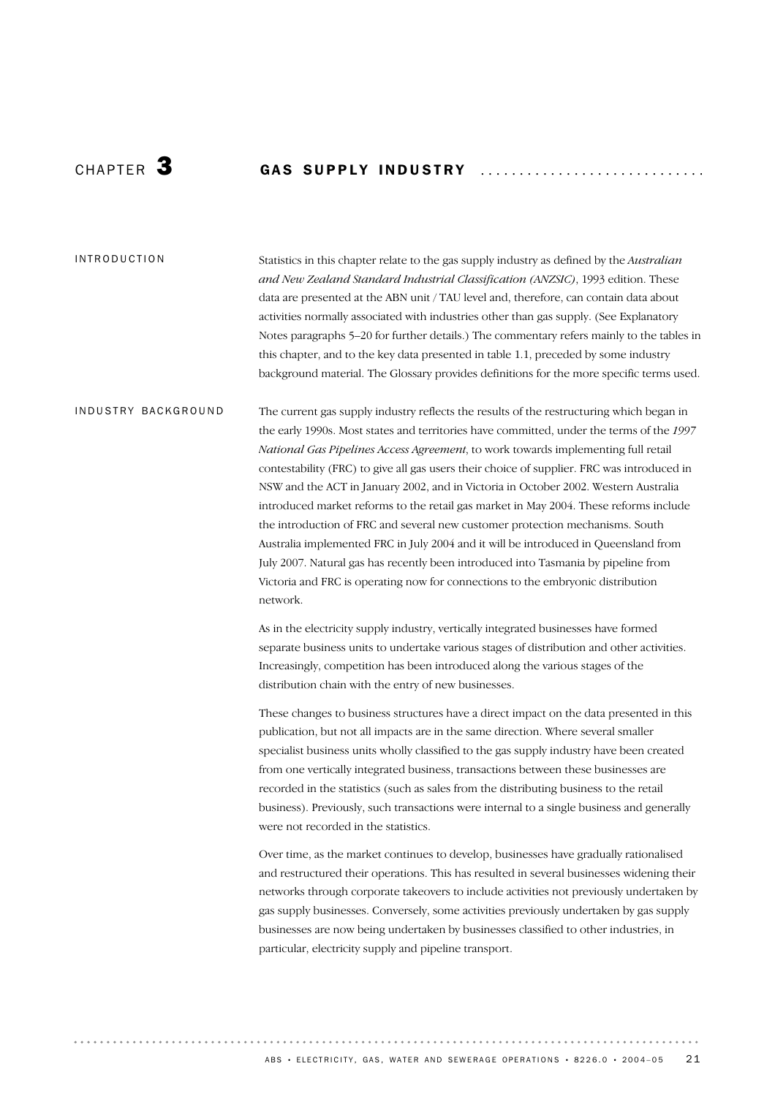# CHAPTER 3 GAS SUPPLY INDUSTRY

#### INTRODUCTION

Statistics in this chapter relate to the gas supply industry as defined by the *Australian and New Zealand Standard Industrial Classification (ANZSIC)*, 1993 edition. These data are presented at the ABN unit / TAU level and, therefore, can contain data about activities normally associated with industries other than gas supply. (See Explanatory Notes paragraphs 5–20 for further details.) The commentary refers mainly to the tables in this chapter, and to the key data presented in table 1.1, preceded by some industry background material. The Glossary provides definitions for the more specific terms used.

The current gas supply industry reflects the results of the restructuring which began in the early 1990s. Most states and territories have committed, under the terms of the *1997 National Gas Pipelines Access Agreement*, to work towards implementing full retail contestability (FRC) to give all gas users their choice of supplier. FRC was introduced in NSW and the ACT in January 2002, and in Victoria in October 2002. Western Australia introduced market reforms to the retail gas market in May 2004. These reforms include the introduction of FRC and several new customer protection mechanisms. South Australia implemented FRC in July 2004 and it will be introduced in Queensland from July 2007. Natural gas has recently been introduced into Tasmania by pipeline from Victoria and FRC is operating now for connections to the embryonic distribution network. INDUSTRY BACKGROUND

> As in the electricity supply industry, vertically integrated businesses have formed separate business units to undertake various stages of distribution and other activities. Increasingly, competition has been introduced along the various stages of the distribution chain with the entry of new businesses.

These changes to business structures have a direct impact on the data presented in this publication, but not all impacts are in the same direction. Where several smaller specialist business units wholly classified to the gas supply industry have been created from one vertically integrated business, transactions between these businesses are recorded in the statistics (such as sales from the distributing business to the retail business). Previously, such transactions were internal to a single business and generally were not recorded in the statistics.

Over time, as the market continues to develop, businesses have gradually rationalised and restructured their operations. This has resulted in several businesses widening their networks through corporate takeovers to include activities not previously undertaken by gas supply businesses. Conversely, some activities previously undertaken by gas supply businesses are now being undertaken by businesses classified to other industries, in particular, electricity supply and pipeline transport.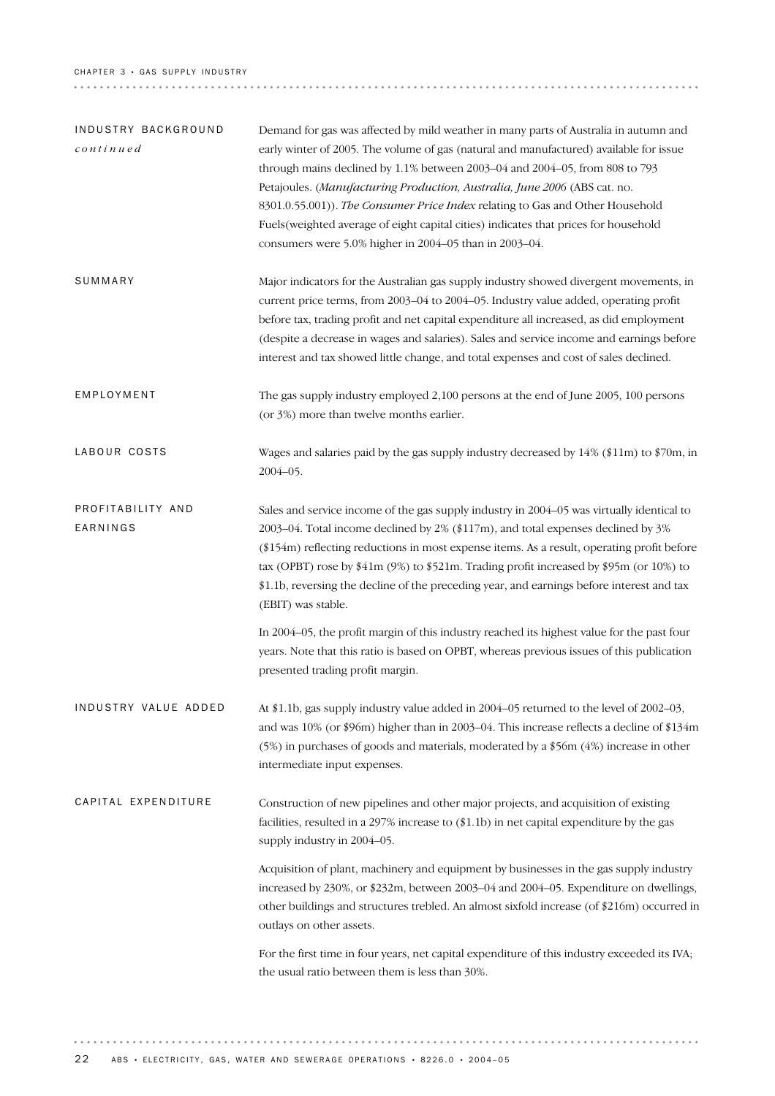### CHAPTER 3 · GAS SUPPLY INDUSTRY

| INDUSTRY BACKGROUND<br>$\mathop{conlinue}$ | Demand for gas was affected by mild weather in many parts of Australia in autumn and<br>early winter of 2005. The volume of gas (natural and manufactured) available for issue<br>through mains declined by 1.1% between 2003-04 and 2004-05, from 808 to 793<br>Petajoules. (Manufacturing Production, Australia, June 2006 (ABS cat. no.<br>8301.0.55.001)). The Consumer Price Index relating to Gas and Other Household<br>Fuels (weighted average of eight capital cities) indicates that prices for household<br>consumers were 5.0% higher in 2004-05 than in 2003-04.                                                                                                                                           |
|--------------------------------------------|-------------------------------------------------------------------------------------------------------------------------------------------------------------------------------------------------------------------------------------------------------------------------------------------------------------------------------------------------------------------------------------------------------------------------------------------------------------------------------------------------------------------------------------------------------------------------------------------------------------------------------------------------------------------------------------------------------------------------|
| SUMMARY                                    | Major indicators for the Australian gas supply industry showed divergent movements, in<br>current price terms, from 2003-04 to 2004-05. Industry value added, operating profit<br>before tax, trading profit and net capital expenditure all increased, as did employment<br>(despite a decrease in wages and salaries). Sales and service income and earnings before<br>interest and tax showed little change, and total expenses and cost of sales declined.                                                                                                                                                                                                                                                          |
| EMPLOYMENT                                 | The gas supply industry employed 2,100 persons at the end of June 2005, 100 persons<br>(or 3%) more than twelve months earlier.                                                                                                                                                                                                                                                                                                                                                                                                                                                                                                                                                                                         |
| LABOUR COSTS                               | Wages and salaries paid by the gas supply industry decreased by $14\%$ (\$11m) to \$70m, in<br>2004-05.                                                                                                                                                                                                                                                                                                                                                                                                                                                                                                                                                                                                                 |
| PROFITABILITY AND<br>EARNINGS              | Sales and service income of the gas supply industry in 2004–05 was virtually identical to<br>2003-04. Total income declined by 2% (\$117m), and total expenses declined by 3%<br>(\$154m) reflecting reductions in most expense items. As a result, operating profit before<br>tax (OPBT) rose by \$41m (9%) to \$521m. Trading profit increased by \$95m (or 10%) to<br>\$1.1b, reversing the decline of the preceding year, and earnings before interest and tax<br>(EBIT) was stable.<br>In 2004-05, the profit margin of this industry reached its highest value for the past four<br>years. Note that this ratio is based on OPBT, whereas previous issues of this publication<br>presented trading profit margin. |
| INDUSTRY VALUE ADDED                       | At \$1.1b, gas supply industry value added in 2004–05 returned to the level of 2002–03,<br>and was 10% (or \$96m) higher than in 2003–04. This increase reflects a decline of \$134m<br>(5%) in purchases of goods and materials, moderated by a \$56m (4%) increase in other<br>intermediate input expenses.                                                                                                                                                                                                                                                                                                                                                                                                           |
| CAPITAL EXPENDITURE                        | Construction of new pipelines and other major projects, and acquisition of existing<br>facilities, resulted in a 297% increase to (\$1.1b) in net capital expenditure by the gas<br>supply industry in 2004-05.                                                                                                                                                                                                                                                                                                                                                                                                                                                                                                         |
|                                            | Acquisition of plant, machinery and equipment by businesses in the gas supply industry<br>increased by 230%, or \$232m, between 2003-04 and 2004-05. Expenditure on dwellings,<br>other buildings and structures trebled. An almost sixfold increase (of \$216m) occurred in<br>outlays on other assets.                                                                                                                                                                                                                                                                                                                                                                                                                |
|                                            | For the first time in four years, net capital expenditure of this industry exceeded its IVA;<br>the usual ratio between them is less than 30%.                                                                                                                                                                                                                                                                                                                                                                                                                                                                                                                                                                          |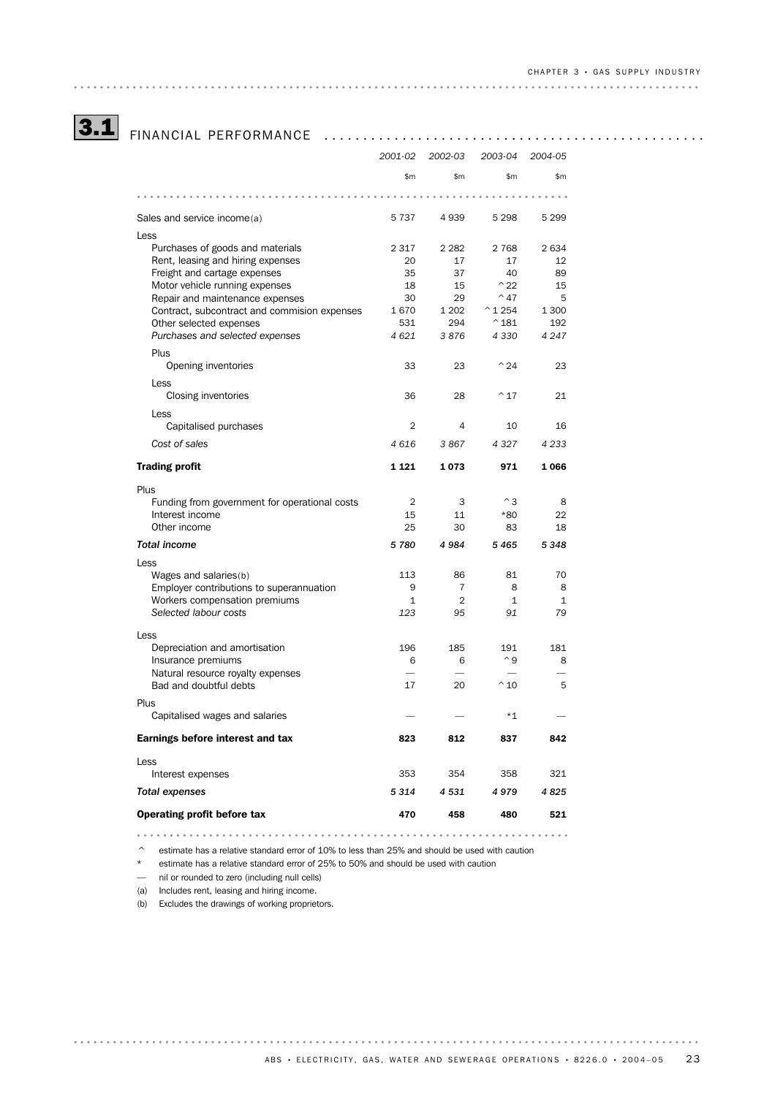# 3.1 FINANCIAL PERFORMANCE .................................................

|                                               | 2001-02        | 2002-03        | 2003-04           | 2004-05      |
|-----------------------------------------------|----------------|----------------|-------------------|--------------|
|                                               | \$m            | \$m            | \$m               | \$m          |
|                                               |                |                |                   |              |
| Sales and service income(a)                   | 5737           | 4 9 3 9        | 5 2 9 8           | 5 2 9 9      |
| Less                                          |                |                |                   |              |
| Purchases of goods and materials              | 2 3 1 7        | 2 2 8 2        | 2 7 6 8           | 2634         |
| Rent, leasing and hiring expenses             | 20             | 17             | 17                | 12           |
| Freight and cartage expenses                  | 35             | 37             | 40                | 89           |
| Motor vehicle running expenses                | 18             | 15             | $^{\wedge}22$     | 15           |
| Repair and maintenance expenses               | 30             | 29             | $^{\sim}$ 47      | 5            |
| Contract, subcontract and commision expenses  | 1670           | 1 2 0 2        | $^{\wedge}$ 1 254 | 1 300        |
| Other selected expenses                       | 531            | 294            | $^{\wedge}181$    | 192          |
| Purchases and selected expenses               | 4 6 21         | 3876           | 4330              | 4 2 4 7      |
| Plus                                          |                |                |                   |              |
| Opening inventories                           | 33             | 23             | $^{\wedge}24$     | 23           |
|                                               |                |                |                   |              |
| Less                                          |                |                |                   |              |
| Closing inventories                           | 36             | 28             | $^{\wedge}$ 17    | 21           |
| Less                                          |                |                |                   |              |
| Capitalised purchases                         | $\overline{2}$ | 4              | 10                | 16           |
| Cost of sales                                 | 4616           | 3867           | 4 3 2 7           | 4 2 3 3      |
| <b>Trading profit</b>                         | 1 1 2 1        | 1073           | 971               | 1066         |
| Plus                                          |                |                |                   |              |
| Funding from government for operational costs | $\overline{2}$ | 3              | $^{\wedge}$ 3     | 8            |
| Interest income                               | 15             | 11             | *80               | 22           |
| Other income                                  | 25             | 30             | 83                | 18           |
|                                               |                |                |                   |              |
| <b>Total income</b>                           | 5780           | 4984           | 5465              | 5348         |
| Less                                          |                |                |                   |              |
| Wages and salaries(b)                         | 113            | 86             | 81                | 70           |
| Employer contributions to superannuation      | 9              | 7              | 8                 | 8            |
| Workers compensation premiums                 | $\mathbf{1}$   | $\overline{2}$ | $\mathbf{1}$      | $\mathbf{1}$ |
| Selected labour costs                         | 123            | 95             | 91                | 79           |
|                                               |                |                |                   |              |
| Less                                          |                |                |                   |              |
| Depreciation and amortisation                 | 196            | 185            | 191               | 181          |
| Insurance premiums                            | 6              | 6              | $^{\wedge}9$      | 8            |
| Natural resource royalty expenses             |                |                |                   |              |
| Bad and doubtful debts                        | 17             | 20             | $^{\wedge}$ 10    | 5            |
| Plus                                          |                |                |                   |              |
| Capitalised wages and salaries                |                |                | *1                |              |
| Earnings before interest and tax              | 823            | 812            | 837               | 842          |
| Less                                          |                |                |                   |              |
| Interest expenses                             | 353            | 354            | 358               | 321          |
| <b>Total expenses</b>                         | 5 3 1 4        | 4531           | 4979              | 4825         |
|                                               |                |                |                   |              |
| Operating profit before tax                   | 470            | 458            | 480               | 521          |

 $\degree$  estimate has a relative standard error of 10% to less than 25% and should be used with caution

\* estimate has a relative standard error of 25% to 50% and should be used with caution

— nil or rounded to zero (including null cells)

(a) Includes rent, leasing and hiring income.

(b) Excludes the drawings of working proprietors.

. . . . . . . . . . . . . . . . . .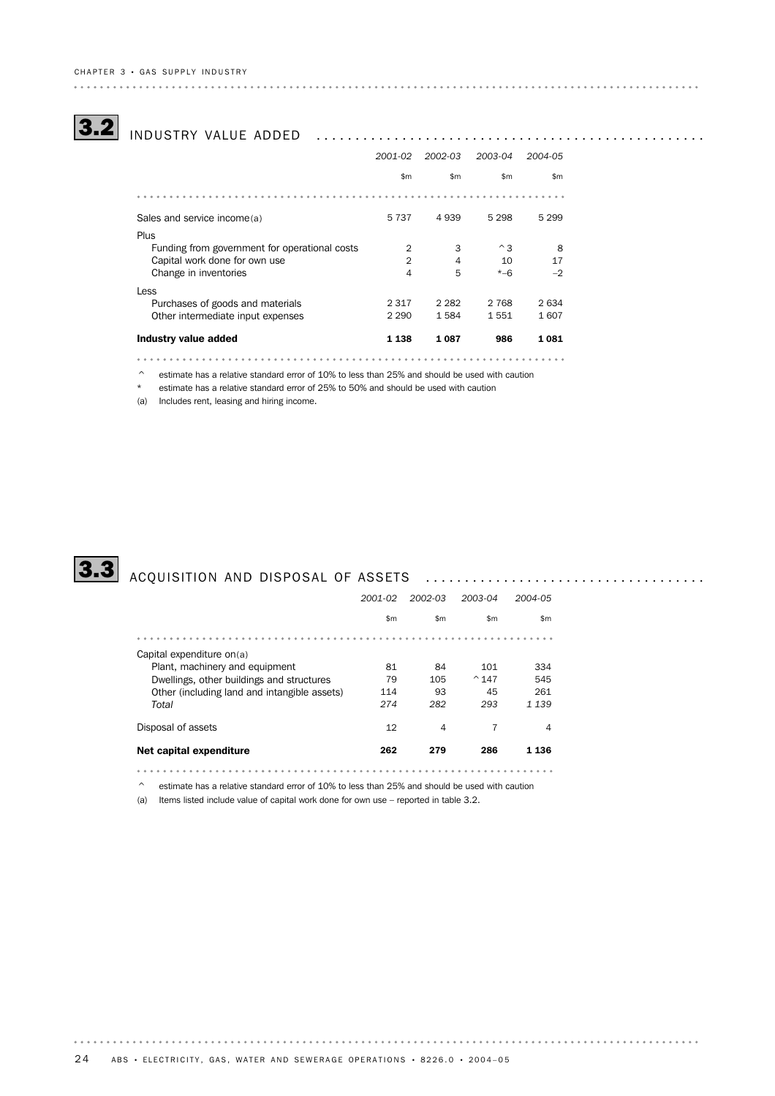# CH A P T E R 3 • GA S SU P P L Y I N D U S T R Y

# 3.2 INDUSTRY VALUE ADDED ..................................................

|                                               | 2001-02        | 2002-03 | 2003-04       | 2004-05 |
|-----------------------------------------------|----------------|---------|---------------|---------|
|                                               | \$m            | \$m\$   | \$m\$         | \$m\$   |
|                                               |                |         |               |         |
| Sales and service income(a)                   | 5 7 3 7        | 4939    | 5 2 9 8       | 5 2 9 9 |
| Plus                                          |                |         |               |         |
| Funding from government for operational costs | $\overline{2}$ | 3       | $^{\wedge}$ 3 | 8       |
| Capital work done for own use                 | $\overline{2}$ | 4       | 10            | 17      |
| Change in inventories                         | $\overline{4}$ | 5       | $* - 6$       | $-2$    |
| Less                                          |                |         |               |         |
| Purchases of goods and materials              | 2 3 1 7        | 2 2 8 2 | 2 7 6 8       | 2634    |
| Other intermediate input expenses             | 2 2 9 0        | 1584    | 1551          | 1607    |
| Industry value added                          | 1 1 3 8        | 1 087   | 986           | 1081    |

 $\degree$  estimate has a relative standard error of 10% to less than 25% and should be used with caution

\* estimate has a relative standard error of 25% to 50% and should be used with caution

(a) Includes rent, leasing and hiring income.



# 3.3 ACQUISITION AND DISPOSAL OF ASSETS ....................................

|                                              | 2001-02 | 2002-03 | 2003-04        | 2004-05 |
|----------------------------------------------|---------|---------|----------------|---------|
|                                              | \$m     | \$m\$   | \$m\$          | \$m     |
|                                              |         |         |                |         |
| Capital expenditure on(a)                    |         |         |                |         |
| Plant, machinery and equipment               | 81      | 84      | 101            | 334     |
| Dwellings, other buildings and structures    | 79      | 105     | $^{\circ}$ 147 | 545     |
| Other (including land and intangible assets) | 114     | 93      | 45             | 261     |
| Total                                        | 274     | 282     | 293            | 1 1 3 9 |
| Disposal of assets                           | 12      | 4       | 7              | 4       |
| Net capital expenditure                      | 262     | 279     | 286            | 1 136   |
|                                              |         |         |                |         |

^ estimate has a relative standard error of 10% to less than 25% and should be used with caution

(a) Items listed include value of capital work done for own use – reported in table 3.2.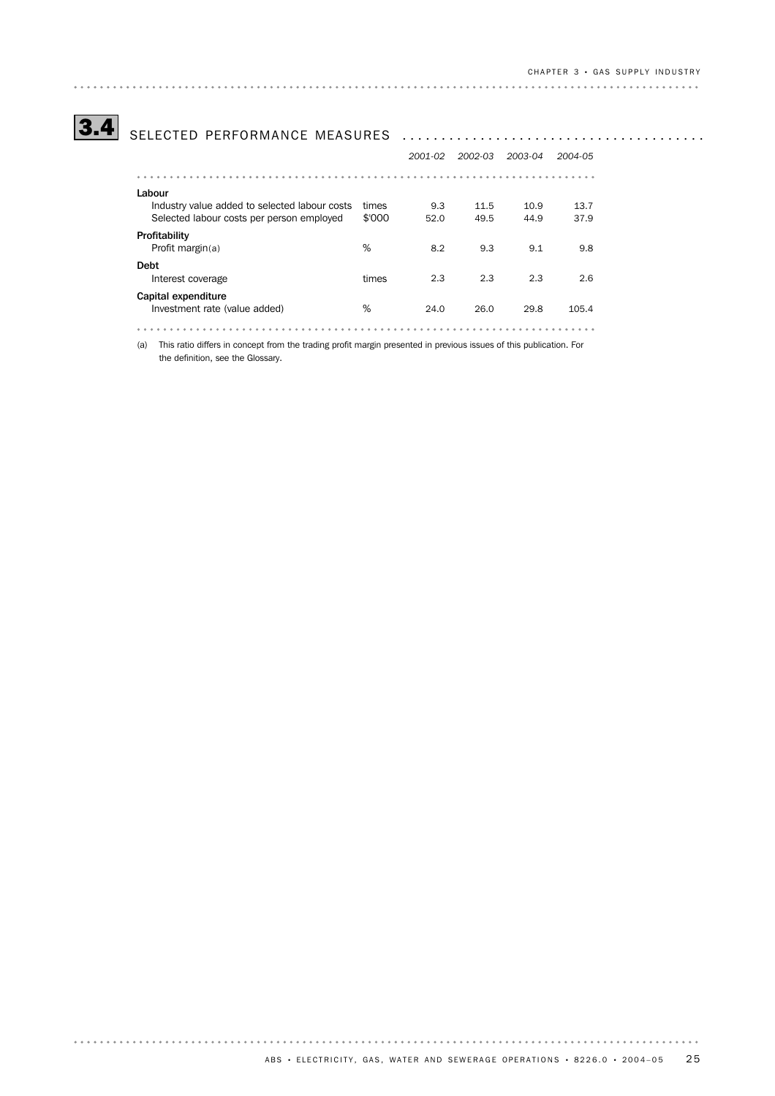# 3.4 SELECTED PERFORMANCE MEASURES .......................................

|                                               |        | 2001-02 | 2002-03 | 2003-04 | 2004-05 |
|-----------------------------------------------|--------|---------|---------|---------|---------|
|                                               |        |         |         |         |         |
| Labour                                        |        |         |         |         |         |
| Industry value added to selected labour costs | times  | 9.3     | 11.5    | 10.9    | 13.7    |
| Selected labour costs per person employed     | \$'000 | 52.0    | 49.5    | 44.9    | 37.9    |
| Profitability                                 |        |         |         |         |         |
| Profit margin $(a)$                           | %      | 8.2     | 9.3     | 9.1     | 9.8     |
| <b>Debt</b>                                   |        |         |         |         |         |
| Interest coverage                             | times  | 2.3     | 2.3     | 2.3     | 2.6     |
| Capital expenditure                           |        |         |         |         |         |
| Investment rate (value added)                 | %      | 24.0    | 26.0    | 29.8    | 105.4   |
|                                               |        |         |         |         |         |

(a) This ratio differs in concept from the trading profit margin presented in previous issues of this publication. For the definition, see the Glossary.

 $\begin{array}{cccccccccccccc} \bullet & \bullet & \bullet & \bullet & \bullet & \bullet & \bullet & \bullet \end{array}$ 

. . . . . . . . . . . . . . . . . . .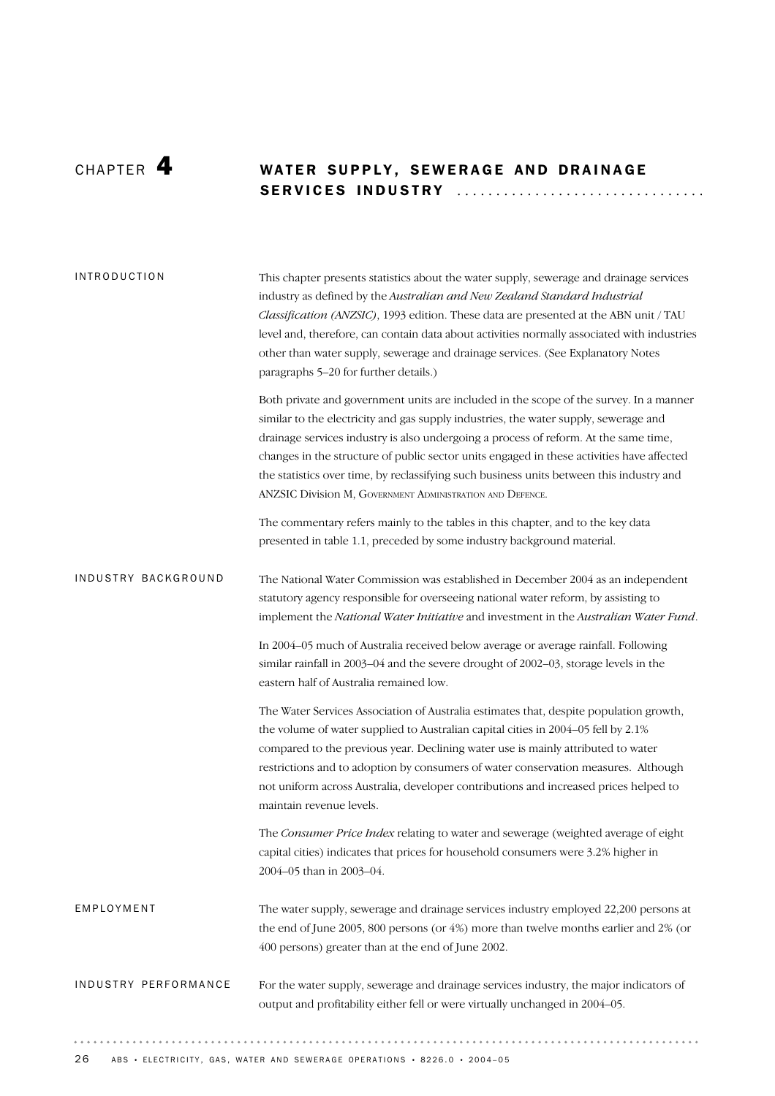# CHAPTER 4 WATER SUPPLY, SEWERAGE AND DRAINAGE SE R V I C E S IN D U S T R Y ............................... .

| <b>INTRODUCTION</b>  | This chapter presents statistics about the water supply, sewerage and drainage services<br>industry as defined by the Australian and New Zealand Standard Industrial<br>Classification (ANZSIC), 1993 edition. These data are presented at the ABN unit / TAU<br>level and, therefore, can contain data about activities normally associated with industries<br>other than water supply, sewerage and drainage services. (See Explanatory Notes<br>paragraphs 5-20 for further details.)                                     |
|----------------------|------------------------------------------------------------------------------------------------------------------------------------------------------------------------------------------------------------------------------------------------------------------------------------------------------------------------------------------------------------------------------------------------------------------------------------------------------------------------------------------------------------------------------|
|                      | Both private and government units are included in the scope of the survey. In a manner<br>similar to the electricity and gas supply industries, the water supply, sewerage and<br>drainage services industry is also undergoing a process of reform. At the same time,<br>changes in the structure of public sector units engaged in these activities have affected<br>the statistics over time, by reclassifying such business units between this industry and<br>ANZSIC Division M, GOVERNMENT ADMINISTRATION AND DEFENCE. |
|                      | The commentary refers mainly to the tables in this chapter, and to the key data<br>presented in table 1.1, preceded by some industry background material.                                                                                                                                                                                                                                                                                                                                                                    |
| INDUSTRY BACKGROUND  | The National Water Commission was established in December 2004 as an independent<br>statutory agency responsible for overseeing national water reform, by assisting to<br>implement the National Water Initiative and investment in the Australian Water Fund.                                                                                                                                                                                                                                                               |
|                      | In 2004-05 much of Australia received below average or average rainfall. Following<br>similar rainfall in 2003-04 and the severe drought of 2002-03, storage levels in the<br>eastern half of Australia remained low.                                                                                                                                                                                                                                                                                                        |
|                      | The Water Services Association of Australia estimates that, despite population growth,<br>the volume of water supplied to Australian capital cities in 2004-05 fell by 2.1%<br>compared to the previous year. Declining water use is mainly attributed to water<br>restrictions and to adoption by consumers of water conservation measures. Although<br>not uniform across Australia, developer contributions and increased prices helped to<br>maintain revenue levels.                                                    |
|                      | The Consumer Price Index relating to water and sewerage (weighted average of eight<br>capital cities) indicates that prices for household consumers were 3.2% higher in<br>2004-05 than in 2003-04.                                                                                                                                                                                                                                                                                                                          |
| EMPLOYMENT           | The water supply, sewerage and drainage services industry employed 22,200 persons at<br>the end of June 2005, 800 persons (or 4%) more than twelve months earlier and 2% (or<br>400 persons) greater than at the end of June 2002.                                                                                                                                                                                                                                                                                           |
| INDUSTRY PERFORMANCE | For the water supply, sewerage and drainage services industry, the major indicators of<br>output and profitability either fell or were virtually unchanged in 2004-05.                                                                                                                                                                                                                                                                                                                                                       |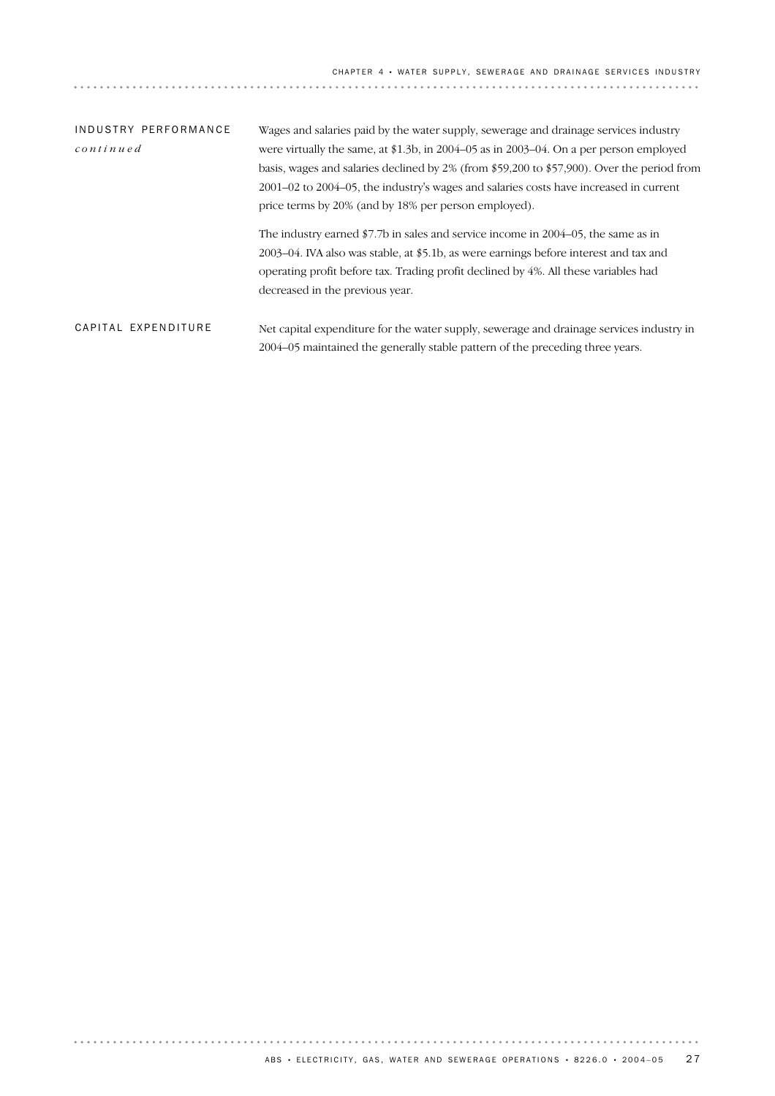# Net capital expenditure for the water supply, sewerage and drainage services industry in 2004–05 maintained the generally stable pattern of the preceding three years. CAPITAL EXPENDITURE Wages and salaries paid by the water supply, sewerage and drainage services industry were virtually the same, at \$1.3b, in 2004–05 as in 2003–04. On a per person employed basis, wages and salaries declined by 2% (from \$59,200 to \$57,900). Over the period from 2001–02 to 2004–05, the industry's wages and salaries costs have increased in current price terms by 20% (and by 18% per person employed). The industry earned \$7.7b in sales and service income in 2004–05, the same as in 2003–04. IVA also was stable, at \$5.1b, as were earnings before interest and tax and operating profit before tax. Trading profit declined by 4%. All these variables had decreased in the previous year. INDUSTRY PERFORMANCE *continued*

. . . . . . . . . . . . .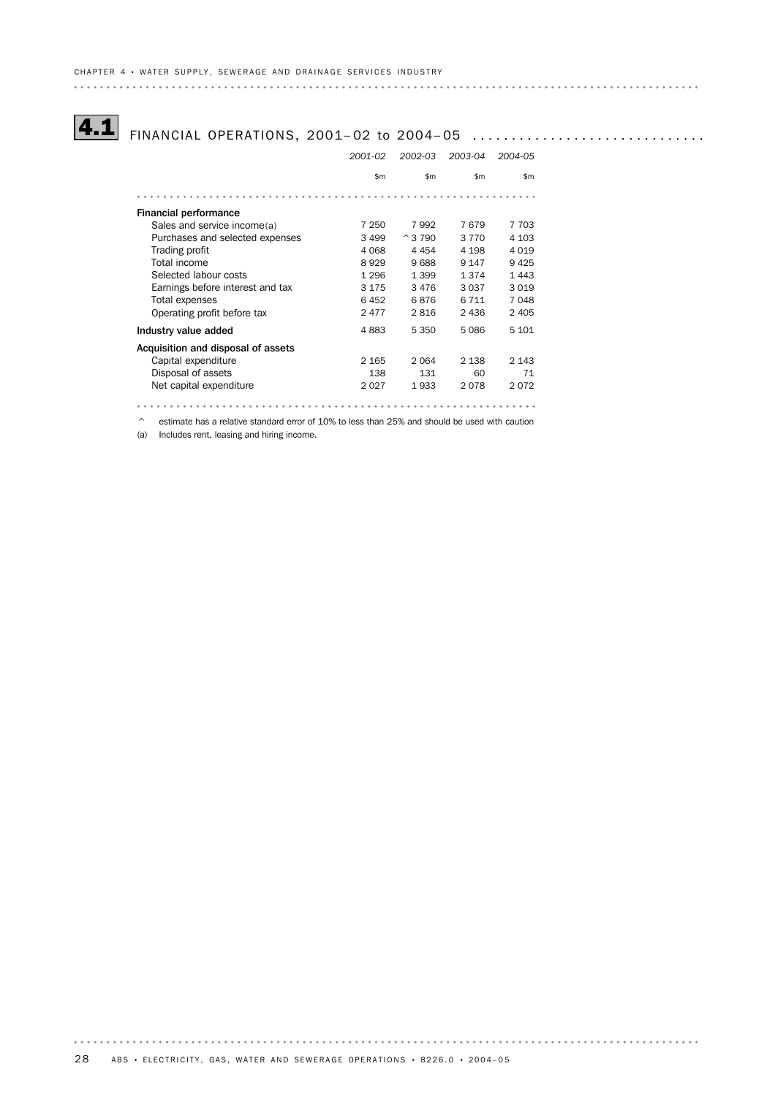# 4.1 FINANCIAL OPERATIONS, 2001–02 to 2004–05 ................................

|                                    | 2001-02 | 2002-03        | 2003-04 | 2004-05 |
|------------------------------------|---------|----------------|---------|---------|
|                                    | \$m\$   | \$m            | \$m     | \$m     |
|                                    |         |                |         |         |
| <b>Financial performance</b>       |         |                |         |         |
| Sales and service income(a)        | 7 250   | 7992           | 7679    | 7 703   |
| Purchases and selected expenses    | 3 4 9 9 | $^{\circ}3790$ | 3 7 7 0 | 4 1 0 3 |
| Trading profit                     | 4 0 6 8 | 4 4 5 4        | 4 1 9 8 | 4019    |
| Total income                       | 8929    | 9688           | 9 1 4 7 | 9425    |
| Selected labour costs              | 1 2 9 6 | 1 3 9 9        | 1 3 7 4 | 1443    |
| Earnings before interest and tax   | 3 1 7 5 | 3476           | 3 0 3 7 | 3019    |
| Total expenses                     | 6452    | 6876           | 6 7 1 1 | 7048    |
| Operating profit before tax        | 2477    | 2816           | 2 4 3 6 | 2 4 0 5 |
| Industry value added               | 4883    | 5 3 5 0        | 5086    | 5 101   |
| Acquisition and disposal of assets |         |                |         |         |
| Capital expenditure                | 2 1 6 5 | 2 0 6 4        | 2 1 3 8 | 2 1 4 3 |
| Disposal of assets                 | 138     | 131            | 60      | 71      |
| Net capital expenditure            | 2027    | 1933           | 2078    | 2072    |
|                                    |         |                |         |         |

^ estimate has a relative standard error of 10% to less than 25% and should be used with caution

(a) Includes rent, leasing and hiring income.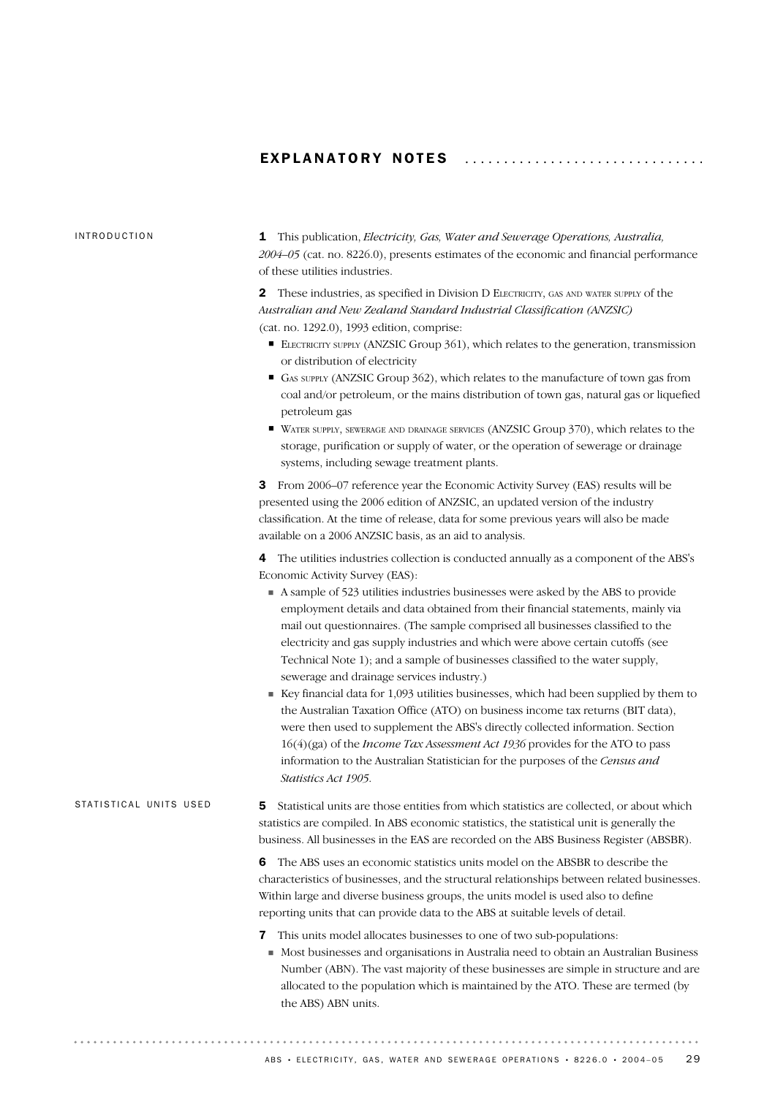## EXPLANATORY NOTES ............................

### INTRODUCTION

1 This publication, *Electricity, Gas, Water and Sewerage Operations, Australia, 2004–05* (cat. no. 8226.0), presents estimates of the economic and financial performance of these utilities industries.

2 These industries, as specified in Division D ELECTRICITY, GAS AND WATER SUPPLY of the *Australian and New Zealand Standard Industrial Classification (ANZSIC)* (cat. no. 1292.0), 1993 edition, comprise:

- ELECTRICITY SUPPLY (ANZSIC Group 361), which relates to the generation, transmission or distribution of electricity
- ! GAS SUPPLY (ANZSIC Group 362), which relates to the manufacture of town gas from coal and/or petroleum, or the mains distribution of town gas, natural gas or liquefied petroleum gas
- ! WATER SUPPLY, SEWERAGE AND DRAINAGE SERVICES (ANZSIC Group 370), which relates to the storage, purification or supply of water, or the operation of sewerage or drainage systems, including sewage treatment plants.

3 From 2006–07 reference year the Economic Activity Survey (EAS) results will be presented using the 2006 edition of ANZSIC, an updated version of the industry classification. At the time of release, data for some previous years will also be made available on a 2006 ANZSIC basis, as an aid to analysis.

4 The utilities industries collection is conducted annually as a component of the ABS's Economic Activity Survey (EAS):

- ! A sample of 523 utilities industries businesses were asked by the ABS to provide employment details and data obtained from their financial statements, mainly via mail out questionnaires. (The sample comprised all businesses classified to the electricity and gas supply industries and which were above certain cutoffs (see Technical Note 1); and a sample of businesses classified to the water supply, sewerage and drainage services industry.)
- $\blacksquare$  Key financial data for 1,093 utilities businesses, which had been supplied by them to the Australian Taxation Office (ATO) on business income tax returns (BIT data), were then used to supplement the ABS's directly collected information. Section 16(4)(ga) of the *Income Tax Assessment Act 1936* provides for the ATO to pass information to the Australian Statistician for the purposes of the *Census and Statistics Act 1905*.

| STATISTICAL UNITS USED | <b>5</b> Statistical units are those entities from which statistics are collected, or about which |
|------------------------|---------------------------------------------------------------------------------------------------|
|                        | statistics are compiled. In ABS economic statistics, the statistical unit is generally the        |
|                        | business. All businesses in the EAS are recorded on the ABS Business Register (ABSBR).            |

6 The ABS uses an economic statistics units model on the ABSBR to describe the characteristics of businesses, and the structural relationships between related businesses. Within large and diverse business groups, the units model is used also to define reporting units that can provide data to the ABS at suitable levels of detail.

- 7 This units model allocates businesses to one of two sub-populations:
- ! Most businesses and organisations in Australia need to obtain an Australian Business Number (ABN). The vast majority of these businesses are simple in structure and are allocated to the population which is maintained by the ATO. These are termed (by the ABS) ABN units.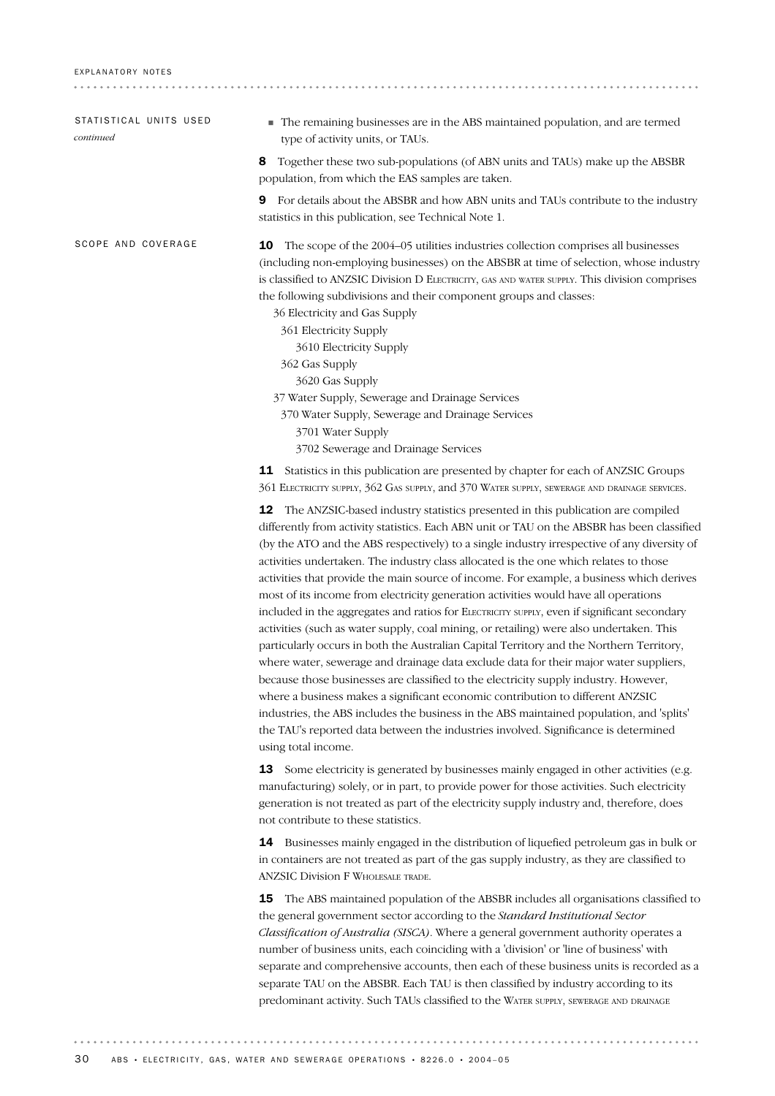| STATISTICAL UNITS USED<br>continued | The remaining businesses are in the ABS maintained population, and are termed<br>type of activity units, or TAUs.                                                                                                                                                                                                                                                                                                                                                                                                                                                                                                                                                                                                                                                                                                                                                                                                                                                                                                                                                                                                                                                                                                                                                                                                                  |
|-------------------------------------|------------------------------------------------------------------------------------------------------------------------------------------------------------------------------------------------------------------------------------------------------------------------------------------------------------------------------------------------------------------------------------------------------------------------------------------------------------------------------------------------------------------------------------------------------------------------------------------------------------------------------------------------------------------------------------------------------------------------------------------------------------------------------------------------------------------------------------------------------------------------------------------------------------------------------------------------------------------------------------------------------------------------------------------------------------------------------------------------------------------------------------------------------------------------------------------------------------------------------------------------------------------------------------------------------------------------------------|
|                                     | 8<br>Together these two sub-populations (of ABN units and TAUs) make up the ABSBR<br>population, from which the EAS samples are taken.                                                                                                                                                                                                                                                                                                                                                                                                                                                                                                                                                                                                                                                                                                                                                                                                                                                                                                                                                                                                                                                                                                                                                                                             |
|                                     | For details about the ABSBR and how ABN units and TAUs contribute to the industry<br>9<br>statistics in this publication, see Technical Note 1.                                                                                                                                                                                                                                                                                                                                                                                                                                                                                                                                                                                                                                                                                                                                                                                                                                                                                                                                                                                                                                                                                                                                                                                    |
| SCOPE AND COVERAGE                  | The scope of the 2004–05 utilities industries collection comprises all businesses<br>10<br>(including non-employing businesses) on the ABSBR at time of selection, whose industry<br>is classified to ANZSIC Division D ELECTRICITY, GAS AND WATER SUPPLY. This division comprises<br>the following subdivisions and their component groups and classes:<br>36 Electricity and Gas Supply<br>361 Electricity Supply<br>3610 Electricity Supply<br>362 Gas Supply<br>3620 Gas Supply<br>37 Water Supply, Sewerage and Drainage Services<br>370 Water Supply, Sewerage and Drainage Services<br>3701 Water Supply<br>3702 Sewerage and Drainage Services                                                                                                                                                                                                                                                                                                                                                                                                                                                                                                                                                                                                                                                                             |
|                                     | 11 Statistics in this publication are presented by chapter for each of ANZSIC Groups<br>361 ELECTRICITY SUPPLY, 362 GAS SUPPLY, and 370 WATER SUPPLY, SEWERAGE AND DRAINAGE SERVICES.                                                                                                                                                                                                                                                                                                                                                                                                                                                                                                                                                                                                                                                                                                                                                                                                                                                                                                                                                                                                                                                                                                                                              |
|                                     | The ANZSIC-based industry statistics presented in this publication are compiled<br>12<br>differently from activity statistics. Each ABN unit or TAU on the ABSBR has been classified<br>(by the ATO and the ABS respectively) to a single industry irrespective of any diversity of<br>activities undertaken. The industry class allocated is the one which relates to those<br>activities that provide the main source of income. For example, a business which derives<br>most of its income from electricity generation activities would have all operations<br>included in the aggregates and ratios for ELECTRICITY SUPPLY, even if significant secondary<br>activities (such as water supply, coal mining, or retailing) were also undertaken. This<br>particularly occurs in both the Australian Capital Territory and the Northern Territory,<br>where water, sewerage and drainage data exclude data for their major water suppliers,<br>because those businesses are classified to the electricity supply industry. However,<br>where a business makes a significant economic contribution to different ANZSIC<br>industries, the ABS includes the business in the ABS maintained population, and 'splits'<br>the TAU's reported data between the industries involved. Significance is determined<br>using total income. |
|                                     | Some electricity is generated by businesses mainly engaged in other activities (e.g.<br>13<br>manufacturing) solely, or in part, to provide power for those activities. Such electricity<br>generation is not treated as part of the electricity supply industry and, therefore, does<br>not contribute to these statistics.                                                                                                                                                                                                                                                                                                                                                                                                                                                                                                                                                                                                                                                                                                                                                                                                                                                                                                                                                                                                       |
|                                     | 14 Businesses mainly engaged in the distribution of liquefied petroleum gas in bulk or<br>in containers are not treated as part of the gas supply industry, as they are classified to<br><b>ANZSIC Division F WHOLESALE TRADE.</b>                                                                                                                                                                                                                                                                                                                                                                                                                                                                                                                                                                                                                                                                                                                                                                                                                                                                                                                                                                                                                                                                                                 |
|                                     | The ABS maintained population of the ABSBR includes all organisations classified to<br>15<br>the general government sector according to the Standard Institutional Sector<br><i>Classification of Australia (SISCA)</i> Where a general government authority operates a                                                                                                                                                                                                                                                                                                                                                                                                                                                                                                                                                                                                                                                                                                                                                                                                                                                                                                                                                                                                                                                            |

*Classification of Australia (SISCA)*. Where a general government authority operates a number of business units, each coinciding with a 'division' or 'line of business' with separate and comprehensive accounts, then each of these business units is recorded as a separate TAU on the ABSBR. Each TAU is then classified by industry according to its predominant activity. Such TAUs classified to the WATER SUPPLY, SEWERAGE AND DRAINAGE

 $\frac{1}{2} \left( \frac{1}{2} \right) \left( \frac{1}{2} \right) \left( \frac{1}{2} \right) \left( \frac{1}{2} \right)$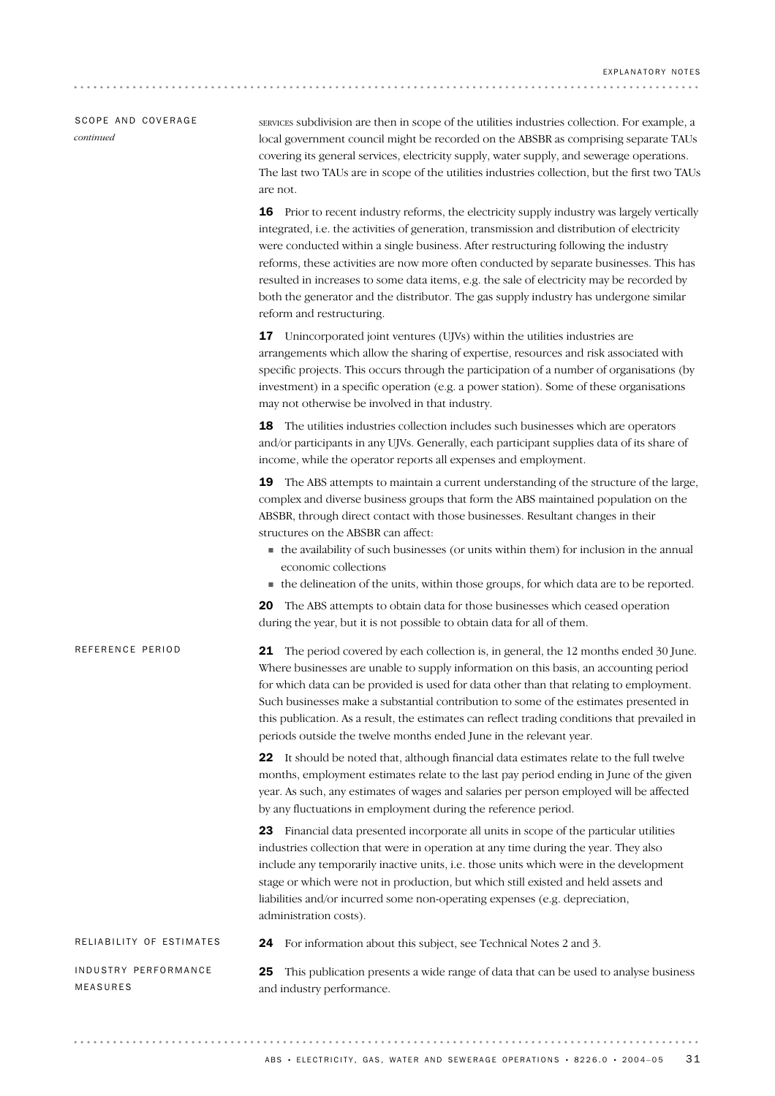## SCOPE AND COVERAGE *continued*

SERVICES subdivision are then in scope of the utilities industries collection. For example, a local government council might be recorded on the ABSBR as comprising separate TAUs covering its general services, electricity supply, water supply, and sewerage operations. The last two TAUs are in scope of the utilities industries collection, but the first two TAUs are not.

16 Prior to recent industry reforms, the electricity supply industry was largely vertically integrated, i.e. the activities of generation, transmission and distribution of electricity were conducted within a single business. After restructuring following the industry reforms, these activities are now more often conducted by separate businesses. This has resulted in increases to some data items, e.g. the sale of electricity may be recorded by both the generator and the distributor. The gas supply industry has undergone similar reform and restructuring.

17 Unincorporated joint ventures (UJVs) within the utilities industries are arrangements which allow the sharing of expertise, resources and risk associated with specific projects. This occurs through the participation of a number of organisations (by investment) in a specific operation (e.g. a power station). Some of these organisations may not otherwise be involved in that industry.

18 The utilities industries collection includes such businesses which are operators and/or participants in any UJVs. Generally, each participant supplies data of its share of income, while the operator reports all expenses and employment.

**19** The ABS attempts to maintain a current understanding of the structure of the large, complex and diverse business groups that form the ABS maintained population on the ABSBR, through direct contact with those businesses. Resultant changes in their structures on the ABSBR can affect:

- $\blacksquare$  the availability of such businesses (or units within them) for inclusion in the annual economic collections
- ! the delineation of the units, within those groups, for which data are to be reported.

20 The ABS attempts to obtain data for those businesses which ceased operation during the year, but it is not possible to obtain data for all of them.

| REFERENCE PERIOD                        | <b>21</b> The period covered by each collection is, in general, the 12 months ended 30 June.<br>Where businesses are unable to supply information on this basis, an accounting period<br>for which data can be provided is used for data other than that relating to employment.<br>Such businesses make a substantial contribution to some of the estimates presented in<br>this publication. As a result, the estimates can reflect trading conditions that prevailed in<br>periods outside the twelve months ended June in the relevant year. |  |  |  |  |
|-----------------------------------------|--------------------------------------------------------------------------------------------------------------------------------------------------------------------------------------------------------------------------------------------------------------------------------------------------------------------------------------------------------------------------------------------------------------------------------------------------------------------------------------------------------------------------------------------------|--|--|--|--|
|                                         | 22 It should be noted that, although financial data estimates relate to the full twelve<br>months, employment estimates relate to the last pay period ending in June of the given<br>year. As such, any estimates of wages and salaries per person employed will be affected<br>by any fluctuations in employment during the reference period.                                                                                                                                                                                                   |  |  |  |  |
|                                         | <b>23</b> Financial data presented incorporate all units in scope of the particular utilities<br>industries collection that were in operation at any time during the year. They also<br>include any temporarily inactive units, i.e. those units which were in the development<br>stage or which were not in production, but which still existed and held assets and<br>liabilities and/or incurred some non-operating expenses (e.g. depreciation,<br>administration costs).                                                                    |  |  |  |  |
| RELIABILITY OF ESTIMATES                | For information about this subject, see Technical Notes 2 and 3.<br>24                                                                                                                                                                                                                                                                                                                                                                                                                                                                           |  |  |  |  |
| INDUSTRY PERFORMANCE<br><b>MEASURES</b> | This publication presents a wide range of data that can be used to analyse business<br>25<br>and industry performance.                                                                                                                                                                                                                                                                                                                                                                                                                           |  |  |  |  |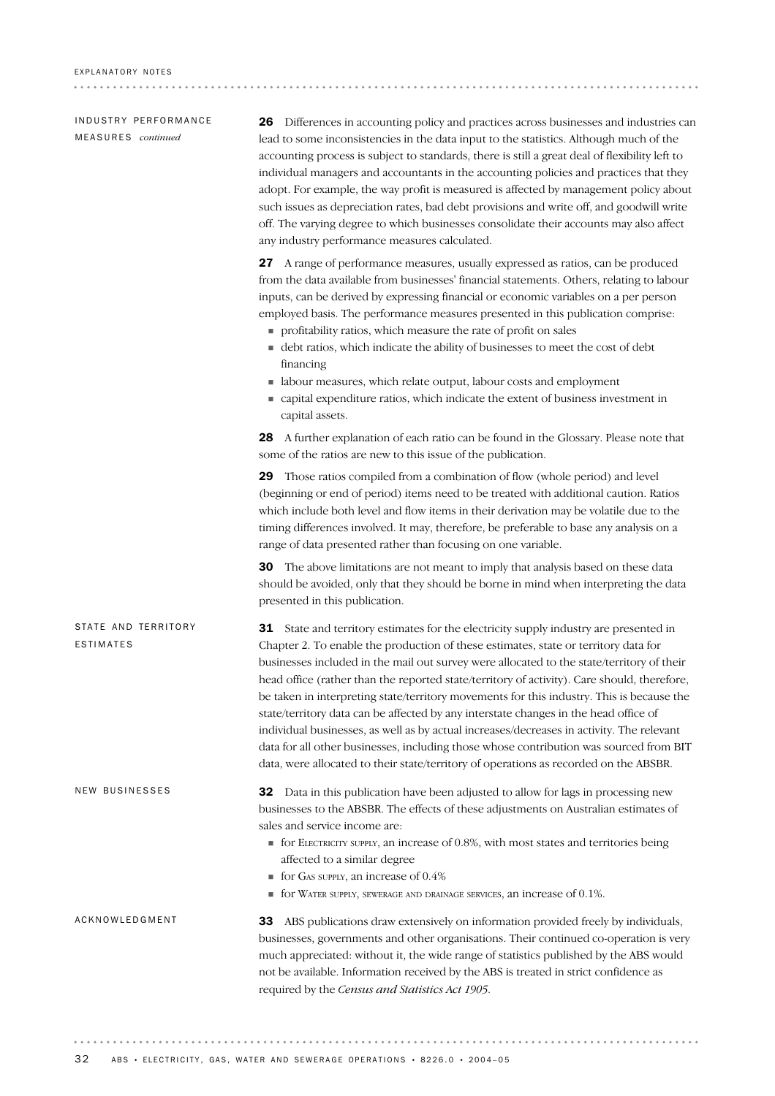IN DUSTRY PERFORMANCE ME A S U R E S *continued*

26 Differences in accounting policy and practices across businesses and industries can lead to some inconsistencies in the data input to the statistics. Although much of the accounting process is subject to standards, there is still a great deal of flexibility left to individual managers and accountants in the accounting policies and practices that they adopt. For example, the way profit is measured is affected by management policy about such issues as depreciation rates, bad debt provisions and write off, and goodwill write off. The varying degree to which businesses consolidate their accounts may also affect any industry performance measures calculated.

27 A range of performance measures, usually expressed as ratios, can be produced from the data available from businesses' financial statements. Others, relating to labour inputs, can be derived by expressing financial or economic variables on a per person employed basis. The performance measures presented in this publication comprise:

- ! profitability ratios, which measure the rate of profit on sales
- ! debt ratios, which indicate the ability of businesses to meet the cost of debt financing
- ! labour measures, which relate output, labour costs and employment
- ! capital expenditure ratios, which indicate the extent of business investment in capital assets.

28 A further explanation of each ratio can be found in the Glossary. Please note that some of the ratios are new to this issue of the publication.

29 Those ratios compiled from a combination of flow (whole period) and level (beginning or end of period) items need to be treated with additional caution. Ratios which include both level and flow items in their derivation may be volatile due to the timing differences involved. It may, therefore, be preferable to base any analysis on a range of data presented rather than focusing on one variable.

30 The above limitations are not meant to imply that analysis based on these data should be avoided, only that they should be borne in mind when interpreting the data presented in this publication.

31 State and territory estimates for the electricity supply industry are presented in Chapter 2. To enable the production of these estimates, state or territory data for businesses included in the mail out survey were allocated to the state/territory of their head office (rather than the reported state/territory of activity). Care should, therefore, be taken in interpreting state/territory movements for this industry. This is because the state/territory data can be affected by any interstate changes in the head office of individual businesses, as well as by actual increases/decreases in activity. The relevant data for all other businesses, including those whose contribution was sourced from BIT data, were allocated to their state/territory of operations as recorded on the ABSBR. STATE AND TERRITORY ESTIMATES

> 32 Data in this publication have been adjusted to allow for lags in processing new businesses to the ABSBR. The effects of these adjustments on Australian estimates of sales and service income are:

- $\blacksquare$  for ELECTRICITY SUPPLY, an increase of 0.8%, with most states and territories being affected to a similar degree
- ! for GAS SUPPLY, an increase of 0.4%
- $\blacksquare$  for WATER SUPPLY, SEWERAGE AND DRAINAGE SERVICES, an increase of 0.1%.

#### ACKNOWLEDGMENT

NEW BUSINESSES

33 ABS publications draw extensively on information provided freely by individuals, businesses, governments and other organisations. Their continued co-operation is very much appreciated: without it, the wide range of statistics published by the ABS would not be available. Information received by the ABS is treated in strict confidence as required by the *Census and Statistics Act 1905*.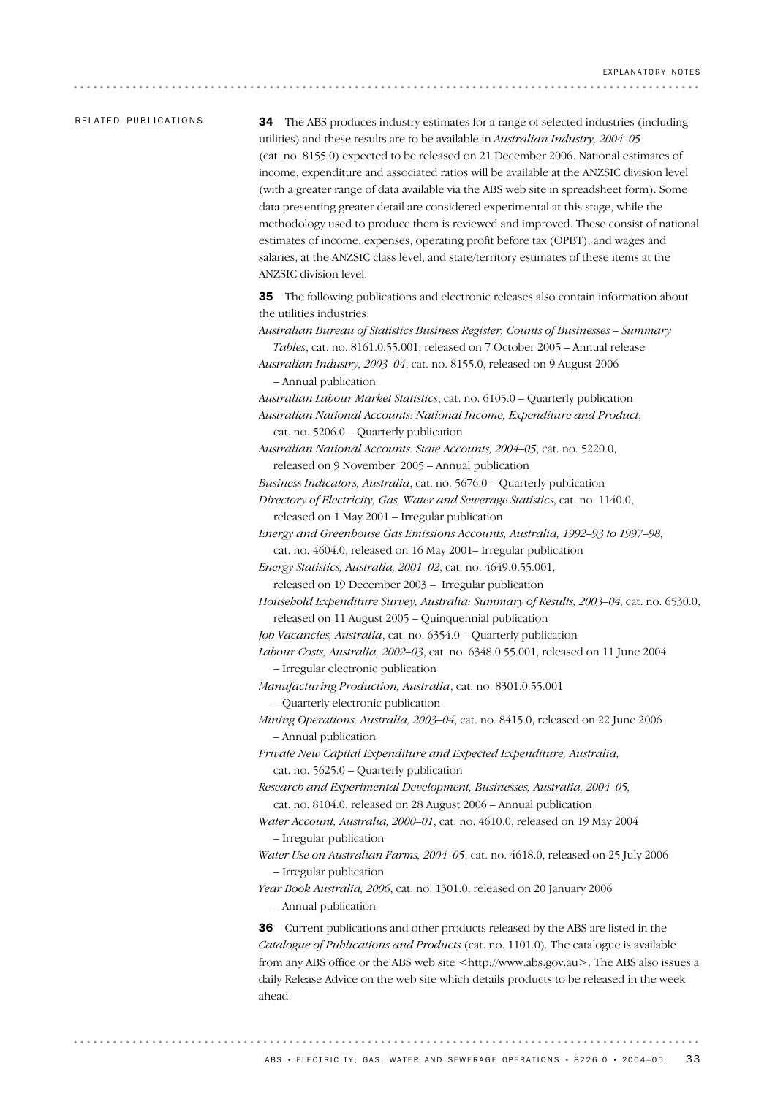### RELATED PUBLICATIONS

34 The ABS produces industry estimates for a range of selected industries (including utilities) and these results are to be available in *Australian Industry, 2004–05* (cat. no. 8155.0) expected to be released on 21 December 2006. National estimates of income, expenditure and associated ratios will be available at the ANZSIC division level (with a greater range of data available via the ABS web site in spreadsheet form). Some data presenting greater detail are considered experimental at this stage, while the methodology used to produce them is reviewed and improved. These consist of national estimates of income, expenses, operating profit before tax (OPBT), and wages and salaries, at the ANZSIC class level, and state/territory estimates of these items at the ANZSIC division level.

35 The following publications and electronic releases also contain information about the utilities industries:

*Australian Bureau of Statistics Business Register, Counts of Businesses – Summary Tables*, cat. no. 8161.0.55.001, released on 7 October 2005 – Annual release

*Australian Industry, 2003–04*, cat. no. 8155.0, released on 9 August 2006 – Annual publication

*Australian Labour Market Statistics*, cat. no. 6105.0 – Quarterly publication *Australian National Accounts: National Income, Expenditure and Product*, cat. no. 5206.0 – Quarterly publication

*Australian National Accounts: State Accounts, 2004–05*, cat. no. 5220.0, released on 9 November 2005 – Annual publication

*Business Indicators, Australia*, cat. no. 5676.0 – Quarterly publication

*Directory of Electricity, Gas, Water and Sewerage Statistics*, cat. no. 1140.0, released on 1 May 2001 – Irregular publication

*Energy and Greenhouse Gas Emissions Accounts, Australia, 1992–93 to 1997–98*, cat. no. 4604.0, released on 16 May 2001– Irregular publication

*Energy Statistics, Australia, 2001–02*, cat. no. 4649.0.55.001,

released on 19 December 2003 – Irregular publication

*Household Expenditure Survey, Australia: Summary of Results, 2003–04*, cat. no. 6530.0, released on 11 August 2005 – Quinquennial publication

*Job Vacancies, Australia*, cat. no. 6354.0 – Quarterly publication

*Labour Costs, Australia, 2002–03*, cat. no. 6348.0.55.001, released on 11 June 2004 – Irregular electronic publication

*Manufacturing Production, Australia*, cat. no. 8301.0.55.001

– Quarterly electronic publication

*Mining Operations, Australia, 2003–04*, cat. no. 8415.0, released on 22 June 2006 – Annual publication

*Private New Capital Expenditure and Expected Expenditure, Australia*, cat. no. 5625.0 – Quarterly publication

*Research and Experimental Development, Businesses, Australia, 2004–05*, cat. no. 8104.0, released on 28 August 2006 – Annual publication

*Water Account, Australia, 2000–01*, cat. no. 4610.0, released on 19 May 2004 – Irregular publication

*Water Use on Australian Farms, 2004–05*, cat. no. 4618.0, released on 25 July 2006 – Irregular publication

*Year Book Australia, 2006*, cat. no. 1301.0, released on 20 January 2006 – Annual publication

36 Current publications and other products released by the ABS are listed in the *Catalogue of Publications and Products* (cat. no. 1101.0). The catalogue is available from any ABS office or the ABS web site  $\lt$ http://www.abs.gov.au>. The ABS also issues a daily Release Advice on the web site which details products to be released in the week ahead.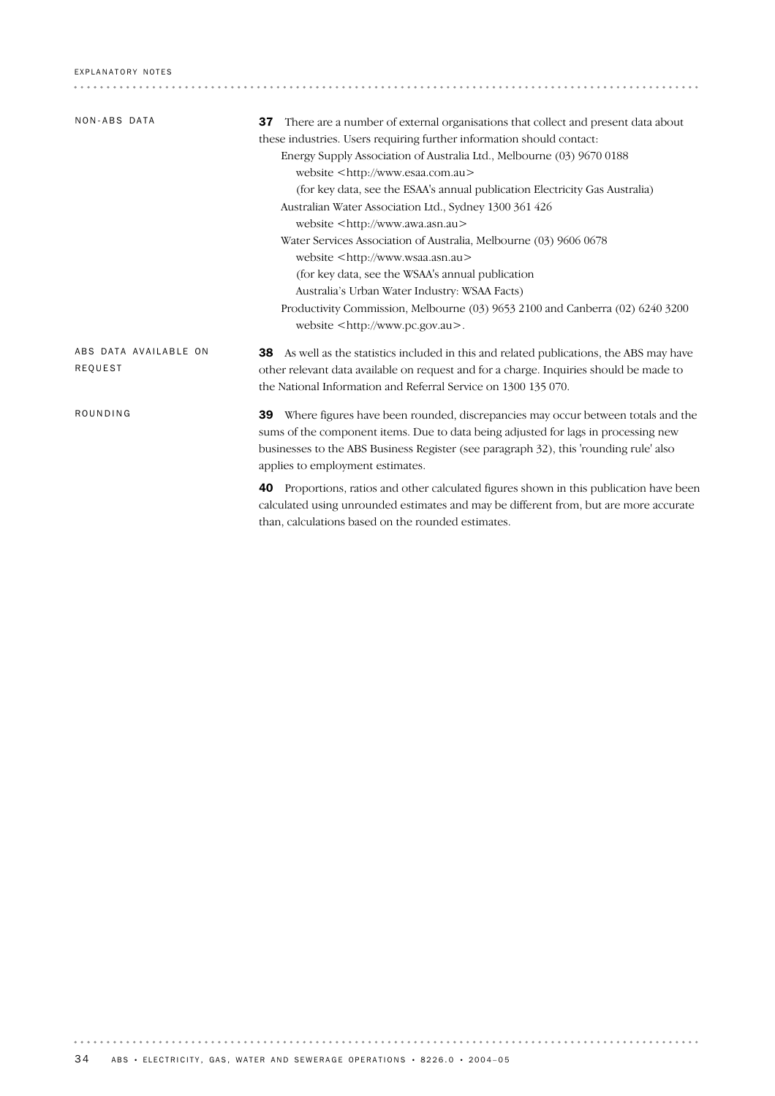| NON-ABS DATA                     | There are a number of external organisations that collect and present data about<br>37<br>these industries. Users requiring further information should contact:<br>Energy Supply Association of Australia Ltd., Melbourne (03) 9670 0188<br>website <http: www.esaa.com.au=""><br/>(for key data, see the ESAA's annual publication Electricity Gas Australia)<br/>Australian Water Association Ltd., Sydney 1300 361 426<br/>website <http: www.awa.asn.au=""><br/>Water Services Association of Australia, Melbourne (03) 9606 0678<br/>website <http: www.wsaa.asn.au=""><br/>(for key data, see the WSAA's annual publication<br/>Australia's Urban Water Industry: WSAA Facts)<br/>Productivity Commission, Melbourne (03) 9653 2100 and Canberra (02) 6240 3200<br/>website <math>&lt;</math>http://www.pc.gov.au<math>&gt;</math>.</http:></http:></http:> |
|----------------------------------|-------------------------------------------------------------------------------------------------------------------------------------------------------------------------------------------------------------------------------------------------------------------------------------------------------------------------------------------------------------------------------------------------------------------------------------------------------------------------------------------------------------------------------------------------------------------------------------------------------------------------------------------------------------------------------------------------------------------------------------------------------------------------------------------------------------------------------------------------------------------|
| ABS DATA AVAILABLE ON<br>REQUEST | As well as the statistics included in this and related publications, the ABS may have<br>38<br>other relevant data available on request and for a charge. Inquiries should be made to<br>the National Information and Referral Service on 1300 135 070.                                                                                                                                                                                                                                                                                                                                                                                                                                                                                                                                                                                                           |
| ROUNDING                         | <b>39</b> Where figures have been rounded, discrepancies may occur between totals and the<br>sums of the component items. Due to data being adjusted for lags in processing new<br>businesses to the ABS Business Register (see paragraph 32), this 'rounding rule' also<br>applies to employment estimates.                                                                                                                                                                                                                                                                                                                                                                                                                                                                                                                                                      |
|                                  | Proportions, ratios and other calculated figures shown in this publication have been<br>40<br>calculated using unrounded estimates and may be different from, but are more accurate<br>than, calculations based on the rounded estimates.                                                                                                                                                                                                                                                                                                                                                                                                                                                                                                                                                                                                                         |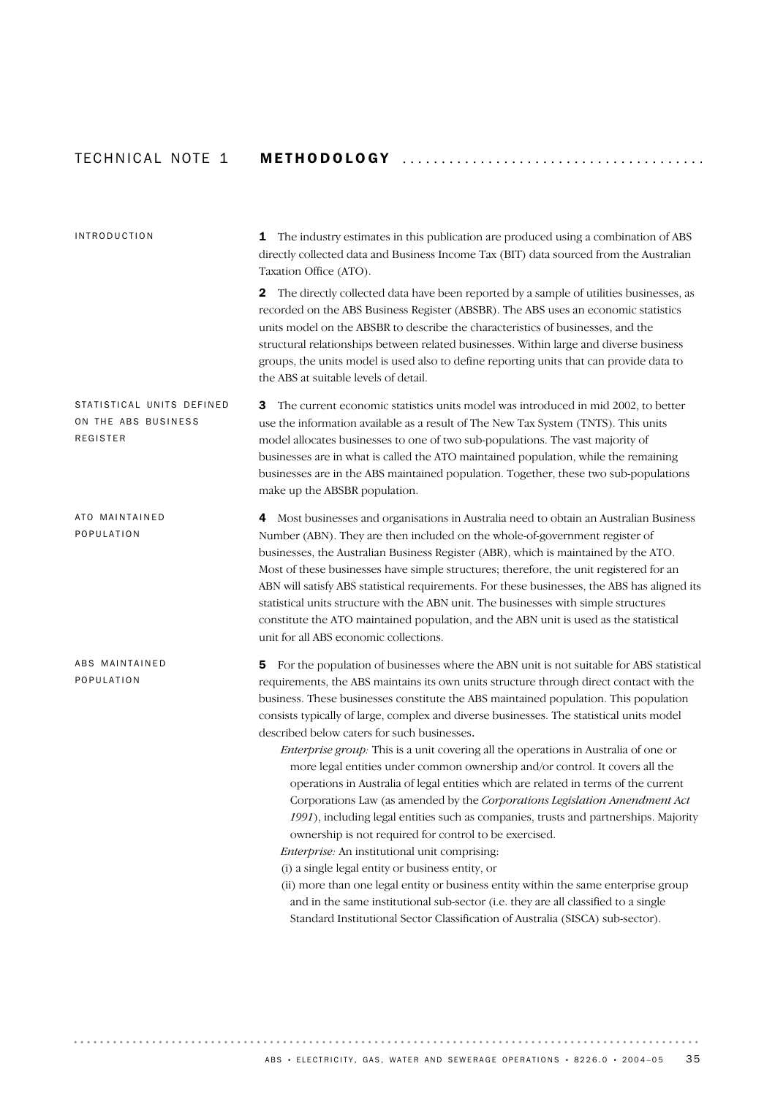# TECH N I C A L NOTE 1 METHODOLOGY ...................................... .

| <b>INTRODUCTION</b>                                                 | 1 The industry estimates in this publication are produced using a combination of ABS<br>directly collected data and Business Income Tax (BIT) data sourced from the Australian<br>Taxation Office (ATO).<br>The directly collected data have been reported by a sample of utilities businesses, as<br>$\mathbf{2}$<br>recorded on the ABS Business Register (ABSBR). The ABS uses an economic statistics<br>units model on the ABSBR to describe the characteristics of businesses, and the<br>structural relationships between related businesses. Within large and diverse business<br>groups, the units model is used also to define reporting units that can provide data to                                                                                                                                                                                                                                                                                                                                                                                                                                                                                                                                                                                                             |
|---------------------------------------------------------------------|----------------------------------------------------------------------------------------------------------------------------------------------------------------------------------------------------------------------------------------------------------------------------------------------------------------------------------------------------------------------------------------------------------------------------------------------------------------------------------------------------------------------------------------------------------------------------------------------------------------------------------------------------------------------------------------------------------------------------------------------------------------------------------------------------------------------------------------------------------------------------------------------------------------------------------------------------------------------------------------------------------------------------------------------------------------------------------------------------------------------------------------------------------------------------------------------------------------------------------------------------------------------------------------------|
|                                                                     | the ABS at suitable levels of detail.                                                                                                                                                                                                                                                                                                                                                                                                                                                                                                                                                                                                                                                                                                                                                                                                                                                                                                                                                                                                                                                                                                                                                                                                                                                        |
| STATISTICAL UNITS DEFINED<br>ON THE ABS BUSINESS<br><b>REGISTER</b> | The current economic statistics units model was introduced in mid 2002, to better<br>3<br>use the information available as a result of The New Tax System (TNTS). This units<br>model allocates businesses to one of two sub-populations. The vast majority of<br>businesses are in what is called the ATO maintained population, while the remaining<br>businesses are in the ABS maintained population. Together, these two sub-populations<br>make up the ABSBR population.                                                                                                                                                                                                                                                                                                                                                                                                                                                                                                                                                                                                                                                                                                                                                                                                               |
| ATO MAINTAINED<br>POPULATION                                        | Most businesses and organisations in Australia need to obtain an Australian Business<br>4<br>Number (ABN). They are then included on the whole-of-government register of<br>businesses, the Australian Business Register (ABR), which is maintained by the ATO.<br>Most of these businesses have simple structures; therefore, the unit registered for an<br>ABN will satisfy ABS statistical requirements. For these businesses, the ABS has aligned its<br>statistical units structure with the ABN unit. The businesses with simple structures<br>constitute the ATO maintained population, and the ABN unit is used as the statistical<br>unit for all ABS economic collections.                                                                                                                                                                                                                                                                                                                                                                                                                                                                                                                                                                                                         |
| ABS MAINTAINED<br>POPULATION                                        | For the population of businesses where the ABN unit is not suitable for ABS statistical<br>5<br>requirements, the ABS maintains its own units structure through direct contact with the<br>business. These businesses constitute the ABS maintained population. This population<br>consists typically of large, complex and diverse businesses. The statistical units model<br>described below caters for such businesses.<br>Enterprise group: This is a unit covering all the operations in Australia of one or<br>more legal entities under common ownership and/or control. It covers all the<br>operations in Australia of legal entities which are related in terms of the current<br>Corporations Law (as amended by the Corporations Legislation Amendment Act<br>1991), including legal entities such as companies, trusts and partnerships. Majority<br>ownership is not required for control to be exercised.<br>Enterprise: An institutional unit comprising:<br>(i) a single legal entity or business entity, or<br>(ii) more than one legal entity or business entity within the same enterprise group<br>and in the same institutional sub-sector (i.e. they are all classified to a single<br>Standard Institutional Sector Classification of Australia (SISCA) sub-sector). |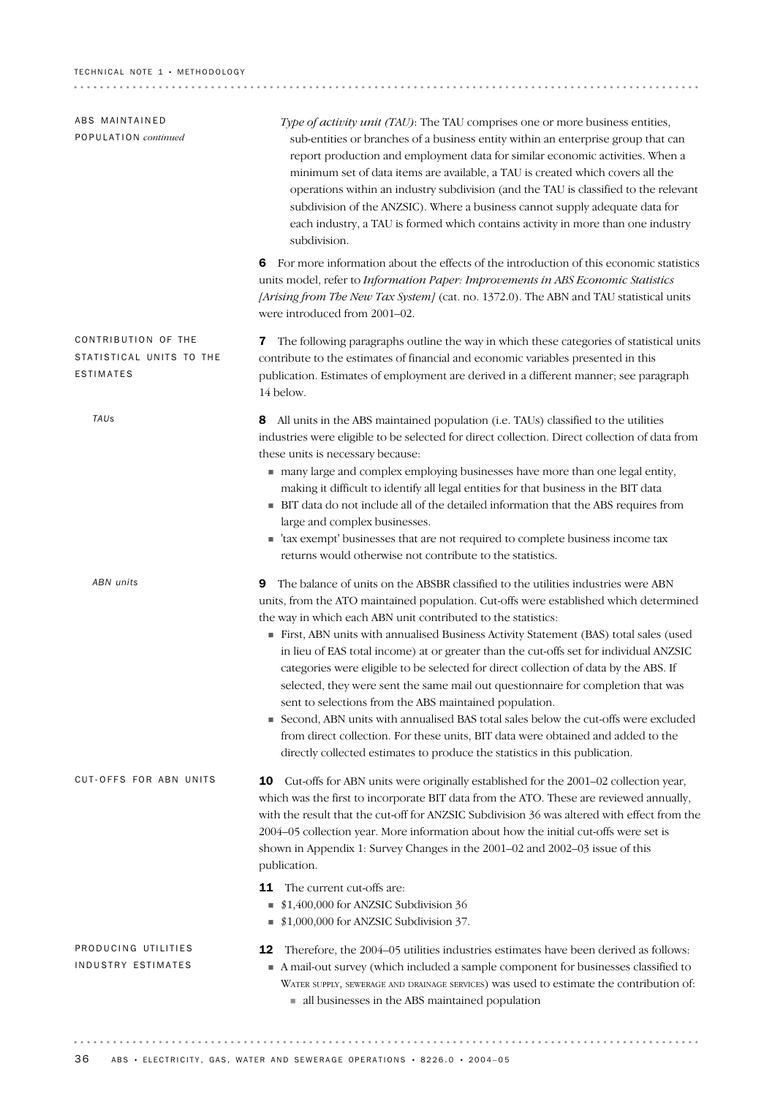| ABS MAINTAINED<br>POPULATION continued                              | Type of activity unit (TAU): The TAU comprises one or more business entities,<br>sub-entities or branches of a business entity within an enterprise group that can<br>report production and employment data for similar economic activities. When a<br>minimum set of data items are available, a TAU is created which covers all the<br>operations within an industry subdivision (and the TAU is classified to the relevant<br>subdivision of the ANZSIC). Where a business cannot supply adequate data for<br>each industry, a TAU is formed which contains activity in more than one industry<br>subdivision.                                                                                                                                                                                                                                                                                                                 |
|---------------------------------------------------------------------|-----------------------------------------------------------------------------------------------------------------------------------------------------------------------------------------------------------------------------------------------------------------------------------------------------------------------------------------------------------------------------------------------------------------------------------------------------------------------------------------------------------------------------------------------------------------------------------------------------------------------------------------------------------------------------------------------------------------------------------------------------------------------------------------------------------------------------------------------------------------------------------------------------------------------------------|
|                                                                     | For more information about the effects of the introduction of this economic statistics<br>6<br>units model, refer to Information Paper: Improvements in ABS Economic Statistics<br>[Arising from The New Tax System] (cat. no. 1372.0). The ABN and TAU statistical units<br>were introduced from 2001-02.                                                                                                                                                                                                                                                                                                                                                                                                                                                                                                                                                                                                                        |
| CONTRIBUTION OF THE<br>STATISTICAL UNITS TO THE<br><b>ESTIMATES</b> | The following paragraphs outline the way in which these categories of statistical units<br>7<br>contribute to the estimates of financial and economic variables presented in this<br>publication. Estimates of employment are derived in a different manner; see paragraph<br>14 below.                                                                                                                                                                                                                                                                                                                                                                                                                                                                                                                                                                                                                                           |
| TAUs                                                                | All units in the ABS maintained population (i.e. TAUs) classified to the utilities<br>8<br>industries were eligible to be selected for direct collection. Direct collection of data from<br>these units is necessary because:<br>many large and complex employing businesses have more than one legal entity,<br>making it difficult to identify all legal entities for that business in the BIT data<br>• BIT data do not include all of the detailed information that the ABS requires from<br>large and complex businesses.<br>• 'tax exempt' businesses that are not required to complete business income tax<br>returns would otherwise not contribute to the statistics.                                                                                                                                                                                                                                                    |
| ABN units                                                           | The balance of units on the ABSBR classified to the utilities industries were ABN<br>9<br>units, from the ATO maintained population. Cut-offs were established which determined<br>the way in which each ABN unit contributed to the statistics:<br>First, ABN units with annualised Business Activity Statement (BAS) total sales (used<br>in lieu of EAS total income) at or greater than the cut-offs set for individual ANZSIC<br>categories were eligible to be selected for direct collection of data by the ABS. If<br>selected, they were sent the same mail out questionnaire for completion that was<br>sent to selections from the ABS maintained population.<br>Second, ABN units with annualised BAS total sales below the cut-offs were excluded<br>from direct collection. For these units, BIT data were obtained and added to the<br>directly collected estimates to produce the statistics in this publication. |
| CUT-OFFS FOR ABN UNITS                                              | Cut-offs for ABN units were originally established for the 2001-02 collection year,<br>10<br>which was the first to incorporate BIT data from the ATO. These are reviewed annually,<br>with the result that the cut-off for ANZSIC Subdivision 36 was altered with effect from the<br>2004-05 collection year. More information about how the initial cut-offs were set is<br>shown in Appendix 1: Survey Changes in the 2001-02 and 2002-03 issue of this<br>publication.<br>The current cut-offs are:<br>11<br>\$1,400,000 for ANZSIC Subdivision 36<br>\$1,000,000 for ANZSIC Subdivision 37.<br>ш                                                                                                                                                                                                                                                                                                                             |
| PRODUCING UTILITIES<br>INDUSTRY ESTIMATES                           | Therefore, the 2004–05 utilities industries estimates have been derived as follows:<br>12<br>A mail-out survey (which included a sample component for businesses classified to<br>WATER SUPPLY, SEWERAGE AND DRAINAGE SERVICES) was used to estimate the contribution of:<br>all businesses in the ABS maintained population                                                                                                                                                                                                                                                                                                                                                                                                                                                                                                                                                                                                      |
|                                                                     |                                                                                                                                                                                                                                                                                                                                                                                                                                                                                                                                                                                                                                                                                                                                                                                                                                                                                                                                   |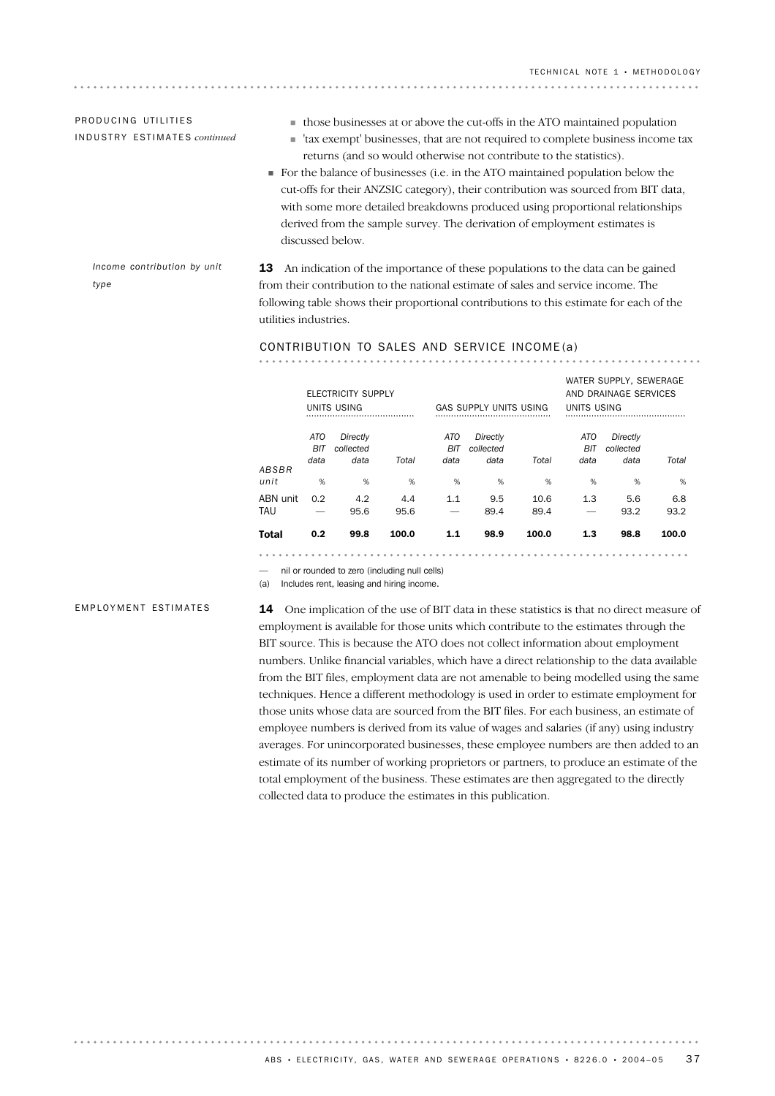## PRODUCING UTILITIES IN D U S T R Y ES T I M A T E S *continued*

- $\quad \blacksquare$  those businesses at or above the cut-offs in the ATO maintained population
- ! 'tax exempt' businesses, that are not required to complete business income tax returns (and so would otherwise not contribute to the statistics).
- ! For the balance of businesses (i.e. in the ATO maintained population below the cut-offs for their ANZSIC category), their contribution was sourced from BIT data, with some more detailed breakdowns produced using proportional relationships derived from the sample survey. The derivation of employment estimates is discussed below.

*Income contribution by unit type*

13 An indication of the importance of these populations to the data can be gained from their contribution to the national estimate of sales and service income. The following table shows their proportional contributions to this estimate for each of the utilities industries.

#### CONTRIBUTION TO SALES AND SERVICE INCOME (a)

|                 |                    | ELECTRICITY SUPPLY<br>UNITS USING |             |                    | <b>GAS SUPPLY UNITS USING</b> |              | UNITS USING        | WATER SUPPLY, SEWERAGE<br>AND DRAINAGE SERVICES |             |
|-----------------|--------------------|-----------------------------------|-------------|--------------------|-------------------------------|--------------|--------------------|-------------------------------------------------|-------------|
| ABSBR           | ATO<br>BIT<br>data | Directly<br>collected<br>data     | Total       | ATO<br>BIT<br>data | Directly<br>collected<br>data | Total        | ATO<br>BIT<br>data | Directly<br>collected<br>data                   | Total       |
| unit            | %                  | %                                 | %           | %                  | %                             | %            | %                  | %                                               | %           |
| ABN unit<br>TAU | 0.2<br>-           | 4.2<br>95.6                       | 4.4<br>95.6 | 1.1                | 9.5<br>89.4                   | 10.6<br>89.4 | 1.3                | 5.6<br>93.2                                     | 6.8<br>93.2 |
| Total           | 0.2                | 99.8                              | 100.0       | 1.1                | 98.9                          | 100.0        | 1.3                | 98.8                                            | 100.0       |

— nil or rounded to zero (including null cells)

## (a) Includes rent, leasing and hiring income.

### EMPLOYMENT ESTIMATES

. . . . . . . . . . . .

**14** One implication of the use of BIT data in these statistics is that no direct measure of employment is available for those units which contribute to the estimates through the BIT source. This is because the ATO does not collect information about employment numbers. Unlike financial variables, which have a direct relationship to the data available from the BIT files, employment data are not amenable to being modelled using the same techniques. Hence a different methodology is used in order to estimate employment for those units whose data are sourced from the BIT files. For each business, an estimate of employee numbers is derived from its value of wages and salaries (if any) using industry averages. For unincorporated businesses, these employee numbers are then added to an estimate of its number of working proprietors or partners, to produce an estimate of the total employment of the business. These estimates are then aggregated to the directly collected data to produce the estimates in this publication.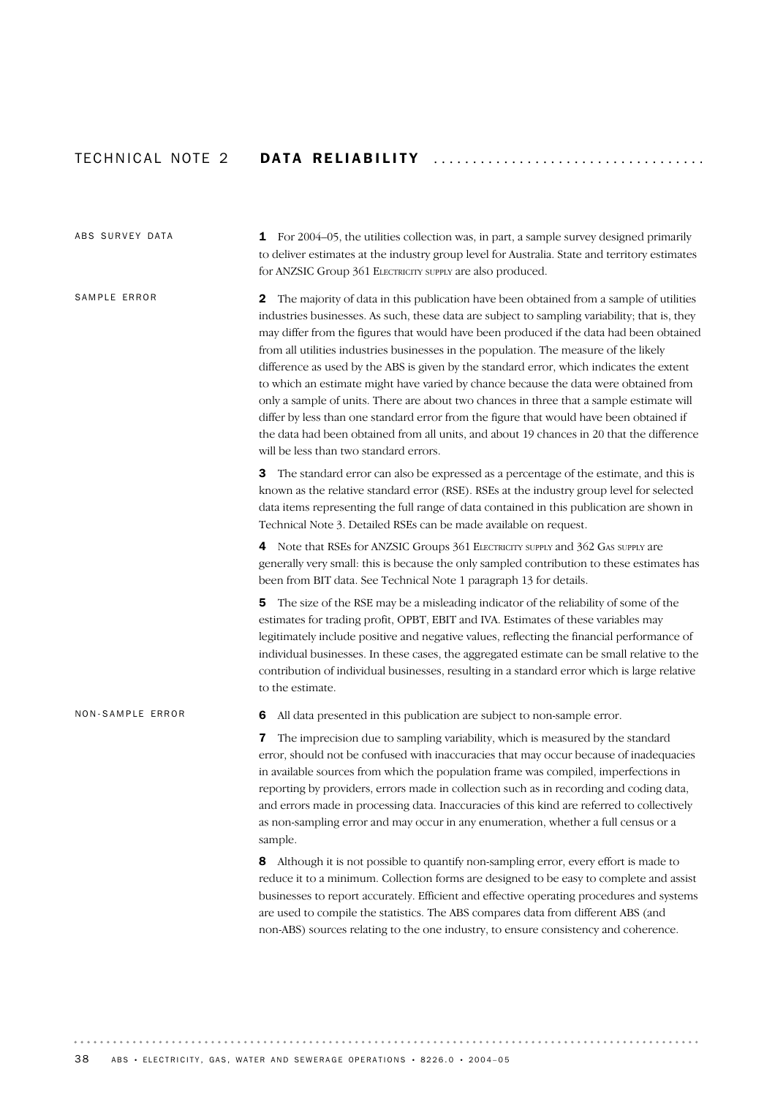# TECHNICAL NOTE 2 DATA RELIABILITY ........................

# 6 All data presented in this publication are subject to non-sample error. **7** The imprecision due to sampling variability, which is measured by the standard error, should not be confused with inaccuracies that may occur because of inadequacies in available sources from which the population frame was compiled, imperfections in reporting by providers, errors made in collection such as in recording and coding data, and errors made in processing data. Inaccuracies of this kind are referred to collectively as non-sampling error and may occur in any enumeration, whether a full census or a sample. 8 Although it is not possible to quantify non-sampling error, every effort is made to reduce it to a minimum. Collection forms are designed to be easy to complete and assist businesses to report accurately. Efficient and effective operating procedures and systems are used to compile the statistics. The ABS compares data from different ABS (and non-ABS) sources relating to the one industry, to ensure consistency and coherence. NON-SAMPLE FRROR 2 The majority of data in this publication have been obtained from a sample of utilities industries businesses. As such, these data are subject to sampling variability; that is, they may differ from the figures that would have been produced if the data had been obtained from all utilities industries businesses in the population. The measure of the likely difference as used by the ABS is given by the standard error, which indicates the extent to which an estimate might have varied by chance because the data were obtained from only a sample of units. There are about two chances in three that a sample estimate will differ by less than one standard error from the figure that would have been obtained if the data had been obtained from all units, and about 19 chances in 20 that the difference will be less than two standard errors. **3** The standard error can also be expressed as a percentage of the estimate, and this is known as the relative standard error (RSE). RSEs at the industry group level for selected data items representing the full range of data contained in this publication are shown in Technical Note 3. Detailed RSEs can be made available on request. 4 Note that RSEs for ANZSIC Groups 361 ELECTRICITY SUPPLY and 362 GAS SUPPLY are generally very small: this is because the only sampled contribution to these estimates has been from BIT data. See Technical Note 1 paragraph 13 for details. 5 The size of the RSE may be a misleading indicator of the reliability of some of the estimates for trading profit, OPBT, EBIT and IVA. Estimates of these variables may legitimately include positive and negative values, reflecting the financial performance of individual businesses. In these cases, the aggregated estimate can be small relative to the contribution of individual businesses, resulting in a standard error which is large relative to the estimate. SAMPLE FRROR 1 For 2004–05, the utilities collection was, in part, a sample survey designed primarily to deliver estimates at the industry group level for Australia. State and territory estimates for ANZSIC Group 361 ELECTRICITY SUPPLY are also produced. ABS SURVEY DATA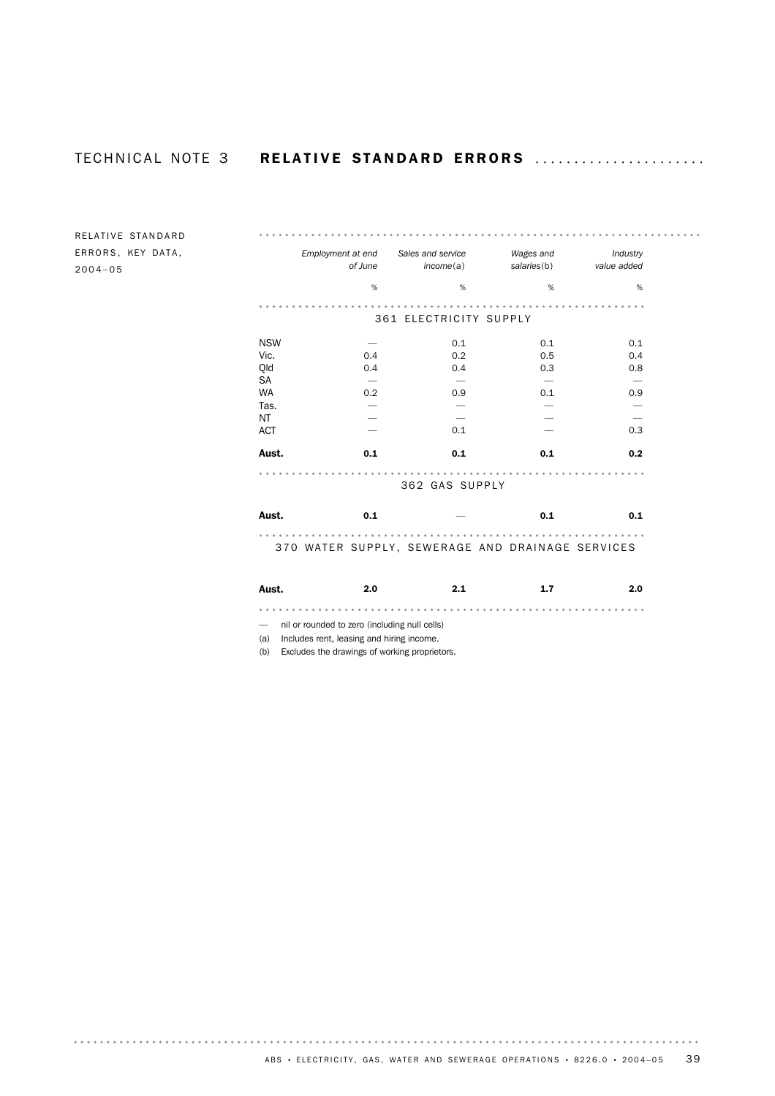RELATIVE STANDARD ERRORS, KEY DATA, 2004–05

|                                                       | Employment at end | Sales and service      | Wages and   | Industry                 |  |
|-------------------------------------------------------|-------------------|------------------------|-------------|--------------------------|--|
|                                                       | of June           | income(a)              | salaries(b) | value added              |  |
|                                                       | %                 | $\%$                   | $\%$        | %                        |  |
|                                                       |                   |                        |             |                          |  |
|                                                       |                   | 361 ELECTRICITY SUPPLY |             |                          |  |
| <b>NSW</b>                                            |                   | 0.1                    | 0.1         | 0.1                      |  |
| Vic.                                                  | 0.4               | 0.2                    | 0.5         | 0.4                      |  |
| Qld                                                   | 0.4               | 0.4                    | 0.3         | 0.8                      |  |
| SA                                                    |                   |                        |             |                          |  |
| <b>WA</b>                                             | 0.2               | 0.9                    | 0.1         | 0.9                      |  |
| Tas.                                                  |                   |                        |             |                          |  |
| <b>NT</b>                                             |                   |                        |             | $\overline{\phantom{0}}$ |  |
| <b>ACT</b>                                            |                   | 0.1                    |             | 0.3                      |  |
| Aust.                                                 | 0.1               | 0.1                    | 0.1         | 0.2                      |  |
|                                                       |                   | 362 GAS SUPPLY         |             |                          |  |
| Aust.                                                 | 0.1               |                        | 0.1         | 0.1                      |  |
| .<br>370 WATER SUPPLY, SEWERAGE AND DRAINAGE SERVICES |                   |                        |             |                          |  |
| Aust.                                                 | 2.0               | 2.1                    | 1.7         | 2.0                      |  |
|                                                       |                   | .                      |             |                          |  |

— nil or rounded to zero (including null cells)

(a) Includes rent, leasing and hiring income.

(b) Excludes the drawings of working proprietors.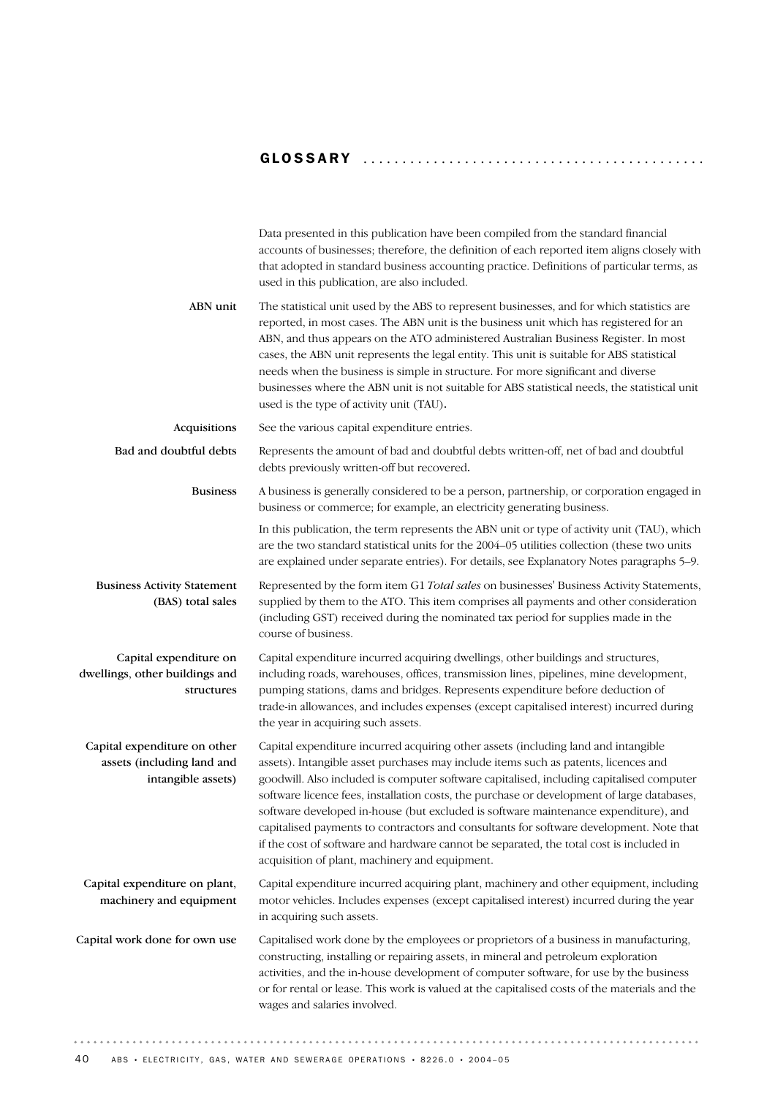# GLOSSARY ........................................... .

|                                                                                  | Data presented in this publication have been compiled from the standard financial<br>accounts of businesses; therefore, the definition of each reported item aligns closely with<br>that adopted in standard business accounting practice. Definitions of particular terms, as<br>used in this publication, are also included.                                                                                                                                                                                                                                                                                                                                                                     |
|----------------------------------------------------------------------------------|----------------------------------------------------------------------------------------------------------------------------------------------------------------------------------------------------------------------------------------------------------------------------------------------------------------------------------------------------------------------------------------------------------------------------------------------------------------------------------------------------------------------------------------------------------------------------------------------------------------------------------------------------------------------------------------------------|
| ABN unit                                                                         | The statistical unit used by the ABS to represent businesses, and for which statistics are<br>reported, in most cases. The ABN unit is the business unit which has registered for an<br>ABN, and thus appears on the ATO administered Australian Business Register. In most<br>cases, the ABN unit represents the legal entity. This unit is suitable for ABS statistical<br>needs when the business is simple in structure. For more significant and diverse<br>businesses where the ABN unit is not suitable for ABS statistical needs, the statistical unit<br>used is the type of activity unit (TAU).                                                                                         |
| Acquisitions                                                                     | See the various capital expenditure entries.                                                                                                                                                                                                                                                                                                                                                                                                                                                                                                                                                                                                                                                       |
| Bad and doubtful debts                                                           | Represents the amount of bad and doubtful debts written-off, net of bad and doubtful<br>debts previously written-off but recovered.                                                                                                                                                                                                                                                                                                                                                                                                                                                                                                                                                                |
| <b>Business</b>                                                                  | A business is generally considered to be a person, partnership, or corporation engaged in<br>business or commerce; for example, an electricity generating business.                                                                                                                                                                                                                                                                                                                                                                                                                                                                                                                                |
|                                                                                  | In this publication, the term represents the ABN unit or type of activity unit (TAU), which<br>are the two standard statistical units for the 2004–05 utilities collection (these two units<br>are explained under separate entries). For details, see Explanatory Notes paragraphs 5-9.                                                                                                                                                                                                                                                                                                                                                                                                           |
| <b>Business Activity Statement</b><br>(BAS) total sales                          | Represented by the form item G1 Total sales on businesses' Business Activity Statements,<br>supplied by them to the ATO. This item comprises all payments and other consideration<br>(including GST) received during the nominated tax period for supplies made in the<br>course of business.                                                                                                                                                                                                                                                                                                                                                                                                      |
| Capital expenditure on<br>dwellings, other buildings and<br>structures           | Capital expenditure incurred acquiring dwellings, other buildings and structures,<br>including roads, warehouses, offices, transmission lines, pipelines, mine development,<br>pumping stations, dams and bridges. Represents expenditure before deduction of<br>trade-in allowances, and includes expenses (except capitalised interest) incurred during<br>the year in acquiring such assets.                                                                                                                                                                                                                                                                                                    |
| Capital expenditure on other<br>assets (including land and<br>intangible assets) | Capital expenditure incurred acquiring other assets (including land and intangible<br>assets). Intangible asset purchases may include items such as patents, licences and<br>goodwill. Also included is computer software capitalised, including capitalised computer<br>software licence fees, installation costs, the purchase or development of large databases,<br>software developed in-house (but excluded is software maintenance expenditure), and<br>capitalised payments to contractors and consultants for software development. Note that<br>if the cost of software and hardware cannot be separated, the total cost is included in<br>acquisition of plant, machinery and equipment. |
| Capital expenditure on plant,<br>machinery and equipment                         | Capital expenditure incurred acquiring plant, machinery and other equipment, including<br>motor vehicles. Includes expenses (except capitalised interest) incurred during the year<br>in acquiring such assets.                                                                                                                                                                                                                                                                                                                                                                                                                                                                                    |
| Capital work done for own use                                                    | Capitalised work done by the employees or proprietors of a business in manufacturing,<br>constructing, installing or repairing assets, in mineral and petroleum exploration<br>activities, and the in-house development of computer software, for use by the business<br>or for rental or lease. This work is valued at the capitalised costs of the materials and the<br>wages and salaries involved.                                                                                                                                                                                                                                                                                             |

 $\alpha$  ,  $\alpha$  ,  $\alpha$  ,  $\alpha$  ,  $\alpha$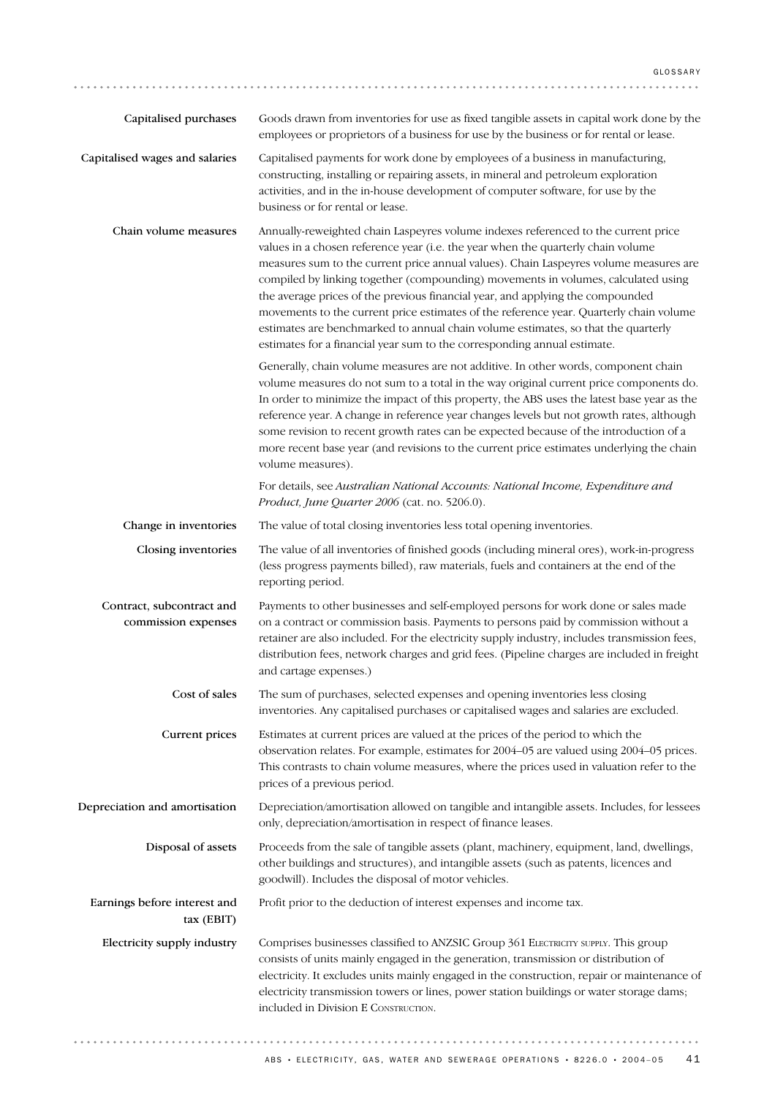| Capitalised purchases                            | Goods drawn from inventories for use as fixed tangible assets in capital work done by the<br>employees or proprietors of a business for use by the business or for rental or lease.                                                                                                                                                                                                                                                                                                                                                                                                                                                                                                               |
|--------------------------------------------------|---------------------------------------------------------------------------------------------------------------------------------------------------------------------------------------------------------------------------------------------------------------------------------------------------------------------------------------------------------------------------------------------------------------------------------------------------------------------------------------------------------------------------------------------------------------------------------------------------------------------------------------------------------------------------------------------------|
| Capitalised wages and salaries                   | Capitalised payments for work done by employees of a business in manufacturing,<br>constructing, installing or repairing assets, in mineral and petroleum exploration<br>activities, and in the in-house development of computer software, for use by the<br>business or for rental or lease.                                                                                                                                                                                                                                                                                                                                                                                                     |
| Chain volume measures                            | Annually-reweighted chain Laspeyres volume indexes referenced to the current price<br>values in a chosen reference year (i.e. the year when the quarterly chain volume<br>measures sum to the current price annual values). Chain Laspeyres volume measures are<br>compiled by linking together (compounding) movements in volumes, calculated using<br>the average prices of the previous financial year, and applying the compounded<br>movements to the current price estimates of the reference year. Quarterly chain volume<br>estimates are benchmarked to annual chain volume estimates, so that the quarterly<br>estimates for a financial year sum to the corresponding annual estimate. |
|                                                  | Generally, chain volume measures are not additive. In other words, component chain<br>volume measures do not sum to a total in the way original current price components do.<br>In order to minimize the impact of this property, the ABS uses the latest base year as the<br>reference year. A change in reference year changes levels but not growth rates, although<br>some revision to recent growth rates can be expected because of the introduction of a<br>more recent base year (and revisions to the current price estimates underlying the chain<br>volume measures).                                                                                                                  |
|                                                  | For details, see Australian National Accounts: National Income, Expenditure and<br>Product, June Quarter 2006 (cat. no. 5206.0).                                                                                                                                                                                                                                                                                                                                                                                                                                                                                                                                                                  |
| Change in inventories                            | The value of total closing inventories less total opening inventories.                                                                                                                                                                                                                                                                                                                                                                                                                                                                                                                                                                                                                            |
| Closing inventories                              | The value of all inventories of finished goods (including mineral ores), work-in-progress<br>(less progress payments billed), raw materials, fuels and containers at the end of the<br>reporting period.                                                                                                                                                                                                                                                                                                                                                                                                                                                                                          |
| Contract, subcontract and<br>commission expenses | Payments to other businesses and self-employed persons for work done or sales made<br>on a contract or commission basis. Payments to persons paid by commission without a<br>retainer are also included. For the electricity supply industry, includes transmission fees,<br>distribution fees, network charges and grid fees. (Pipeline charges are included in freight<br>and cartage expenses.)                                                                                                                                                                                                                                                                                                |
| Cost of sales                                    | The sum of purchases, selected expenses and opening inventories less closing<br>inventories. Any capitalised purchases or capitalised wages and salaries are excluded.                                                                                                                                                                                                                                                                                                                                                                                                                                                                                                                            |
| Current prices                                   | Estimates at current prices are valued at the prices of the period to which the<br>observation relates. For example, estimates for 2004–05 are valued using 2004–05 prices.<br>This contrasts to chain volume measures, where the prices used in valuation refer to the<br>prices of a previous period.                                                                                                                                                                                                                                                                                                                                                                                           |
| Depreciation and amortisation                    | Depreciation/amortisation allowed on tangible and intangible assets. Includes, for lessees<br>only, depreciation/amortisation in respect of finance leases.                                                                                                                                                                                                                                                                                                                                                                                                                                                                                                                                       |
| Disposal of assets                               | Proceeds from the sale of tangible assets (plant, machinery, equipment, land, dwellings,<br>other buildings and structures), and intangible assets (such as patents, licences and<br>goodwill). Includes the disposal of motor vehicles.                                                                                                                                                                                                                                                                                                                                                                                                                                                          |
| Earnings before interest and<br>tax (EBIT)       | Profit prior to the deduction of interest expenses and income tax.                                                                                                                                                                                                                                                                                                                                                                                                                                                                                                                                                                                                                                |
| Electricity supply industry                      | Comprises businesses classified to ANZSIC Group 361 ELECTRICITY SUPPLY. This group<br>consists of units mainly engaged in the generation, transmission or distribution of<br>electricity. It excludes units mainly engaged in the construction, repair or maintenance of<br>electricity transmission towers or lines, power station buildings or water storage dams;<br>included in Division E CONSTRUCTION.                                                                                                                                                                                                                                                                                      |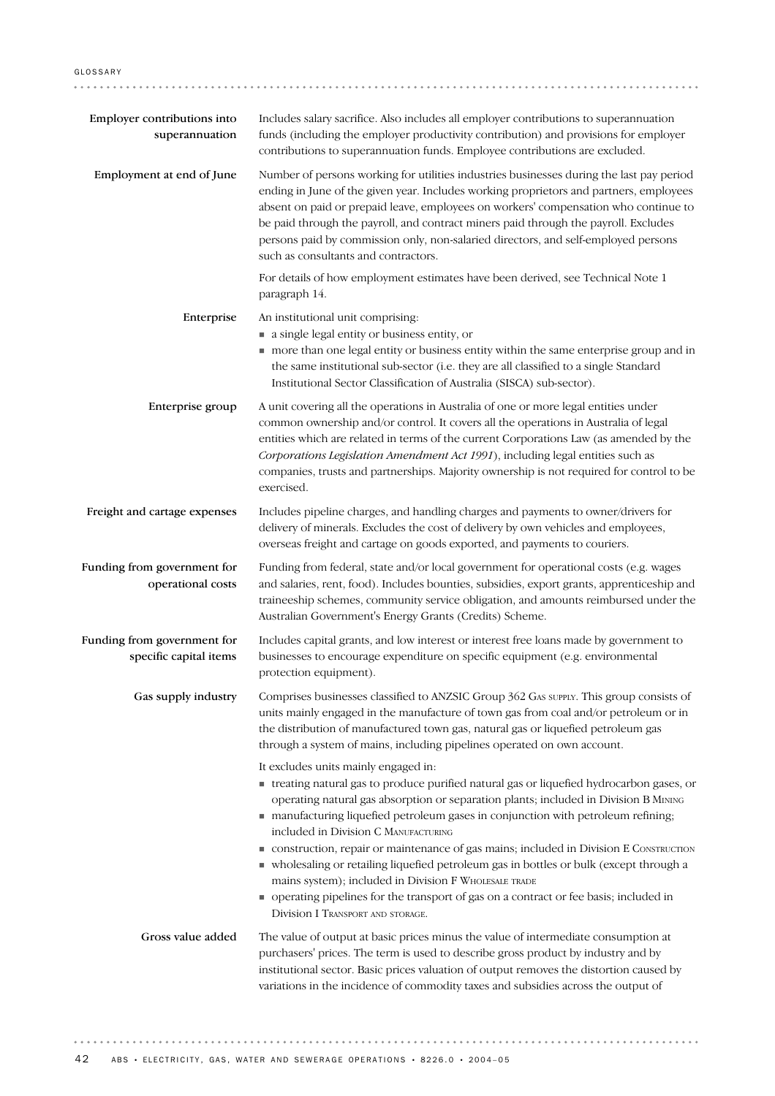| Employer contributions into<br>superannuation         | Includes salary sacrifice. Also includes all employer contributions to superannuation<br>funds (including the employer productivity contribution) and provisions for employer<br>contributions to superannuation funds. Employee contributions are excluded.                                                                                                                                                                                                                                                                                                                                                                                                                                                                     |
|-------------------------------------------------------|----------------------------------------------------------------------------------------------------------------------------------------------------------------------------------------------------------------------------------------------------------------------------------------------------------------------------------------------------------------------------------------------------------------------------------------------------------------------------------------------------------------------------------------------------------------------------------------------------------------------------------------------------------------------------------------------------------------------------------|
| Employment at end of June                             | Number of persons working for utilities industries businesses during the last pay period<br>ending in June of the given year. Includes working proprietors and partners, employees<br>absent on paid or prepaid leave, employees on workers' compensation who continue to<br>be paid through the payroll, and contract miners paid through the payroll. Excludes<br>persons paid by commission only, non-salaried directors, and self-employed persons<br>such as consultants and contractors.                                                                                                                                                                                                                                   |
|                                                       | For details of how employment estimates have been derived, see Technical Note 1<br>paragraph 14.                                                                                                                                                                                                                                                                                                                                                                                                                                                                                                                                                                                                                                 |
| Enterprise                                            | An institutional unit comprising:<br>a single legal entity or business entity, or<br>more than one legal entity or business entity within the same enterprise group and in<br>the same institutional sub-sector (i.e. they are all classified to a single Standard<br>Institutional Sector Classification of Australia (SISCA) sub-sector).                                                                                                                                                                                                                                                                                                                                                                                      |
| Enterprise group                                      | A unit covering all the operations in Australia of one or more legal entities under<br>common ownership and/or control. It covers all the operations in Australia of legal<br>entities which are related in terms of the current Corporations Law (as amended by the<br>Corporations Legislation Amendment Act 1991), including legal entities such as<br>companies, trusts and partnerships. Majority ownership is not required for control to be<br>exercised.                                                                                                                                                                                                                                                                 |
| Freight and cartage expenses                          | Includes pipeline charges, and handling charges and payments to owner/drivers for<br>delivery of minerals. Excludes the cost of delivery by own vehicles and employees,<br>overseas freight and cartage on goods exported, and payments to couriers.                                                                                                                                                                                                                                                                                                                                                                                                                                                                             |
| Funding from government for<br>operational costs      | Funding from federal, state and/or local government for operational costs (e.g. wages<br>and salaries, rent, food). Includes bounties, subsidies, export grants, apprenticeship and<br>traineeship schemes, community service obligation, and amounts reimbursed under the<br>Australian Government's Energy Grants (Credits) Scheme.                                                                                                                                                                                                                                                                                                                                                                                            |
| Funding from government for<br>specific capital items | Includes capital grants, and low interest or interest free loans made by government to<br>businesses to encourage expenditure on specific equipment (e.g. environmental<br>protection equipment).                                                                                                                                                                                                                                                                                                                                                                                                                                                                                                                                |
| Gas supply industry                                   | Comprises businesses classified to ANZSIC Group 362 GAS SUPPLY. This group consists of<br>units mainly engaged in the manufacture of town gas from coal and/or petroleum or in<br>the distribution of manufactured town gas, natural gas or liquefied petroleum gas<br>through a system of mains, including pipelines operated on own account.                                                                                                                                                                                                                                                                                                                                                                                   |
|                                                       | It excludes units mainly engaged in:<br>• treating natural gas to produce purified natural gas or liquefied hydrocarbon gases, or<br>operating natural gas absorption or separation plants; included in Division B MINING<br>manufacturing liquefied petroleum gases in conjunction with petroleum refining;<br>included in Division C MANUFACTURING<br>construction, repair or maintenance of gas mains; included in Division E CONSTRUCTION<br>• wholesaling or retailing liquefied petroleum gas in bottles or bulk (except through a<br>mains system); included in Division F WHOLESALE TRADE<br>• operating pipelines for the transport of gas on a contract or fee basis; included in<br>Division I TRANSPORT AND STORAGE. |
| Gross value added                                     | The value of output at basic prices minus the value of intermediate consumption at<br>purchasers' prices. The term is used to describe gross product by industry and by<br>institutional sector. Basic prices valuation of output removes the distortion caused by<br>variations in the incidence of commodity taxes and subsidies across the output of                                                                                                                                                                                                                                                                                                                                                                          |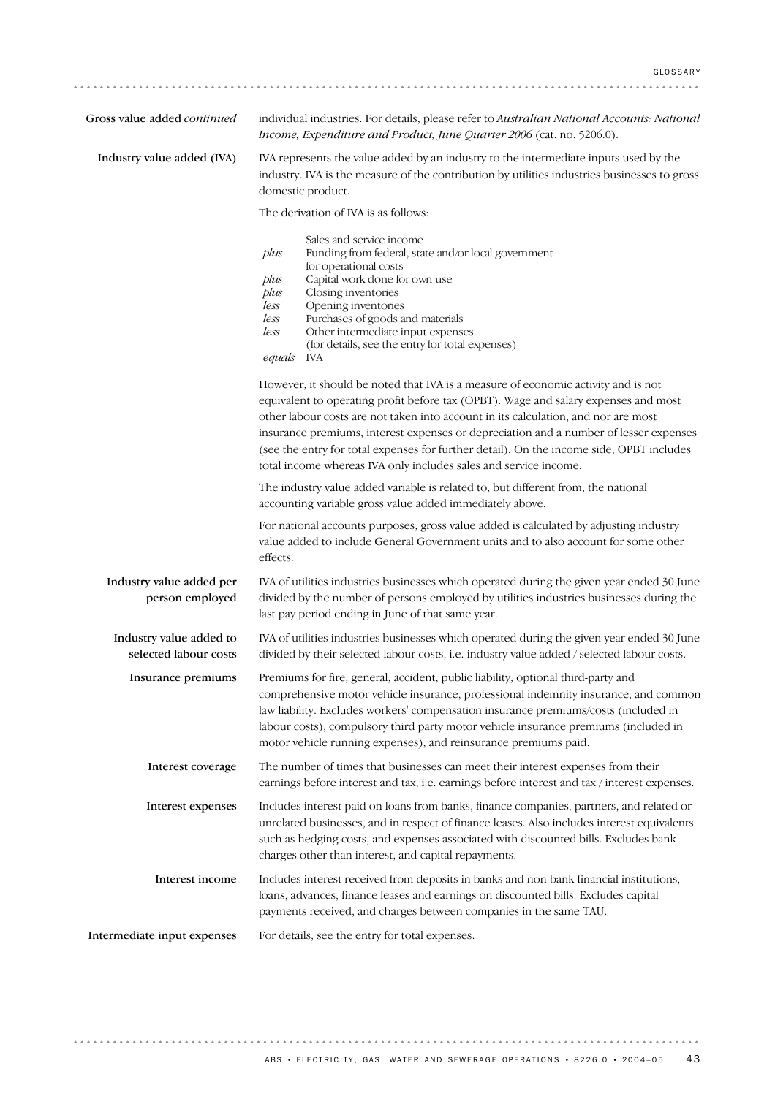| Gross value added continued                      | individual industries. For details, please refer to Australian National Accounts: National<br>Income, Expenditure and Product, June Quarter 2006 (cat. no. 5206.0).                                                                                                                                                                                                                                                                                                                                                     |
|--------------------------------------------------|-------------------------------------------------------------------------------------------------------------------------------------------------------------------------------------------------------------------------------------------------------------------------------------------------------------------------------------------------------------------------------------------------------------------------------------------------------------------------------------------------------------------------|
| Industry value added (IVA)                       | IVA represents the value added by an industry to the intermediate inputs used by the<br>industry. IVA is the measure of the contribution by utilities industries businesses to gross<br>domestic product.                                                                                                                                                                                                                                                                                                               |
|                                                  | The derivation of IVA is as follows:                                                                                                                                                                                                                                                                                                                                                                                                                                                                                    |
|                                                  | Sales and service income<br>plus<br>Funding from federal, state and/or local government<br>for operational costs<br>Capital work done for own use<br>plus<br>Closing inventories<br>plus<br>Opening inventories<br>less<br>Purchases of goods and materials<br>less<br>Other intermediate input expenses<br>less<br>(for details, see the entry for total expenses)<br>equals<br>IVA                                                                                                                                    |
|                                                  | However, it should be noted that IVA is a measure of economic activity and is not<br>equivalent to operating profit before tax (OPBT). Wage and salary expenses and most<br>other labour costs are not taken into account in its calculation, and nor are most<br>insurance premiums, interest expenses or depreciation and a number of lesser expenses<br>(see the entry for total expenses for further detail). On the income side, OPBT includes<br>total income whereas IVA only includes sales and service income. |
|                                                  | The industry value added variable is related to, but different from, the national<br>accounting variable gross value added immediately above.                                                                                                                                                                                                                                                                                                                                                                           |
|                                                  | For national accounts purposes, gross value added is calculated by adjusting industry<br>value added to include General Government units and to also account for some other<br>effects.                                                                                                                                                                                                                                                                                                                                 |
| Industry value added per<br>person employed      | IVA of utilities industries businesses which operated during the given year ended 30 June<br>divided by the number of persons employed by utilities industries businesses during the<br>last pay period ending in June of that same year.                                                                                                                                                                                                                                                                               |
| Industry value added to<br>selected labour costs | IVA of utilities industries businesses which operated during the given year ended 30 June<br>divided by their selected labour costs, i.e. industry value added / selected labour costs.                                                                                                                                                                                                                                                                                                                                 |
| Insurance premiums                               | Premiums for fire, general, accident, public liability, optional third-party and<br>comprehensive motor vehicle insurance, professional indemnity insurance, and common<br>law liability. Excludes workers' compensation insurance premiums/costs (included in<br>labour costs), compulsory third party motor vehicle insurance premiums (included in<br>motor vehicle running expenses), and reinsurance premiums paid.                                                                                                |
| Interest coverage                                | The number of times that businesses can meet their interest expenses from their<br>earnings before interest and tax, i.e. earnings before interest and tax / interest expenses.                                                                                                                                                                                                                                                                                                                                         |
| Interest expenses                                | Includes interest paid on loans from banks, finance companies, partners, and related or<br>unrelated businesses, and in respect of finance leases. Also includes interest equivalents<br>such as hedging costs, and expenses associated with discounted bills. Excludes bank<br>charges other than interest, and capital repayments.                                                                                                                                                                                    |
| Interest income                                  | Includes interest received from deposits in banks and non-bank financial institutions,<br>loans, advances, finance leases and earnings on discounted bills. Excludes capital<br>payments received, and charges between companies in the same TAU.                                                                                                                                                                                                                                                                       |
| Intermediate input expenses                      | For details, see the entry for total expenses.                                                                                                                                                                                                                                                                                                                                                                                                                                                                          |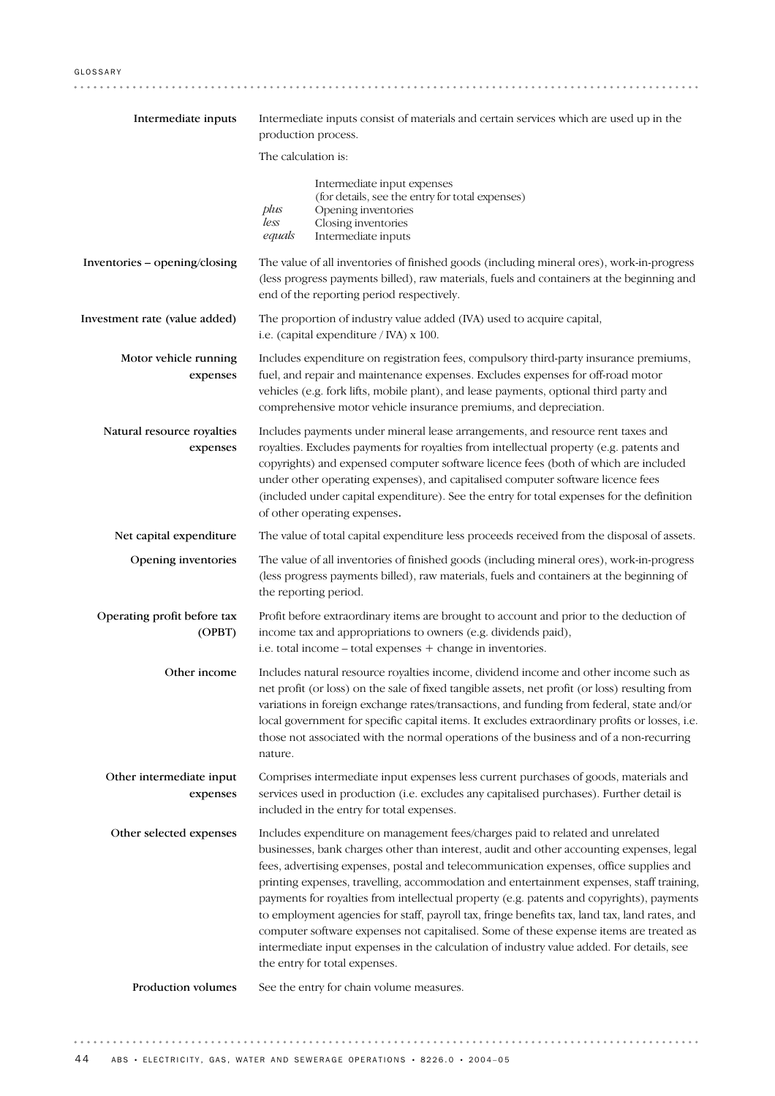| Intermediate inputs                    | Intermediate inputs consist of materials and certain services which are used up in the<br>production process.                                                                                                                                                                                                                                                                                                                                                                                                                                                                                                                                                                                                                                                                        |
|----------------------------------------|--------------------------------------------------------------------------------------------------------------------------------------------------------------------------------------------------------------------------------------------------------------------------------------------------------------------------------------------------------------------------------------------------------------------------------------------------------------------------------------------------------------------------------------------------------------------------------------------------------------------------------------------------------------------------------------------------------------------------------------------------------------------------------------|
|                                        | The calculation is:                                                                                                                                                                                                                                                                                                                                                                                                                                                                                                                                                                                                                                                                                                                                                                  |
|                                        | Intermediate input expenses<br>(for details, see the entry for total expenses)<br>plus<br>Opening inventories<br>less<br>Closing inventories<br>Intermediate inputs<br>equals                                                                                                                                                                                                                                                                                                                                                                                                                                                                                                                                                                                                        |
| Inventories - opening/closing          | The value of all inventories of finished goods (including mineral ores), work-in-progress<br>(less progress payments billed), raw materials, fuels and containers at the beginning and<br>end of the reporting period respectively.                                                                                                                                                                                                                                                                                                                                                                                                                                                                                                                                                  |
| Investment rate (value added)          | The proportion of industry value added (IVA) used to acquire capital,<br>i.e. (capital expenditure / IVA) $x$ 100.                                                                                                                                                                                                                                                                                                                                                                                                                                                                                                                                                                                                                                                                   |
| Motor vehicle running<br>expenses      | Includes expenditure on registration fees, compulsory third-party insurance premiums,<br>fuel, and repair and maintenance expenses. Excludes expenses for off-road motor<br>vehicles (e.g. fork lifts, mobile plant), and lease payments, optional third party and<br>comprehensive motor vehicle insurance premiums, and depreciation.                                                                                                                                                                                                                                                                                                                                                                                                                                              |
| Natural resource royalties<br>expenses | Includes payments under mineral lease arrangements, and resource rent taxes and<br>royalties. Excludes payments for royalties from intellectual property (e.g. patents and<br>copyrights) and expensed computer software licence fees (both of which are included<br>under other operating expenses), and capitalised computer software licence fees<br>(included under capital expenditure). See the entry for total expenses for the definition<br>of other operating expenses.                                                                                                                                                                                                                                                                                                    |
| Net capital expenditure                | The value of total capital expenditure less proceeds received from the disposal of assets.                                                                                                                                                                                                                                                                                                                                                                                                                                                                                                                                                                                                                                                                                           |
| Opening inventories                    | The value of all inventories of finished goods (including mineral ores), work-in-progress<br>(less progress payments billed), raw materials, fuels and containers at the beginning of<br>the reporting period.                                                                                                                                                                                                                                                                                                                                                                                                                                                                                                                                                                       |
| Operating profit before tax<br>(OPBT)  | Profit before extraordinary items are brought to account and prior to the deduction of<br>income tax and appropriations to owners (e.g. dividends paid),<br>i.e. total income - total expenses + change in inventories.                                                                                                                                                                                                                                                                                                                                                                                                                                                                                                                                                              |
| Other income                           | Includes natural resource royalties income, dividend income and other income such as<br>net profit (or loss) on the sale of fixed tangible assets, net profit (or loss) resulting from<br>variations in foreign exchange rates/transactions, and funding from federal, state and/or<br>local government for specific capital items. It excludes extraordinary profits or losses, i.e.<br>those not associated with the normal operations of the business and of a non-recurring<br>nature.                                                                                                                                                                                                                                                                                           |
| Other intermediate input<br>expenses   | Comprises intermediate input expenses less current purchases of goods, materials and<br>services used in production (i.e. excludes any capitalised purchases). Further detail is<br>included in the entry for total expenses.                                                                                                                                                                                                                                                                                                                                                                                                                                                                                                                                                        |
| Other selected expenses                | Includes expenditure on management fees/charges paid to related and unrelated<br>businesses, bank charges other than interest, audit and other accounting expenses, legal<br>fees, advertising expenses, postal and telecommunication expenses, office supplies and<br>printing expenses, travelling, accommodation and entertainment expenses, staff training,<br>payments for royalties from intellectual property (e.g. patents and copyrights), payments<br>to employment agencies for staff, payroll tax, fringe benefits tax, land tax, land rates, and<br>computer software expenses not capitalised. Some of these expense items are treated as<br>intermediate input expenses in the calculation of industry value added. For details, see<br>the entry for total expenses. |
| Production volumes                     | See the entry for chain volume measures.                                                                                                                                                                                                                                                                                                                                                                                                                                                                                                                                                                                                                                                                                                                                             |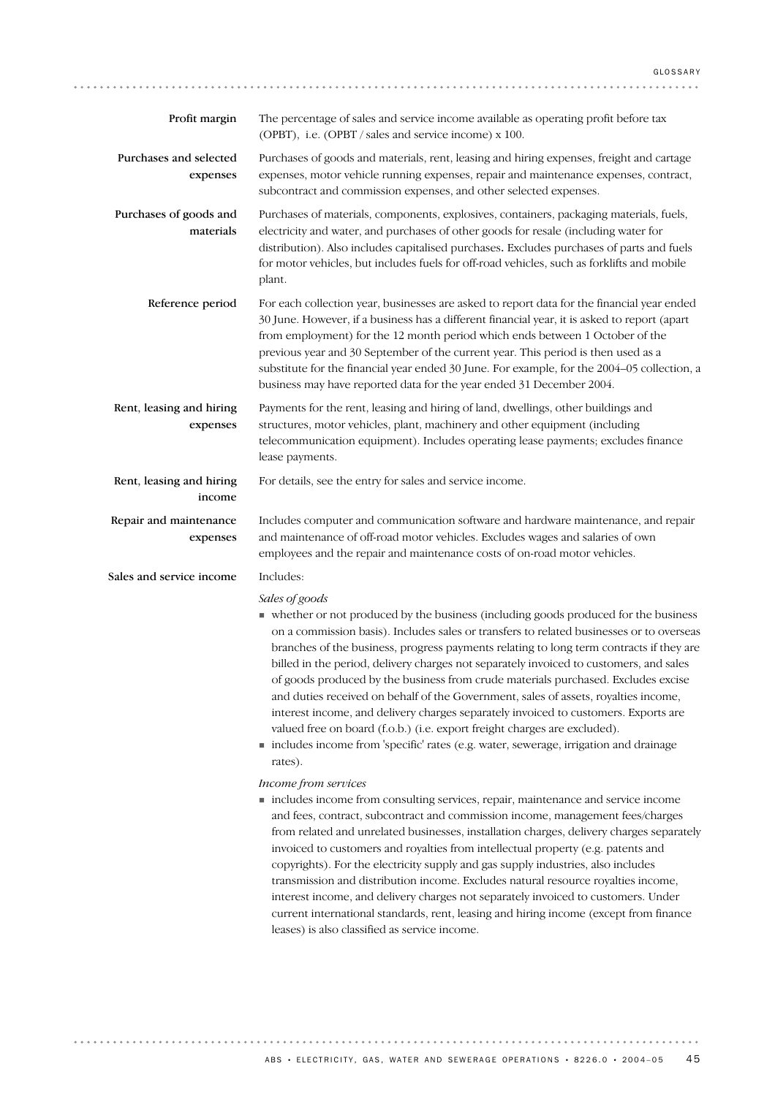| Profit margin                        | The percentage of sales and service income available as operating profit before tax<br>(OPBT), i.e. (OPBT / sales and service income) x 100.                                                                                                                                                                                                                                                                                                                                                                                                                                                                                                                                                                                                                                                                                               |
|--------------------------------------|--------------------------------------------------------------------------------------------------------------------------------------------------------------------------------------------------------------------------------------------------------------------------------------------------------------------------------------------------------------------------------------------------------------------------------------------------------------------------------------------------------------------------------------------------------------------------------------------------------------------------------------------------------------------------------------------------------------------------------------------------------------------------------------------------------------------------------------------|
| Purchases and selected<br>expenses   | Purchases of goods and materials, rent, leasing and hiring expenses, freight and cartage<br>expenses, motor vehicle running expenses, repair and maintenance expenses, contract,<br>subcontract and commission expenses, and other selected expenses.                                                                                                                                                                                                                                                                                                                                                                                                                                                                                                                                                                                      |
| Purchases of goods and<br>materials  | Purchases of materials, components, explosives, containers, packaging materials, fuels,<br>electricity and water, and purchases of other goods for resale (including water for<br>distribution). Also includes capitalised purchases. Excludes purchases of parts and fuels<br>for motor vehicles, but includes fuels for off-road vehicles, such as forklifts and mobile<br>plant.                                                                                                                                                                                                                                                                                                                                                                                                                                                        |
| Reference period                     | For each collection year, businesses are asked to report data for the financial year ended<br>30 June. However, if a business has a different financial year, it is asked to report (apart<br>from employment) for the 12 month period which ends between 1 October of the<br>previous year and 30 September of the current year. This period is then used as a<br>substitute for the financial year ended 30 June. For example, for the 2004–05 collection, a<br>business may have reported data for the year ended 31 December 2004.                                                                                                                                                                                                                                                                                                     |
| Rent, leasing and hiring<br>expenses | Payments for the rent, leasing and hiring of land, dwellings, other buildings and<br>structures, motor vehicles, plant, machinery and other equipment (including<br>telecommunication equipment). Includes operating lease payments; excludes finance<br>lease payments.                                                                                                                                                                                                                                                                                                                                                                                                                                                                                                                                                                   |
| Rent, leasing and hiring<br>income   | For details, see the entry for sales and service income.                                                                                                                                                                                                                                                                                                                                                                                                                                                                                                                                                                                                                                                                                                                                                                                   |
| Repair and maintenance<br>expenses   | Includes computer and communication software and hardware maintenance, and repair<br>and maintenance of off-road motor vehicles. Excludes wages and salaries of own<br>employees and the repair and maintenance costs of on-road motor vehicles.                                                                                                                                                                                                                                                                                                                                                                                                                                                                                                                                                                                           |
| Sales and service income             | Includes:                                                                                                                                                                                                                                                                                                                                                                                                                                                                                                                                                                                                                                                                                                                                                                                                                                  |
|                                      | Sales of goods<br>• whether or not produced by the business (including goods produced for the business<br>on a commission basis). Includes sales or transfers to related businesses or to overseas<br>branches of the business, progress payments relating to long term contracts if they are<br>billed in the period, delivery charges not separately invoiced to customers, and sales<br>of goods produced by the business from crude materials purchased. Excludes excise<br>and duties received on behalf of the Government, sales of assets, royalties income,<br>interest income, and delivery charges separately invoiced to customers. Exports are<br>valued free on board (f.o.b.) (i.e. export freight charges are excluded).<br>includes income from 'specific' rates (e.g. water, sewerage, irrigation and drainage<br>rates). |
|                                      | Income from services<br>includes income from consulting services, repair, maintenance and service income<br>and fees, contract, subcontract and commission income, management fees/charges<br>from related and unrelated businesses, installation charges, delivery charges separately<br>invoiced to customers and royalties from intellectual property (e.g. patents and<br>copyrights). For the electricity supply and gas supply industries, also includes<br>transmission and distribution income. Excludes natural resource royalties income,<br>interest income, and delivery charges not separately invoiced to customers. Under<br>current international standards, rent, leasing and hiring income (except from finance<br>leases) is also classified as service income.                                                         |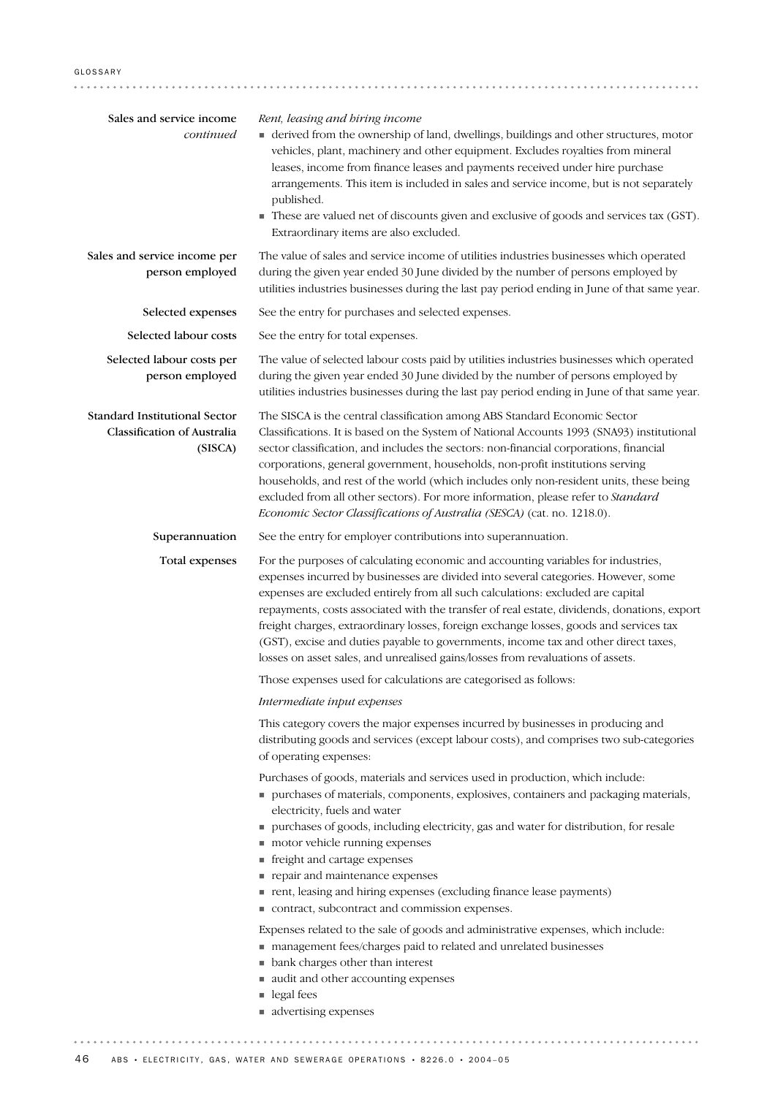| Sales and service income<br>continued                                          | Rent, leasing and hiring income<br>• derived from the ownership of land, dwellings, buildings and other structures, motor<br>vehicles, plant, machinery and other equipment. Excludes royalties from mineral<br>leases, income from finance leases and payments received under hire purchase<br>arrangements. This item is included in sales and service income, but is not separately<br>published.<br>These are valued net of discounts given and exclusive of goods and services tax (GST).<br>Extraordinary items are also excluded.                                                                                      |
|--------------------------------------------------------------------------------|-------------------------------------------------------------------------------------------------------------------------------------------------------------------------------------------------------------------------------------------------------------------------------------------------------------------------------------------------------------------------------------------------------------------------------------------------------------------------------------------------------------------------------------------------------------------------------------------------------------------------------|
| Sales and service income per<br>person employed                                | The value of sales and service income of utilities industries businesses which operated<br>during the given year ended 30 June divided by the number of persons employed by<br>utilities industries businesses during the last pay period ending in June of that same year.                                                                                                                                                                                                                                                                                                                                                   |
| Selected expenses                                                              | See the entry for purchases and selected expenses.                                                                                                                                                                                                                                                                                                                                                                                                                                                                                                                                                                            |
| Selected labour costs                                                          | See the entry for total expenses.                                                                                                                                                                                                                                                                                                                                                                                                                                                                                                                                                                                             |
| Selected labour costs per<br>person employed                                   | The value of selected labour costs paid by utilities industries businesses which operated<br>during the given year ended 30 June divided by the number of persons employed by<br>utilities industries businesses during the last pay period ending in June of that same year.                                                                                                                                                                                                                                                                                                                                                 |
| <b>Standard Institutional Sector</b><br>Classification of Australia<br>(SISCA) | The SISCA is the central classification among ABS Standard Economic Sector<br>Classifications. It is based on the System of National Accounts 1993 (SNA93) institutional<br>sector classification, and includes the sectors: non-financial corporations, financial<br>corporations, general government, households, non-profit institutions serving<br>households, and rest of the world (which includes only non-resident units, these being<br>excluded from all other sectors). For more information, please refer to Standard<br>Economic Sector Classifications of Australia (SESCA) (cat. no. 1218.0).                  |
| Superannuation                                                                 | See the entry for employer contributions into superannuation.                                                                                                                                                                                                                                                                                                                                                                                                                                                                                                                                                                 |
| Total expenses                                                                 | For the purposes of calculating economic and accounting variables for industries,<br>expenses incurred by businesses are divided into several categories. However, some<br>expenses are excluded entirely from all such calculations: excluded are capital<br>repayments, costs associated with the transfer of real estate, dividends, donations, export<br>freight charges, extraordinary losses, foreign exchange losses, goods and services tax<br>(GST), excise and duties payable to governments, income tax and other direct taxes,<br>losses on asset sales, and unrealised gains/losses from revaluations of assets. |
|                                                                                | Those expenses used for calculations are categorised as follows:                                                                                                                                                                                                                                                                                                                                                                                                                                                                                                                                                              |
|                                                                                | Intermediate input expenses<br>This category covers the major expenses incurred by businesses in producing and<br>distributing goods and services (except labour costs), and comprises two sub-categories<br>of operating expenses:                                                                                                                                                                                                                                                                                                                                                                                           |
|                                                                                | Purchases of goods, materials and services used in production, which include:<br>purchases of materials, components, explosives, containers and packaging materials,<br>electricity, fuels and water<br>purchases of goods, including electricity, gas and water for distribution, for resale<br>motor vehicle running expenses<br>• freight and cartage expenses<br>repair and maintenance expenses<br>nent, leasing and hiring expenses (excluding finance lease payments)<br>contract, subcontract and commission expenses.                                                                                                |
|                                                                                | Expenses related to the sale of goods and administrative expenses, which include:<br>management fees/charges paid to related and unrelated businesses<br>• bank charges other than interest<br>audit and other accounting expenses<br>legal fees<br>advertising expenses                                                                                                                                                                                                                                                                                                                                                      |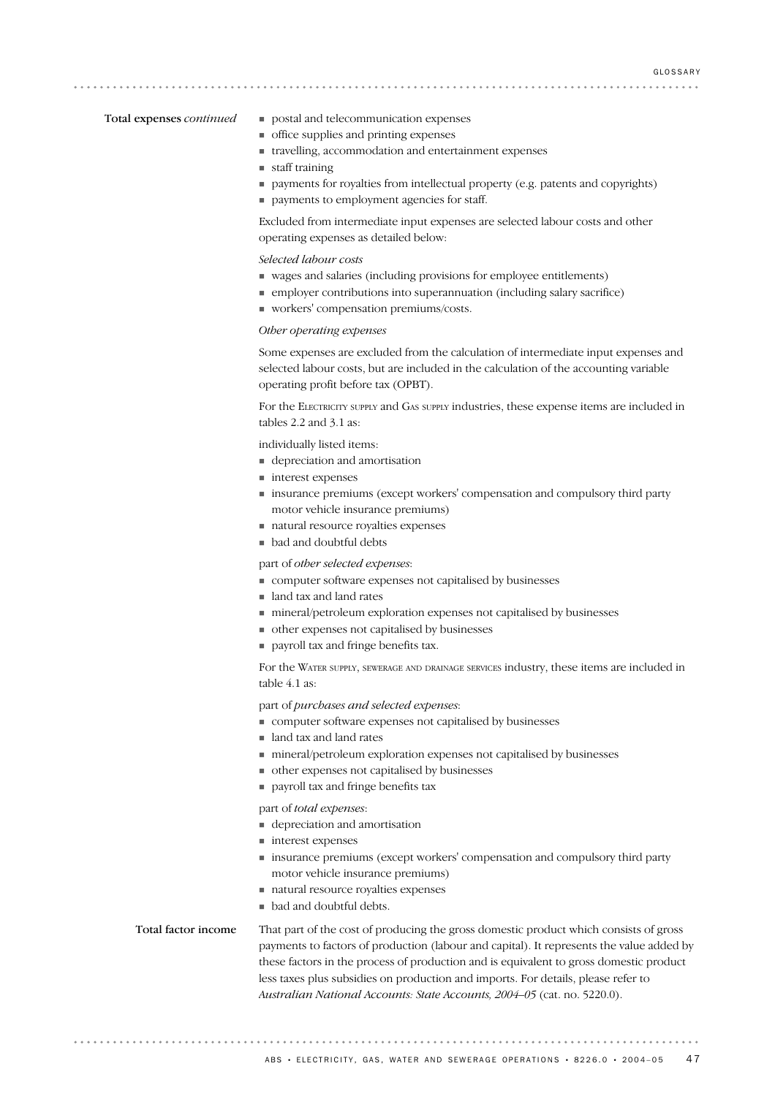#### Total expenses *continued*

. . . . . . . . . . . . . . . . .

- ! postal and telecommunication expenses
- ! office supplies and printing expenses
- ! travelling, accommodation and entertainment expenses
- staff training
- ! payments for royalties from intellectual property (e.g. patents and copyrights)
- ! payments to employment agencies for staff.

Excluded from intermediate input expenses are selected labour costs and other operating expenses as detailed below:

#### *Selected labour costs*

- ! wages and salaries (including provisions for employee entitlements)
- ! employer contributions into superannuation (including salary sacrifice)
- ! workers' compensation premiums/costs.

### *Other operating expenses*

Some expenses are excluded from the calculation of intermediate input expenses and selected labour costs, but are included in the calculation of the accounting variable operating profit before tax (OPBT).

For the ELECTRICITY SUPPLY and GAS SUPPLY industries, these expense items are included in tables 2.2 and 3.1 as:

individually listed items:

- ! depreciation and amortisation
- interest expenses
- ! insurance premiums (except workers' compensation and compulsory third party motor vehicle insurance premiums)
- ! natural resource royalties expenses
- **bad and doubtful debts**

part of *other selected expenses*:

- ! computer software expenses not capitalised by businesses
- land tax and land rates
- ! mineral/petroleum exploration expenses not capitalised by businesses
- ! other expenses not capitalised by businesses
- ! payroll tax and fringe benefits tax.

For the WATER SUPPLY, SEWERAGE AND DRAINAGE SERVICES industry, these items are included in table 4.1 as:

part of *purchases and selected expenses*:

- ! computer software expenses not capitalised by businesses
- ! land tax and land rates
- ! mineral/petroleum exploration expenses not capitalised by businesses
- ! other expenses not capitalised by businesses
- ! payroll tax and fringe benefits tax

part of *total expenses*:

- ! depreciation and amortisation
- interest expenses

. . . . . . . . . . . . .

- ! insurance premiums (except workers' compensation and compulsory third party motor vehicle insurance premiums)
- ! natural resource royalties expenses
- $\blacksquare$  bad and doubtful debts.

That part of the cost of producing the gross domestic product which consists of gross payments to factors of production (labour and capital). It represents the value added by these factors in the process of production and is equivalent to gross domestic product less taxes plus subsidies on production and imports. For details, please refer to *Australian National Accounts: State Accounts, 2004–05* (cat. no. 5220.0). Total factor income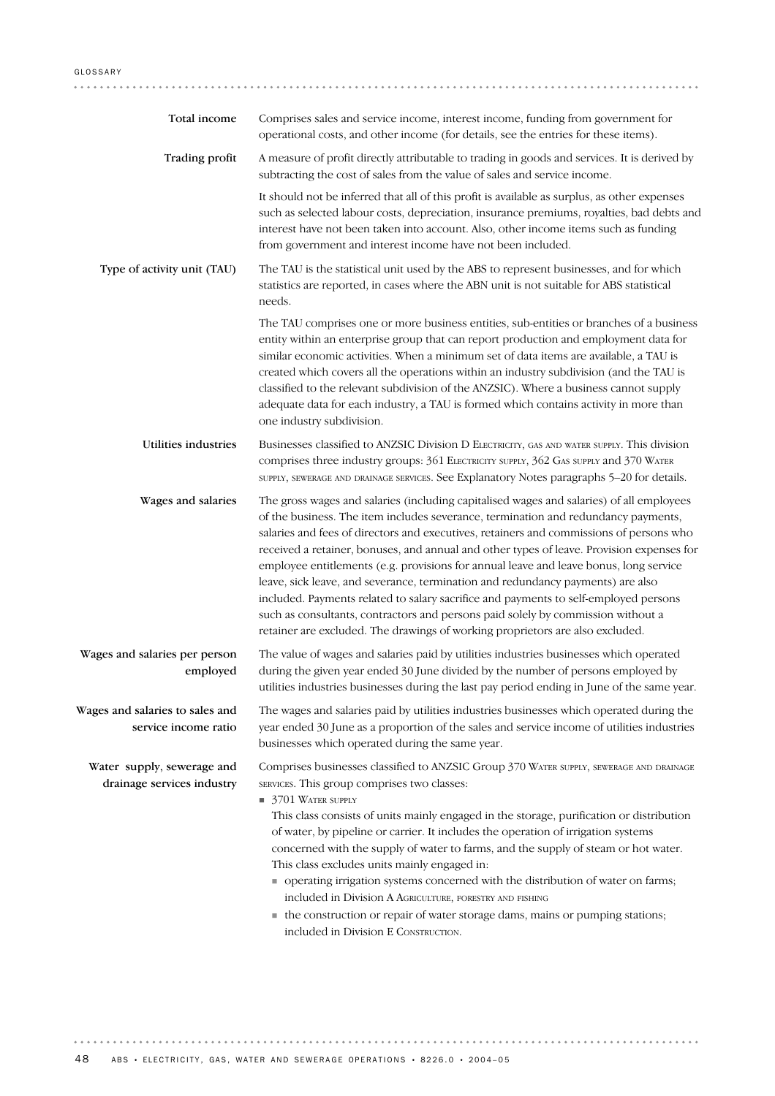| Total income                                             | Comprises sales and service income, interest income, funding from government for<br>operational costs, and other income (for details, see the entries for these items).                                                                                                                                                                                                                                                                                                                                                                                                                                                                                                                                                                                                                                         |
|----------------------------------------------------------|-----------------------------------------------------------------------------------------------------------------------------------------------------------------------------------------------------------------------------------------------------------------------------------------------------------------------------------------------------------------------------------------------------------------------------------------------------------------------------------------------------------------------------------------------------------------------------------------------------------------------------------------------------------------------------------------------------------------------------------------------------------------------------------------------------------------|
| <b>Trading profit</b>                                    | A measure of profit directly attributable to trading in goods and services. It is derived by<br>subtracting the cost of sales from the value of sales and service income.                                                                                                                                                                                                                                                                                                                                                                                                                                                                                                                                                                                                                                       |
|                                                          | It should not be inferred that all of this profit is available as surplus, as other expenses<br>such as selected labour costs, depreciation, insurance premiums, royalties, bad debts and<br>interest have not been taken into account. Also, other income items such as funding<br>from government and interest income have not been included.                                                                                                                                                                                                                                                                                                                                                                                                                                                                 |
| Type of activity unit (TAU)                              | The TAU is the statistical unit used by the ABS to represent businesses, and for which<br>statistics are reported, in cases where the ABN unit is not suitable for ABS statistical<br>needs.                                                                                                                                                                                                                                                                                                                                                                                                                                                                                                                                                                                                                    |
|                                                          | The TAU comprises one or more business entities, sub-entities or branches of a business<br>entity within an enterprise group that can report production and employment data for<br>similar economic activities. When a minimum set of data items are available, a TAU is<br>created which covers all the operations within an industry subdivision (and the TAU is<br>classified to the relevant subdivision of the ANZSIC). Where a business cannot supply<br>adequate data for each industry, a TAU is formed which contains activity in more than<br>one industry subdivision.                                                                                                                                                                                                                               |
| Utilities industries                                     | Businesses classified to ANZSIC Division D ELECTRICITY, GAS AND WATER SUPPLY. This division<br>comprises three industry groups: 361 ELECTRICITY SUPPLY, 362 GAS SUPPLY and 370 WATER<br>SUPPLY, SEWERAGE AND DRAINAGE SERVICES. See Explanatory Notes paragraphs 5-20 for details.                                                                                                                                                                                                                                                                                                                                                                                                                                                                                                                              |
| Wages and salaries                                       | The gross wages and salaries (including capitalised wages and salaries) of all employees<br>of the business. The item includes severance, termination and redundancy payments,<br>salaries and fees of directors and executives, retainers and commissions of persons who<br>received a retainer, bonuses, and annual and other types of leave. Provision expenses for<br>employee entitlements (e.g. provisions for annual leave and leave bonus, long service<br>leave, sick leave, and severance, termination and redundancy payments) are also<br>included. Payments related to salary sacrifice and payments to self-employed persons<br>such as consultants, contractors and persons paid solely by commission without a<br>retainer are excluded. The drawings of working proprietors are also excluded. |
| Wages and salaries per person<br>employed                | The value of wages and salaries paid by utilities industries businesses which operated<br>during the given year ended 30 June divided by the number of persons employed by<br>utilities industries businesses during the last pay period ending in June of the same year.                                                                                                                                                                                                                                                                                                                                                                                                                                                                                                                                       |
| Wages and salaries to sales and<br>service income ratio  | The wages and salaries paid by utilities industries businesses which operated during the<br>year ended 30 June as a proportion of the sales and service income of utilities industries<br>businesses which operated during the same year.                                                                                                                                                                                                                                                                                                                                                                                                                                                                                                                                                                       |
| Water supply, sewerage and<br>drainage services industry | Comprises businesses classified to ANZSIC Group 370 WATER SUPPLY, SEWERAGE AND DRAINAGE<br>SERVICES. This group comprises two classes:<br>$\blacksquare$ 3701 WATER SUPPLY<br>This class consists of units mainly engaged in the storage, purification or distribution<br>of water, by pipeline or carrier. It includes the operation of irrigation systems<br>concerned with the supply of water to farms, and the supply of steam or hot water.<br>This class excludes units mainly engaged in:                                                                                                                                                                                                                                                                                                               |
|                                                          | • operating irrigation systems concerned with the distribution of water on farms;<br>included in Division A AGRICULTURE, FORESTRY AND FISHING<br>• the construction or repair of water storage dams, mains or pumping stations;<br>included in Division E CONSTRUCTION.                                                                                                                                                                                                                                                                                                                                                                                                                                                                                                                                         |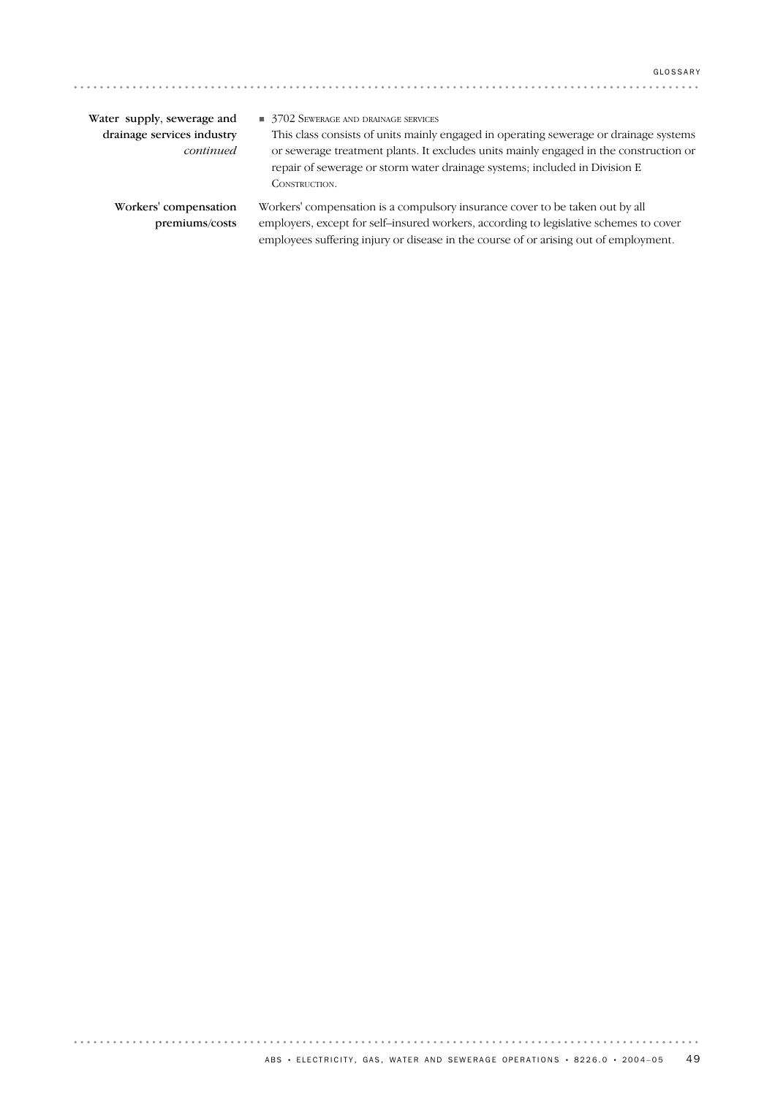| Water supply, sewerage and | 3702 SEWERAGE AND DRAINAGE SERVICES                                                   |
|----------------------------|---------------------------------------------------------------------------------------|
| drainage services industry | This class consists of units mainly engaged in operating sewerage or drainage systems |
| continued                  | or sewerage treatment plants. It excludes units mainly engaged in the construction or |
|                            | repair of sewerage or storm water drainage systems; included in Division E            |
|                            | CONSTRUCTION.                                                                         |
| Workers' compensation      | Workers' compensation is a compulsory insurance cover to be taken out by all          |
| premiums/costs             | employers, except for self-insured workers, according to legislative schemes to cover |
|                            | employees suffering injury or disease in the course of or arising out of employment.  |